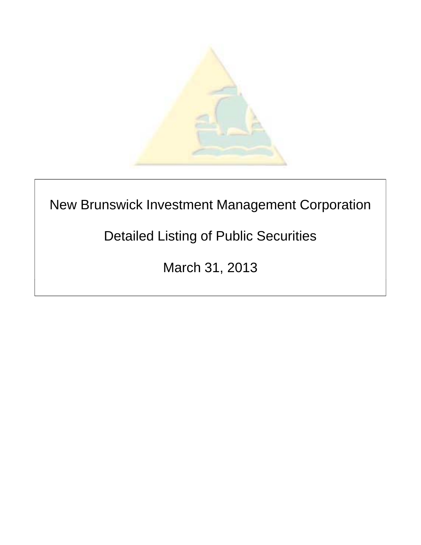

## New Brunswick Investment Management Corporation

# Detailed Listing of Public Securities

March 31, 2013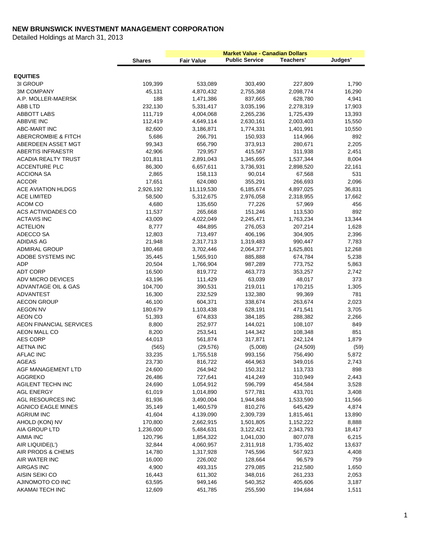|                                           |                   | <b>Market Value - Canadian Dollars</b> |                       |                      |                 |
|-------------------------------------------|-------------------|----------------------------------------|-----------------------|----------------------|-----------------|
|                                           | <b>Shares</b>     | <b>Fair Value</b>                      | <b>Public Service</b> | Teachers'            | Judges'         |
|                                           |                   |                                        |                       |                      |                 |
| <b>EQUITIES</b>                           |                   |                                        |                       |                      |                 |
| 3I GROUP<br><b>3M COMPANY</b>             | 109,399<br>45,131 | 533,089<br>4,870,432                   | 303,490<br>2,755,368  | 227,809<br>2,098,774 | 1,790<br>16,290 |
| A.P. MOLLER-MAERSK                        | 188               | 1,471,386                              | 837,665               | 628,780              | 4,941           |
| ABB LTD                                   | 232,130           | 5,331,417                              | 3,035,196             | 2,278,319            | 17,903          |
| <b>ABBOTT LABS</b>                        | 111,719           | 4,004,068                              | 2,265,236             | 1,725,439            | 13,393          |
| <b>ABBVIE INC</b>                         | 112,419           | 4,649,114                              | 2,630,161             | 2,003,403            | 15,550          |
| <b>ABC-MART INC</b>                       | 82,600            | 3,186,871                              | 1,774,331             | 1,401,991            | 10,550          |
| <b>ABERCROMBIE &amp; FITCH</b>            | 5,686             | 266,791                                | 150,933               | 114,966              | 892             |
| ABERDEEN ASSET MGT                        | 99,343            | 656,790                                | 373,913               | 280,671              | 2,205           |
| <b>ABERTIS INFRAESTR</b>                  | 42,906            | 729,957                                | 415,567               | 311,938              | 2,451           |
| <b>ACADIA REALTY TRUST</b>                | 101,811           | 2,891,043                              | 1,345,695             | 1,537,344            | 8,004           |
| <b>ACCENTURE PLC</b>                      | 86,300            | 6,657,611                              | 3,736,931             | 2,898,520            | 22,161          |
| <b>ACCIONA SA</b>                         | 2,865             | 158,113                                | 90,014                | 67,568               | 531             |
| <b>ACCOR</b>                              | 17,651            | 624,080                                | 355,291               | 266,693              | 2,096           |
| ACE AVIATION HLDGS                        | 2,926,192         | 11,119,530                             | 6,185,674             | 4,897,025            | 36,831          |
| <b>ACE LIMITED</b>                        | 58,500            | 5,312,675                              | 2,976,058             | 2,318,955            | 17,662          |
| ACOM CO                                   | 4,680             | 135,650                                | 77,226                | 57,969               | 456             |
| ACS ACTIVIDADES CO                        | 11,537            | 265,668                                | 151,246               | 113,530              | 892             |
| <b>ACTAVIS INC</b>                        | 43,009            | 4,022,049                              | 2,245,471             | 1,763,234            | 13,344          |
| <b>ACTELION</b>                           | 8,777             | 484,895                                | 276,053               | 207,214              | 1,628           |
| ADECCO SA                                 | 12,803            | 713,497                                | 406,196               | 304,905              | 2,396           |
| ADIDAS AG                                 | 21,948            | 2,317,713                              | 1,319,483             | 990,447              | 7,783           |
| <b>ADMIRAL GROUP</b>                      | 180,468           | 3,702,446                              | 2,064,377             | 1,625,801            | 12,268          |
| ADOBE SYSTEMS INC                         | 35,445            | 1,565,910                              | 885,888               | 674,784              | 5,238           |
| <b>ADP</b>                                | 20,504            | 1,766,904                              | 987,289               | 773,752              | 5,863           |
| <b>ADT CORP</b>                           | 16,500            | 819,772                                | 463,773               | 353,257              | 2,742           |
| <b>ADV MICRO DEVICES</b>                  | 43,196            | 111,429                                | 63,039                | 48,017               | 373             |
| ADVANTAGE OIL & GAS                       | 104,700           | 390,531                                | 219,011               | 170,215              | 1,305           |
| ADVANTEST                                 | 16,300            | 232,529                                | 132,380               | 99,369               | 781             |
| <b>AECON GROUP</b>                        | 46,100            | 604,371                                | 338,674               | 263,674              | 2,023           |
| <b>AEGON NV</b>                           | 180,679           | 1,103,438                              | 628,191               | 471,541              | 3,705           |
| AEON CO<br><b>AEON FINANCIAL SERVICES</b> | 51,393            | 674,833                                | 384,185               | 288,382              | 2,266<br>849    |
| AEON MALL CO                              | 8,800<br>8,200    | 252,977<br>253,541                     | 144,021<br>144,342    | 108,107<br>108,348   | 851             |
| <b>AES CORP</b>                           | 44,013            | 561,874                                | 317,871               | 242,124              | 1,879           |
| <b>AETNA INC</b>                          | (565)             | (29, 576)                              | (5,008)               | (24, 509)            | (59)            |
| AFLAC INC                                 | 33,235            | 1,755,518                              | 993,156               | 756,490              | 5,872           |
| <b>AGEAS</b>                              | 23,730            | 816,722                                | 464,963               | 349,016              | 2,743           |
| AGF MANAGEMENT LTD                        | 24,600            | 264,942                                | 150,312               | 113,733              | 898             |
| <b>AGGREKO</b>                            | 26,486            | 727,641                                | 414,249               | 310,949              | 2,443           |
| <b>AGILENT TECHN INC</b>                  | 24,690            | 1,054,912                              | 596,799               | 454,584              | 3,528           |
| <b>AGL ENERGY</b>                         | 61,019            | 1,014,890                              | 577,781               | 433,701              | 3,408           |
| AGL RESOURCES INC                         | 81,936            | 3,490,004                              | 1,944,848             | 1,533,590            | 11,566          |
| <b>AGNICO EAGLE MINES</b>                 | 35,149            | 1,460,579                              | 810,276               | 645,429              | 4,874           |
| <b>AGRIUM INC</b>                         | 41,604            | 4,139,090                              | 2,309,739             | 1,815,461            | 13,890          |
| AHOLD (KON) NV                            | 170,800           | 2,662,915                              | 1,501,805             | 1,152,222            | 8,888           |
| AIA GROUP LTD                             | 1,236,000         | 5,484,631                              | 3,122,421             | 2,343,793            | 18,417          |
| <b>AIMIA INC</b>                          | 120,796           | 1,854,322                              | 1,041,030             | 807,078              | 6,215           |
| AIR LIQUIDE(L')                           | 32,844            | 4,060,957                              | 2,311,918             | 1,735,402            | 13,637          |
| AIR PRODS & CHEMS                         | 14,780            | 1,317,928                              | 745,596               | 567,923              | 4,408           |
| AIR WATER INC                             | 16,000            | 226,002                                | 128,664               | 96,579               | 759             |
| <b>AIRGAS INC</b>                         | 4,900             | 493,315                                | 279,085               | 212,580              | 1,650           |
| AISIN SEIKI CO                            | 16,443            | 611,302                                | 348,016               | 261,233              | 2,053           |
| AJINOMOTO CO INC                          | 63,595            | 949,146                                | 540,352               | 405,606              | 3,187           |
| AKAMAI TECH INC                           | 12,609            | 451,785                                | 255,590               | 194,684              | 1,511           |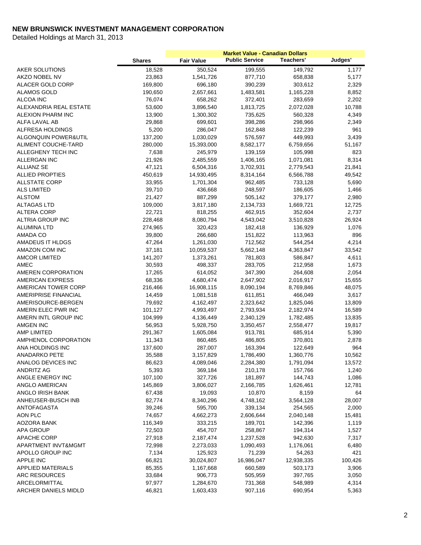|                                 | <b>Shares</b> | <b>Fair Value</b> | <b>Public Service</b> | Teachers'  | Judges' |
|---------------------------------|---------------|-------------------|-----------------------|------------|---------|
| AKER SOLUTIONS                  | 18,528        | 350,524           | 199,555               | 149,792    | 1,177   |
| AKZO NOBEL NV                   | 23,863        | 1,541,726         | 877,710               | 658,838    | 5,177   |
| ALACER GOLD CORP                | 169,800       | 696,180           | 390,239               | 303,612    | 2,329   |
| <b>ALAMOS GOLD</b>              | 190,650       | 2,657,661         | 1,483,581             | 1,165,228  | 8,852   |
| ALCOA INC                       | 76,074        | 658,262           | 372,401               | 283,659    | 2,202   |
| ALEXANDRIA REAL ESTATE          | 53,600        | 3,896,540         | 1,813,725             | 2,072,028  | 10,788  |
| ALEXION PHARM INC               | 13,900        | 1,300,302         | 735,625               | 560,328    | 4,349   |
| ALFA LAVAL AB                   | 29,868        | 699,601           | 398,286               | 298,966    | 2,349   |
| ALFRESA HOLDINGS                | 5,200         | 286,047           | 162,848               | 122,239    | 961     |
| <b>ALGONQUIN POWER&amp;UTIL</b> | 137,200       | 1,030,029         | 576,597               | 449,993    | 3,439   |
| ALIMENT COUCHE-TARD             | 280,000       | 15,393,000        | 8,582,177             | 6,759,656  | 51,167  |
| ALLEGHENY TECH INC              | 7,638         | 245,979           | 139,159               | 105,998    | 823     |
| ALLERGAN INC                    | 21,926        | 2,485,559         | 1,406,165             | 1,071,081  | 8,314   |
| <b>ALLIANZ SE</b>               | 47,121        | 6,504,316         | 3,702,931             | 2,779,543  | 21,841  |
| <b>ALLIED PROPTIES</b>          | 450,619       | 14,930,495        | 8,314,164             | 6,566,788  | 49,542  |
| <b>ALLSTATE CORP</b>            | 33,955        | 1,701,304         | 962,485               | 733,128    | 5,690   |
| <b>ALS LIMITED</b>              | 39,710        | 436,668           | 248,597               | 186,605    | 1,466   |
| <b>ALSTOM</b>                   | 21,427        | 887,299           | 505,142               | 379,177    | 2,980   |
| <b>ALTAGAS LTD</b>              | 109,000       | 3,817,180         | 2,134,733             | 1,669,721  | 12,725  |
| <b>ALTERA CORP</b>              | 22,721        | 818,255           | 462,915               | 352,604    | 2,737   |
| ALTRIA GROUP INC                | 228,468       | 8,080,794         | 4,543,042             | 3,510,828  | 26,924  |
| ALUMINA LTD                     | 274,965       | 320,423           | 182,418               | 136,929    | 1,076   |
| AMADA CO                        | 39,800        | 266,680           | 151,822               | 113,963    | 896     |
| AMADEUS IT HLDGS                | 47,264        | 1,261,030         | 712,562               | 544,254    | 4,214   |
| AMAZON COM INC                  | 37,181        | 10,059,537        | 5,662,148             | 4,363,847  | 33,542  |
| <b>AMCOR LIMITED</b>            | 141,207       | 1,373,261         | 781,803               | 586,847    | 4,611   |
| AMEC                            | 30,593        | 498,337           | 283,705               | 212,958    | 1,673   |
| AMEREN CORPORATION              | 17,265        | 614,052           | 347,390               | 264,608    | 2,054   |
| <b>AMERICAN EXPRESS</b>         | 68,336        | 4,680,474         | 2,647,902             | 2,016,917  | 15,655  |
| AMERICAN TOWER CORP             | 216,466       | 16,908,115        | 8,090,194             | 8,769,846  | 48,075  |
| AMERIPRISE FINANCIAL            | 14,459        | 1,081,518         | 611,851               | 466,049    | 3,617   |
| AMERISOURCE-BERGEN              | 79,692        | 4,162,497         | 2,323,642             | 1,825,046  | 13,809  |
| AMERN ELEC PWR INC              | 101,127       | 4,993,497         | 2,793,934             | 2,182,974  | 16,589  |
| AMERN INTL GROUP INC            | 104,999       | 4,136,449         | 2,340,129             | 1,782,485  | 13,835  |
| <b>AMGEN INC</b>                | 56,953        | 5,928,750         | 3,350,457             | 2,558,477  | 19,817  |
| <b>AMP LIMITED</b>              | 291,367       | 1,605,084         | 913,781               | 685,914    | 5,390   |
| AMPHENOL CORPORATION            | 11,343        | 860,485           | 486,805               | 370,801    | 2,878   |
| ANA HOLDINGS INC                | 137,600       | 287,007           | 163,394               | 122,649    | 964     |
| ANADARKO PETE                   | 35,588        | 3,157,829         | 1,786,490             | 1,360,776  | 10,562  |
| ANALOG DEVICES INC              | 86,623        | 4,089,046         | 2,284,380             | 1,791,094  | 13,572  |
| <b>ANDRITZ AG</b>               | 5,393         | 369,184           | 210,178               | 157,766    | 1,240   |
| ANGLE ENERGY INC                | 107,100       | 327,726           | 181,897               | 144,743    | 1,086   |
| ANGLO AMERICAN                  | 145,869       | 3,806,027         | 2,166,785             | 1,626,461  | 12,781  |
| ANGLO IRISH BANK                | 67,438        | 19,093            | 10,870                | 8,159      | 64      |
| ANHEUSER-BUSCH INB              | 82,774        | 8,340,296         | 4,748,162             | 3,564,128  | 28,007  |
| <b>ANTOFAGASTA</b>              | 39,246        | 595,700           | 339,134               | 254,565    | 2,000   |
| AON PLC                         | 74,657        | 4,662,273         | 2,606,644             | 2,040,148  | 15,481  |
| AOZORA BANK                     | 116,349       | 333,215           | 189,701               | 142,396    | 1,119   |
| APA GROUP                       | 72,503        | 454,707           | 258,867               | 194,314    | 1,527   |
| <b>APACHE CORP</b>              | 27,918        | 2,187,474         | 1,237,528             | 942,630    | 7,317   |
| APARTMENT INVT&MGMT             | 72,998        | 2,273,033         | 1,090,493             | 1,176,061  | 6,480   |
| APOLLO GROUP INC                | 7,134         | 125,923           | 71,239                | 54,263     | 421     |
| APPLE INC                       | 66,821        | 30,024,807        | 16,986,047            | 12,938,335 | 100,426 |
| <b>APPLIED MATERIALS</b>        | 85,355        | 1,167,668         | 660,589               | 503,173    | 3,906   |
| <b>ARC RESOURCES</b>            | 33,684        | 906,773           | 505,959               | 397,765    | 3,050   |
| ARCELORMITTAL                   | 97,977        | 1,284,670         | 731,368               | 548,989    | 4,314   |
| ARCHER DANIELS MIDLD            | 46,821        | 1,603,433         | 907,116               | 690,954    | 5,363   |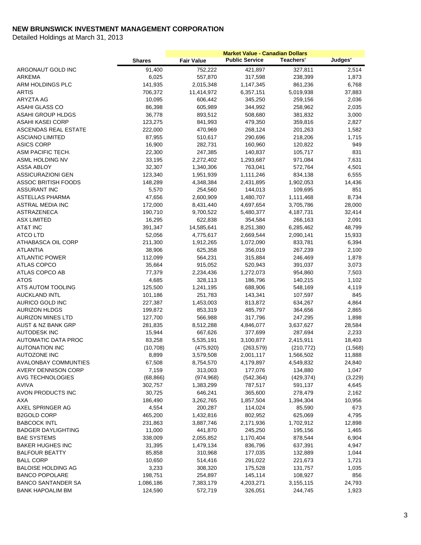|                               |               |                   | <b>Market Value - Canadian Dollars</b> |            |         |
|-------------------------------|---------------|-------------------|----------------------------------------|------------|---------|
|                               | <b>Shares</b> | <b>Fair Value</b> | <b>Public Service</b>                  | Teachers'  | Judges' |
| ARGONAUT GOLD INC             | 91,400        | 752,222           | 421,897                                | 327,811    | 2,514   |
| <b>ARKEMA</b>                 | 6,025         | 557,870           | 317,598                                | 238,399    | 1,873   |
| ARM HOLDINGS PLC              | 141,935       | 2,015,348         | 1,147,345                              | 861,236    | 6,768   |
| <b>ARTIS</b>                  | 706,372       | 11,414,972        | 6,357,151                              | 5,019,938  | 37,883  |
| ARYZTA AG                     | 10,095        | 606,442           | 345,250                                | 259,156    | 2,036   |
| ASAHI GLASS CO                | 86,398        | 605,989           | 344,992                                | 258,962    | 2,035   |
| <b>ASAHI GROUP HLDGS</b>      | 36,778        | 893,512           | 508,680                                | 381,832    | 3,000   |
| ASAHI KASEI CORP              | 123,275       | 841,993           | 479,350                                | 359,816    | 2,827   |
| <b>ASCENDAS REAL ESTATE</b>   | 222,000       | 470,969           | 268,124                                | 201,263    | 1,582   |
| <b>ASCIANO LIMITED</b>        | 87,955        | 510,617           | 290,696                                | 218,206    | 1,715   |
| <b>ASICS CORP</b>             | 16,900        | 282,731           | 160,960                                | 120,822    | 949     |
| ASM PACIFIC TECH.             | 22,300        | 247,385           | 140,837                                | 105,717    | 831     |
| ASML HOLDING NV               | 33,195        | 2,272,402         | 1,293,687                              | 971,084    | 7,631   |
| ASSA ABLOY                    | 32,307        | 1,340,306         | 763,041                                | 572,764    | 4,501   |
| <b>ASSICURAZIONI GEN</b>      | 123,340       | 1,951,939         | 1,111,246                              | 834,138    | 6,555   |
| <b>ASSOC BRITISH FOODS</b>    | 148,289       | 4,348,384         | 2,431,895                              | 1,902,053  | 14,436  |
| <b>ASSURANT INC</b>           | 5,570         | 254,560           | 144,013                                | 109,695    | 851     |
| ASTELLAS PHARMA               | 47,656        | 2,600,909         | 1,480,707                              | 1,111,468  | 8,734   |
| <b>ASTRAL MEDIA INC</b>       | 172,000       | 8,431,440         | 4,697,654                              | 3,705,786  | 28,000  |
| ASTRAZENECA                   | 190,710       | 9,700,522         | 5,480,377                              | 4,187,731  | 32,414  |
| <b>ASX LIMITED</b>            | 16,295        | 622,838           | 354,584                                | 266,163    | 2,091   |
| AT&T INC                      | 391,347       | 14,585,641        | 8,251,380                              | 6,285,462  | 48,799  |
| <b>ATCO LTD</b>               | 52,056        | 4,775,617         | 2,669,544                              | 2,090,141  | 15,933  |
| ATHABASCA OIL CORP            | 211,300       | 1,912,265         | 1,072,090                              | 833,781    | 6,394   |
| <b>ATLANTIA</b>               | 38,906        | 625,358           | 356,019                                | 267,239    | 2,100   |
| <b>ATLANTIC POWER</b>         | 112,099       | 564,231           | 315,884                                | 246,469    | 1,878   |
| ATLAS COPCO                   | 35,664        | 915,052           | 520,943                                | 391,037    | 3,073   |
| ATLAS COPCO AB                | 77,379        | 2,234,436         | 1,272,073                              | 954,860    | 7,503   |
| <b>ATOS</b>                   | 4,685         | 328,113           | 186,796                                | 140,215    | 1,102   |
| ATS AUTOM TOOLING             | 125,500       | 1,241,195         | 688,906                                | 548,169    | 4,119   |
| <b>AUCKLAND INTL</b>          | 101,186       | 251,783           | 143,341                                | 107,597    | 845     |
| AURICO GOLD INC               | 227,387       | 1,453,003         | 813,872                                | 634,267    | 4,864   |
| <b>AURIZON HLDGS</b>          | 199,872       | 853,319           | 485,797                                | 364,656    | 2,865   |
| <b>AURIZON MINES LTD</b>      | 127,700       | 566,988           | 317,796                                | 247,295    | 1,898   |
| <b>AUST &amp; NZ BANK GRP</b> | 281,835       | 8,512,288         | 4,846,077                              | 3,637,627  | 28,584  |
| <b>AUTODESK INC</b>           | 15,944        | 667,626           | 377,699                                | 287,694    | 2,233   |
| AUTOMATIC DATA PROC           | 83,258        | 5,535,191         | 3,100,877                              | 2,415,911  | 18,403  |
| <b>AUTONATION INC</b>         | (10, 708)     | (475, 920)        | (263, 579)                             | (210, 772) | (1,568) |
| <b>AUTOZONE INC</b>           | 8,899         | 3,579,508         | 2,001,117                              | 1,566,502  | 11,888  |
| <b>AVALONBAY COMMUNTIES</b>   | 67,508        | 8,754,570         | 4,179,897                              | 4,549,832  | 24,840  |
| AVERY DENNISON CORP           | 7,159         | 313,003           | 177,076                                | 134,880    | 1,047   |
| AVG TECHNOLOGIES              | (68, 866)     | (974, 968)        | (542, 364)                             | (429, 374) | (3,229) |
| <b>AVIVA</b>                  | 302,757       | 1,383,299         | 787,517                                | 591,137    | 4,645   |
| AVON PRODUCTS INC             | 30,725        | 646,241           | 365,600                                | 278,479    | 2,162   |
| <b>AXA</b>                    | 186,490       | 3,262,765         | 1,857,504                              | 1,394,304  | 10,956  |
| AXEL SPRINGER AG              | 4,554         | 200,287           | 114,024                                | 85,590     | 673     |
| <b>B2GOLD CORP</b>            | 465,200       | 1,432,816         | 802,952                                | 625,069    | 4,795   |
| <b>BABCOCK INTL</b>           | 231,863       | 3,887,746         | 2,171,936                              | 1,702,912  | 12,898  |
| <b>BADGER DAYLIGHTING</b>     | 11,000        | 441,870           | 245,250                                | 195,156    | 1,465   |
| <b>BAE SYSTEMS</b>            | 338,009       | 2,055,852         | 1,170,404                              | 878,544    | 6,904   |
| <b>BAKER HUGHES INC</b>       | 31,395        | 1,479,134         | 836,796                                | 637,391    | 4,947   |
|                               |               |                   |                                        |            |         |
| <b>BALFOUR BEATTY</b>         | 85,858        | 310,968           | 177,035                                | 132,889    | 1,044   |
| <b>BALL CORP</b>              | 10,650        | 514,416           | 291,022                                | 221,673    | 1,721   |
| <b>BALOISE HOLDING AG</b>     | 3,233         | 308,320           | 175,528                                | 131,757    | 1,035   |
| <b>BANCO POPOLARE</b>         | 198,751       | 254,897           | 145,114                                | 108,927    | 856     |
| <b>BANCO SANTANDER SA</b>     | 1,086,186     | 7,383,179         | 4,203,271                              | 3,155,115  | 24,793  |
| <b>BANK HAPOALIM BM</b>       | 124,590       | 572,719           | 326,051                                | 244,745    | 1,923   |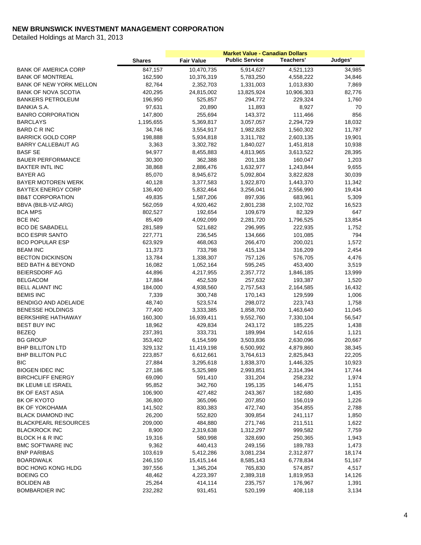|                                |               |                   | <b>Market Value - Canadian Dollars</b> |            |         |
|--------------------------------|---------------|-------------------|----------------------------------------|------------|---------|
|                                | <b>Shares</b> | <b>Fair Value</b> | <b>Public Service</b>                  | Teachers'  | Judges' |
| <b>BANK OF AMERICA CORP</b>    | 847,157       | 10,470,735        | 5,914,627                              | 4,521,123  | 34,985  |
| <b>BANK OF MONTREAL</b>        | 162,590       | 10,376,319        | 5,783,250                              | 4,558,222  | 34,846  |
| <b>BANK OF NEW YORK MELLON</b> | 82,764        | 2,352,703         | 1,331,003                              | 1,013,830  | 7,869   |
| <b>BANK OF NOVA SCOTIA</b>     | 420,295       | 24,815,002        | 13,825,924                             | 10,906,303 | 82,776  |
| <b>BANKERS PETROLEUM</b>       | 196,950       | 525,857           | 294,772                                | 229,324    | 1,760   |
| BANKIA S.A.                    | 97,631        | 20,890            | 11,893                                 | 8,927      | 70      |
| <b>BANRO CORPORATION</b>       | 147,800       | 255,694           | 143,372                                | 111,466    | 856     |
| <b>BARCLAYS</b>                | 1,195,655     | 5,369,817         | 3,057,057                              | 2,294,729  | 18,032  |
| <b>BARD C R INC</b>            | 34,746        | 3,554,917         | 1,982,828                              | 1,560,302  | 11,787  |
| <b>BARRICK GOLD CORP</b>       | 198,888       | 5,934,818         | 3,311,782                              | 2,603,135  | 19,901  |
| BARRY CALLEBAUT AG             | 3,363         | 3,302,782         | 1,840,027                              | 1,451,818  | 10,938  |
| <b>BASF SE</b>                 | 94,977        | 8,455,883         | 4,813,965                              | 3,613,522  | 28,395  |
| <b>BAUER PERFORMANCE</b>       | 30,300        | 362,388           | 201,138                                | 160,047    | 1,203   |
| <b>BAXTER INTL INC</b>         | 38,868        | 2,886,476         | 1,632,977                              | 1,243,844  | 9,655   |
| BAYER AG                       | 85,070        | 8,945,672         | 5,092,804                              | 3,822,828  | 30,039  |
| <b>BAYER MOTOREN WERK</b>      | 40,128        | 3,377,583         | 1,922,870                              | 1,443,370  | 11,342  |
| <b>BAYTEX ENERGY CORP</b>      | 136,400       | 5,832,464         | 3,256,041                              | 2,556,990  | 19,434  |
| <b>BB&amp;T CORPORATION</b>    | 49,835        | 1,587,206         | 897,936                                | 683,961    | 5,309   |
| BBVA (BILB-VIZ-ARG)            | 562,059       | 4,920,462         | 2,801,238                              | 2,102,702  | 16,523  |
| <b>BCA MPS</b>                 | 802,527       | 192,654           | 109,679                                | 82,329     | 647     |
| <b>BCE INC</b>                 | 85,409        | 4,092,099         | 2,281,720                              | 1,796,525  | 13,854  |
| <b>BCO DE SABADELL</b>         | 281,589       | 521,682           | 296,995                                | 222,935    | 1,752   |
| <b>BCO ESPIR SANTO</b>         | 227,771       | 236,545           | 134,666                                | 101,085    | 794     |
| <b>BCO POPULAR ESP</b>         | 623,929       | 468,063           | 266,470                                | 200,021    | 1,572   |
| <b>BEAM INC</b>                | 11,373        | 733,798           | 415,134                                | 316,209    | 2,454   |
| BECTON DICKINSON               | 13,784        | 1,338,307         | 757,126                                | 576,705    | 4,476   |
| <b>BED BATH &amp; BEYOND</b>   | 16,082        | 1,052,164         | 595,245                                | 453,400    | 3,519   |
| <b>BEIERSDORF AG</b>           | 44,896        | 4,217,955         | 2,357,772                              | 1,846,185  | 13,999  |
| <b>BELGACOM</b>                | 17,884        | 452,539           | 257,632                                | 193,387    | 1,520   |
| <b>BELL ALIANT INC</b>         | 184,000       | 4,938,560         | 2,757,543                              | 2,164,585  | 16,432  |
| <b>BEMIS INC</b>               | 7,339         | 300,748           | 170,143                                | 129,599    | 1,006   |
| BENDIGO AND ADELAIDE           | 48,740        | 523,574           | 298,072                                | 223,743    | 1,758   |
| <b>BENESSE HOLDINGS</b>        | 77,400        | 3,333,385         | 1,858,700                              | 1,463,640  | 11,045  |
| <b>BERKSHIRE HATHAWAY</b>      | 160,300       | 16,939,411        | 9,552,760                              | 7,330,104  | 56,547  |
| <b>BEST BUY INC</b>            | 18,962        | 429,834           | 243,172                                | 185,225    | 1,438   |
| <b>BEZEQ</b>                   | 237,391       | 333,731           | 189,994                                | 142,616    | 1,121   |
| <b>BG GROUP</b>                | 353,402       | 6,154,599         | 3,503,836                              | 2,630,096  | 20,667  |
| <b>BHP BILLITON LTD</b>        | 329,132       | 11,419,198        | 6,500,992                              | 4,879,860  | 38,345  |
| <b>BHP BILLITON PLC</b>        | 223,857       | 6,612,661         | 3,764,613                              | 2,825,843  | 22,205  |
| <b>BIC</b>                     | 27,884        | 3,295,618         | 1,838,370                              | 1,446,325  | 10,923  |
| <b>BIOGEN IDEC INC</b>         | 27,186        | 5,325,989         | 2,993,851                              | 2,314,394  | 17,744  |
| <b>BIRCHCLIFF ENERGY</b>       | 69,090        | 591,410           | 331,204                                | 258,232    | 1,974   |
| BK LEUMI LE ISRAEL             | 95,852        | 342,760           | 195,135                                | 146,475    | 1,151   |
| <b>BK OF EAST ASIA</b>         | 106,900       | 427,482           | 243,367                                | 182,680    | 1,435   |
| BK OF KYOTO                    | 36,800        | 365,096           | 207,850                                | 156,019    | 1,226   |
| BK OF YOKOHAMA                 | 141,502       | 830,383           | 472,740                                | 354,855    | 2,788   |
| <b>BLACK DIAMOND INC</b>       | 26,200        | 552,820           | 309,854                                | 241,117    | 1,850   |
| <b>BLACKPEARL RESOURCES</b>    | 209,000       | 484,880           | 271,746                                | 211,511    | 1,622   |
| <b>BLACKROCK INC</b>           | 8,900         | 2,319,638         | 1,312,297                              | 999,582    | 7,759   |
| BLOCK H & R INC                | 19,316        | 580,998           | 328,690                                | 250,365    | 1,943   |
| <b>BMC SOFTWARE INC</b>        | 9,362         | 440,413           | 249,156                                | 189,783    | 1,473   |
| <b>BNP PARIBAS</b>             | 103,619       | 5,412,286         | 3,081,234                              | 2,312,877  | 18,174  |
| <b>BOARDWALK</b>               | 246,150       | 15,415,144        | 8,585,143                              | 6,778,834  | 51,167  |
| <b>BOC HONG KONG HLDG</b>      | 397,556       | 1,345,204         | 765,830                                | 574,857    | 4,517   |
| <b>BOEING CO</b>               | 48,462        | 4,223,397         | 2,389,318                              | 1,819,953  | 14,126  |
| <b>BOLIDEN AB</b>              | 25,264        | 414,114           | 235,757                                | 176,967    | 1,391   |
| <b>BOMBARDIER INC</b>          | 232,282       | 931,451           | 520,199                                | 408,118    | 3,134   |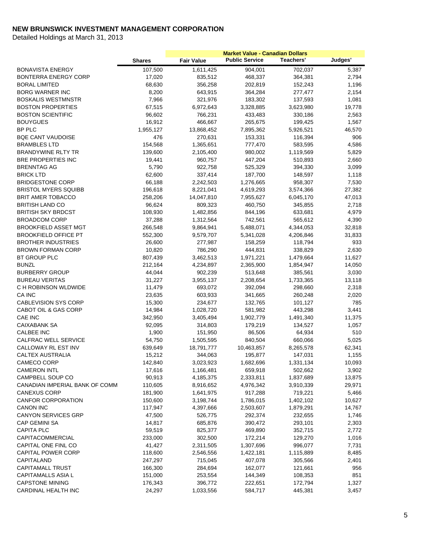|                                |               |                        | <b>Market Value - Canadian Dollars</b> |           |         |
|--------------------------------|---------------|------------------------|----------------------------------------|-----------|---------|
|                                | <b>Shares</b> | <b>Fair Value</b>      | <b>Public Service</b>                  | Teachers' | Judges' |
| <b>BONAVISTA ENERGY</b>        | 107,500       | $\overline{1,}611,425$ | 904,001                                | 702,037   | 5,387   |
| BONTERRA ENERGY CORP           | 17,020        | 835,512                | 468,337                                | 364,381   | 2,794   |
| <b>BORAL LIMITED</b>           | 68,630        | 356,258                | 202,819                                | 152,243   | 1,196   |
| <b>BORG WARNER INC</b>         | 8,200         | 643,915                | 364,284                                | 277,477   | 2,154   |
| <b>BOSKALIS WESTMNSTR</b>      | 7,966         | 321,976                | 183,302                                | 137,593   | 1,081   |
| <b>BOSTON PROPERTIES</b>       | 67,515        | 6,972,643              | 3,328,885                              | 3,623,980 | 19,778  |
| <b>BOSTON SCIENTIFIC</b>       | 96,602        | 766,231                | 433,483                                | 330,186   | 2,563   |
| <b>BOUYGUES</b>                | 16,912        | 466,667                | 265,675                                | 199,425   | 1,567   |
| <b>BP PLC</b>                  | 1,955,127     | 13,868,452             | 7,895,362                              | 5,926,521 | 46,570  |
| <b>BQE CANT VAUDOISE</b>       | 476           | 270,631                | 153,331                                | 116,394   | 906     |
| <b>BRAMBLES LTD</b>            | 154,568       | 1,365,651              | 777,470                                | 583,595   | 4,586   |
| <b>BRANDYWINE RLTY TR</b>      | 139,600       | 2,105,400              | 980,002                                | 1,119,569 | 5,829   |
| BRE PROPERTIES INC             | 19,441        | 960,757                | 447,204                                | 510,893   | 2,660   |
| <b>BRENNTAG AG</b>             | 5,790         | 922,758                | 525,329                                | 394,330   | 3,099   |
| <b>BRICK LTD</b>               | 62,600        | 337,414                | 187,700                                | 148,597   | 1,118   |
| <b>BRIDGESTONE CORP</b>        | 66,188        | 2,242,503              | 1,276,665                              | 958,307   | 7,530   |
| <b>BRISTOL MYERS SQUIBB</b>    | 196,618       | 8,221,041              | 4,619,293                              | 3,574,366 | 27,382  |
| <b>BRIT AMER TOBACCO</b>       | 258,206       | 14,047,810             | 7,955,627                              | 6,045,170 | 47,013  |
| <b>BRITISH LAND CO</b>         | 96,624        | 809,323                | 460,750                                | 345,855   | 2,718   |
| <b>BRITISH SKY BRDCST</b>      | 108,930       | 1,482,856              | 844,196                                | 633,681   | 4,979   |
| <b>BROADCOM CORP</b>           | 37,288        | 1,312,564              | 742,561                                | 565,612   | 4,390   |
| <b>BROOKFIELD ASSET MGT</b>    | 266,548       | 9,864,941              | 5,488,071                              | 4,344,053 | 32,818  |
| <b>BROOKFIELD OFFICE PT</b>    | 552,300       | 9,579,707              | 5,341,028                              | 4,206,846 | 31,833  |
| <b>BROTHER INDUSTRIES</b>      | 26,600        | 277,987                | 158,259                                | 118,794   | 933     |
| <b>BROWN FORMAN CORP</b>       | 10,820        | 786,290                | 444,831                                | 338,829   | 2,630   |
| BT GROUP PLC                   | 807,439       | 3,462,513              | 1,971,221                              | 1,479,664 | 11,627  |
| <b>BUNZL</b>                   | 212,164       | 4,234,897              | 2,365,900                              | 1,854,947 | 14,050  |
| <b>BURBERRY GROUP</b>          | 44,044        | 902,239                | 513,648                                | 385,561   | 3,030   |
| <b>BUREAU VERITAS</b>          | 31,227        | 3,955,137              | 2,208,654                              | 1,733,365 | 13,118  |
| C H ROBINSON WLDWIDE           | 11,479        | 693,072                | 392,094                                | 298,660   | 2,318   |
| CA INC                         | 23,635        | 603,933                | 341,665                                | 260,248   | 2,020   |
| <b>CABLEVISION SYS CORP</b>    | 15,300        | 234,677                | 132,765                                | 101,127   | 785     |
| CABOT OIL & GAS CORP           | 14,984        | 1,028,720              | 581,982                                | 443,298   | 3,441   |
| CAE INC                        | 342,950       | 3,405,494              | 1,902,779                              | 1,491,340 | 11,375  |
| CAIXABANK SA                   | 92,095        | 314,803                | 179,219                                | 134,527   | 1,057   |
| <b>CALBEE INC</b>              | 1,900         | 151,950                | 86,506                                 | 64,934    | 510     |
| CALFRAC WELL SERVICE           | 54,750        | 1,505,595              | 840,504                                | 660,066   | 5,025   |
| <b>CALLOWAY RL EST INV</b>     | 639,649       | 18,791,777             | 10,463,857                             | 8,265,578 | 62,341  |
| CALTEX AUSTRALIA               | 15,212        | 344,063                | 195,877                                | 147,031   | 1,155   |
| CAMECO CORP                    | 142,840       | 3,023,923              | 1,682,696                              | 1,331,134 | 10,093  |
| <b>CAMERON INTL</b>            | 17,616        | 1,166,481              | 659,918                                | 502,662   | 3,902   |
| CAMPBELL SOUP CO               | 90,913        | 4,185,375              | 2,333,811                              | 1,837,689 | 13,875  |
| CANADIAN IMPERIAL BANK OF COMM | 110,605       | 8,916,652              | 4,976,342                              | 3,910,339 | 29,971  |
| <b>CANEXUS CORP</b>            | 181,900       | 1,641,975              | 917,288                                | 719,221   | 5,466   |
| <b>CANFOR CORPORATION</b>      | 150,600       | 3,198,744              | 1,786,015                              | 1,402,102 | 10,627  |
| <b>CANON INC</b>               | 117,947       | 4,397,666              | 2,503,607                              | 1,879,291 | 14,767  |
| <b>CANYON SERVICES GRP</b>     | 47,500        | 526,775                | 292,374                                | 232,655   | 1,746   |
| CAP GEMINI SA                  | 14,817        | 685,876                | 390,472                                | 293,101   | 2,303   |
| <b>CAPITA PLC</b>              | 59,519        | 825,377                | 469,890                                | 352,715   | 2,772   |
| CAPITACOMMERCIAL               | 233,000       | 302,500                | 172,214                                | 129,270   | 1,016   |
| CAPITAL ONE FINL CO            | 41,427        | 2,311,505              | 1,307,696                              | 996,077   | 7,731   |
| <b>CAPITAL POWER CORP</b>      | 118,600       | 2,546,556              | 1,422,181                              | 1,115,889 | 8,485   |
| CAPITALAND                     | 247,297       | 715,045                | 407,078                                | 305,566   | 2,401   |
| <b>CAPITAMALL TRUST</b>        | 166,300       | 284,694                | 162,077                                | 121,661   | 956     |
| <b>CAPITAMALLS ASIA L</b>      | 151,000       | 253,554                | 144,349                                | 108,353   | 851     |
| <b>CAPSTONE MINING</b>         | 176,343       | 396,772                | 222,651                                | 172,794   | 1,327   |
| CARDINAL HEALTH INC            | 24,297        | 1,033,556              | 584,717                                | 445,381   | 3,457   |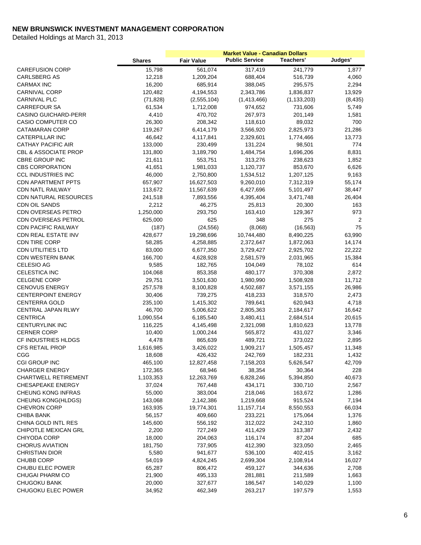|                                 | <b>Shares</b> | <b>Fair Value</b> | <b>Public Service</b> | <b>Teachers'</b> | Judges'  |
|---------------------------------|---------------|-------------------|-----------------------|------------------|----------|
| <b>CAREFUSION CORP</b>          | 15,798        | 561,074           | 317,419               | 241,779          | 1,877    |
| <b>CARLSBERG AS</b>             | 12,218        | 1,209,204         | 688,404               | 516,739          | 4,060    |
| <b>CARMAX INC</b>               | 16,200        | 685,914           | 388,045               | 295,575          | 2,294    |
| <b>CARNIVAL CORP</b>            | 120,482       | 4,194,553         | 2,343,786             | 1,836,837        | 13,929   |
| <b>CARNIVAL PLC</b>             | (71, 828)     | (2,555,104)       | (1,413,466)           | (1, 133, 203)    | (8, 435) |
| <b>CARREFOUR SA</b>             | 61,534        | 1,712,008         | 974,652               | 731,606          | 5,749    |
| <b>CASINO GUICHARD-PERR</b>     | 4,410         | 470,702           | 267,973               | 201,149          | 1,581    |
| <b>CASIO COMPUTER CO</b>        | 26,300        | 208,342           | 118,610               | 89,032           | 700      |
| <b>CATAMARAN CORP</b>           | 119,267       | 6,414,179         | 3,566,920             | 2,825,973        | 21,286   |
| <b>CATERPILLAR INC</b>          | 46,642        | 4,117,841         | 2,329,601             | 1,774,466        | 13,773   |
| <b>CATHAY PACIFIC AIR</b>       | 133,000       | 230,499           | 131,224               | 98,501           | 774      |
| <b>CBL &amp; ASSOCIATE PROP</b> | 131,800       | 3,189,790         | 1,484,754             | 1,696,206        | 8,831    |
| <b>CBRE GROUP INC</b>           | 21,611        | 553,751           | 313,276               | 238,623          | 1,852    |
| <b>CBS CORPORATION</b>          | 41,651        | 1,981,033         | 1,120,737             | 853,670          | 6,626    |
| <b>CCL INDUSTRIES INC</b>       | 46,000        | 2,750,800         | 1,534,512             | 1,207,125        | 9,163    |
| <b>CDN APARTMENT PPTS</b>       | 657,907       | 16,627,503        | 9,260,010             | 7,312,319        | 55,174   |
| <b>CDN NATL RAILWAY</b>         | 113,672       | 11,567,639        | 6,427,696             | 5,101,497        | 38,447   |
| CDN NATURAL RESOURCES           | 241,518       | 7,893,556         | 4,395,404             | 3,471,748        | 26,404   |
| <b>CDN OIL SANDS</b>            | 2,212         | 46,275            | 25,813                | 20,300           | 163      |
| CDN OVERSEAS PETRO              | 1,250,000     | 293,750           | 163,410               | 129,367          | 973      |
| <b>CDN OVERSEAS PETROL</b>      | 625,000       | 625               | 348                   | 275              | 2        |
| <b>CDN PACIFIC RAILWAY</b>      | (187)         | (24, 556)         | (8,068)               | (16, 563)        | 75       |
| CDN REAL ESTATE INV             | 428,677       | 19,298,696        | 10,744,480            | 8,490,225        | 63,990   |
| CDN TIRE CORP                   | 58,285        | 4,258,885         | 2,372,647             | 1,872,063        | 14,174   |
| <b>CDN UTILITIES LTD</b>        | 83,000        | 6,677,350         | 3,729,427             | 2,925,702        | 22,222   |
| <b>CDN WESTERN BANK</b>         | 166,700       | 4,628,928         | 2,581,579             | 2,031,965        | 15,384   |
| <b>CELESIO AG</b>               | 9,585         | 182,765           | 104,049               | 78,102           | 614      |
| <b>CELESTICA INC</b>            | 104,068       | 853,358           | 480,177               | 370,308          | 2,872    |
| <b>CELGENE CORP</b>             | 29,751        | 3,501,630         | 1,980,990             | 1,508,928        | 11,712   |
| <b>CENOVUS ENERGY</b>           | 257,578       | 8,100,828         | 4,502,687             | 3,571,155        | 26,986   |
| <b>CENTERPOINT ENERGY</b>       | 30,406        | 739,275           | 418,233               | 318,570          | 2,473    |
| <b>CENTERRA GOLD</b>            | 235,100       | 1,415,302         | 789,641               | 620,943          | 4,718    |
| <b>CENTRAL JAPAN RLWY</b>       | 46,700        | 5,006,622         | 2,805,363             | 2,184,617        | 16,642   |
| <b>CENTRICA</b>                 | 1,090,554     | 6,185,540         | 3,480,411             | 2,684,514        | 20,615   |
| <b>CENTURYLINK INC</b>          | 116,225       | 4,145,498         | 2,321,098             | 1,810,623        | 13,778   |
| <b>CERNER CORP</b>              | 10,400        | 1,000,244         | 565,872               | 431,027          | 3,346    |
| CF INDUSTRIES HLDGS             | 4,478         | 865,639           | 489,721               | 373,022          | 2,895    |
| <b>CFS RETAIL PROP</b>          | 1,616,985     | 3,426,022         | 1,909,217             | 1,505,457        | 11,348   |
| CGG                             | 18,608        | 426,432           | 242,769               | 182,231          | 1,432    |
| CGI GROUP INC                   | 465,100       | 12,827,458        | 7,158,203             | 5,626,547        | 42,709   |
| <b>CHARGER ENERGY</b>           | 172,365       | 68,946            | 38,354                | 30,364           | 228      |
| <b>CHARTWELL RETIREMENT</b>     | 1,103,353     | 12,263,769        | 6,828,246             | 5,394,850        | 40,673   |
| <b>CHESAPEAKE ENERGY</b>        | 37,024        | 767,448           | 434,171               | 330,710          | 2,567    |
| <b>CHEUNG KONG INFRAS</b>       | 55,000        | 383,004           | 218,046               | 163,672          | 1,286    |
| CHEUNG KONG(HLDGS)              | 143,068       | 2,142,386         | 1,219,668             | 915,524          | 7,194    |
| <b>CHEVRON CORP</b>             | 163,935       | 19,774,301        | 11,157,714            | 8,550,553        | 66,034   |
| CHIBA BANK                      | 56,157        | 409,660           | 233,221               | 175,064          | 1,376    |
| CHINA GOLD INTL RES             | 145,600       | 556,192           | 312,022               | 242,310          | 1,860    |
| CHIPOTLE MEXICAN GRL            | 2,200         | 727,249           | 411,429               | 313,387          | 2,432    |
| <b>CHIYODA CORP</b>             | 18,000        | 204,063           | 116,174               | 87,204           | 685      |
| <b>CHORUS AVIATION</b>          | 181,750       | 737,905           | 412,390               | 323,050          | 2,465    |
| <b>CHRISTIAN DIOR</b>           | 5,580         | 941,677           | 536,100               | 402,415          | 3,162    |
| <b>CHUBB CORP</b>               | 54,019        | 4,824,245         | 2,699,304             | 2,108,914        | 16,027   |
| CHUBU ELEC POWER                | 65,287        | 806,472           | 459,127               | 344,636          | 2,708    |
| CHUGAI PHARM CO                 | 21,900        | 495,133           | 281,881               | 211,589          | 1,663    |
| <b>CHUGOKU BANK</b>             | 20,000        | 327,677           | 186,547               | 140,029          | 1,100    |
| CHUGOKU ELEC POWER              | 34,952        | 462,349           | 263,217               | 197,579          | 1,553    |
|                                 |               |                   |                       |                  |          |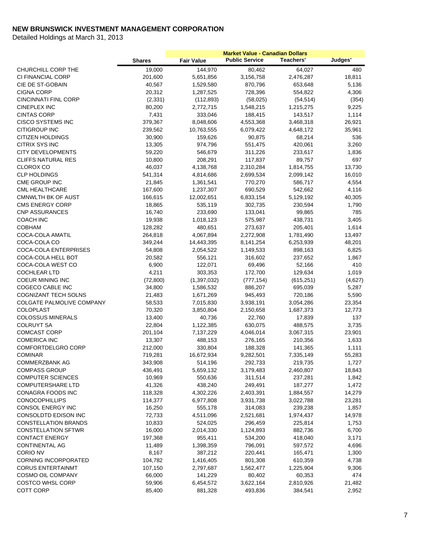|                              | <b>Shares</b> | <b>Fair Value</b> | <b>Public Service</b> | Teachers'  | Judges' |
|------------------------------|---------------|-------------------|-----------------------|------------|---------|
| CHURCHILL CORP THE           | 19,000        | 144,970           | 80,462                | 64,027     | 480     |
| CI FINANCIAL CORP            | 201,600       | 5,651,856         | 3,156,758             | 2,476,287  | 18,811  |
| CIE DE ST-GOBAIN             | 40,567        | 1,529,580         | 870,796               | 653,648    | 5,136   |
| <b>CIGNA CORP</b>            | 20,312        | 1,287,525         | 728,396               | 554,822    | 4,306   |
| <b>CINCINNATI FINL CORP</b>  | (2, 331)      | (112, 893)        | (58,025)              | (54, 514)  | (354)   |
| <b>CINEPLEX INC</b>          | 80,200        | 2,772,715         | 1,548,215             | 1,215,275  | 9,225   |
| <b>CINTAS CORP</b>           | 7,431         | 333,046           | 188,415               | 143,517    | 1,114   |
| <b>CISCO SYSTEMS INC</b>     | 379,367       | 8,048,606         | 4,553,368             | 3,468,318  | 26,921  |
| <b>CITIGROUP INC</b>         | 239,562       | 10,763,555        | 6,079,422             | 4,648,172  | 35,961  |
| <b>CITIZEN HOLDINGS</b>      | 30,900        | 159,626           | 90,875                | 68,214     | 536     |
| <b>CITRIX SYS INC</b>        | 13,305        | 974,796           | 551,475               | 420,061    | 3,260   |
| <b>CITY DEVELOPMENTS</b>     | 59,220        | 546,679           | 311,226               | 233,617    | 1,836   |
| <b>CLIFFS NATURAL RES</b>    | 10,800        | 208,291           | 117,837               | 89,757     | 697     |
| <b>CLOROX CO</b>             | 46,037        | 4,138,768         | 2,310,284             | 1,814,755  | 13,730  |
| <b>CLP HOLDINGS</b>          | 541,314       | 4,814,686         | 2,699,534             | 2,099,142  | 16,010  |
| CME GROUP INC                | 21,845        | 1,361,541         | 770,270               | 586,717    | 4,554   |
| <b>CML HEALTHCARE</b>        | 167,600       | 1,237,307         | 690,529               | 542,662    | 4,116   |
| <b>CMNWLTH BK OF AUST</b>    | 166,615       | 12,002,651        | 6,833,154             | 5,129,192  | 40,305  |
| <b>CMS ENERGY CORP</b>       | 18,865        | 535,119           | 302,735               | 230,594    | 1,790   |
| <b>CNP ASSURANCES</b>        | 16,740        | 233,690           | 133,041               | 99,865     | 785     |
| <b>COACH INC</b>             | 19,938        | 1,018,123         | 575,987               | 438,731    | 3,405   |
| <b>COBHAM</b>                | 128,282       | 480,651           | 273,637               | 205,401    | 1,614   |
| COCA-COLA AMATIL             | 264,818       | 4,067,894         | 2,272,908             | 1,781,490  | 13,497  |
| COCA-COLA CO                 | 349,244       | 14,443,395        | 8,141,254             | 6,253,939  | 48,201  |
| <b>COCA-COLA ENTERPRISES</b> | 54,808        | 2,054,522         | 1,149,533             | 898,163    | 6,825   |
| COCA-COLA HELL BOT           | 20,582        | 556,121           | 316,602               | 237,652    | 1,867   |
| COCA-COLA WEST CO            | 6,900         | 122,071           | 69,496                | 52,166     | 410     |
| <b>COCHLEAR LTD</b>          | 4,211         | 303,353           | 172,700               | 129,634    | 1,019   |
| <b>COEUR MINING INC</b>      | (72, 800)     | (1, 397, 032)     | (777, 154)            | (615, 251) | (4,627) |
| COGECO CABLE INC             | 34,800        | 1,586,532         | 886,207               | 695,039    | 5,287   |
| <b>COGNIZANT TECH SOLNS</b>  | 21,483        | 1,671,269         | 945,493               | 720,186    | 5,590   |
| COLGATE PALMOLIVE COMPANY    | 58,533        | 7,015,830         | 3,938,191             | 3,054,286  | 23,354  |
| <b>COLOPLAST</b>             | 70,320        | 3,850,804         | 2,150,658             | 1,687,373  | 12,773  |
| <b>COLOSSUS MINERALS</b>     | 13,400        | 40,736            | 22,760                | 17,839     | 137     |
| <b>COLRUYT SA</b>            | 22,804        | 1,122,385         | 630,075               | 488,575    | 3,735   |
| <b>COMCAST CORP</b>          | 201,104       | 7,137,229         | 4,046,014             | 3,067,315  | 23,901  |
| <b>COMERICA INC</b>          | 13,307        | 488,153           | 276,165               | 210,356    | 1,633   |
| <b>COMFORTDELGRO CORP</b>    | 212,000       | 330,804           | 188,328               | 141,365    | 1,111   |
| <b>COMINAR</b>               | 719,281       | 16,672,934        | 9,282,501             | 7,335,149  | 55,283  |
| <b>COMMERZBANK AG</b>        | 343,908       | 514,196           | 292,733               | 219,735    | 1,727   |
| <b>COMPASS GROUP</b>         | 436,491       | 5,659,132         | 3,179,483             | 2,460,807  | 18,843  |
| <b>COMPUTER SCIENCES</b>     | 10,969        | 550,636           | 311,514               | 237,281    | 1,842   |
| <b>COMPUTERSHARE LTD</b>     | 41,326        | 438,240           | 249,491               | 187,277    | 1,472   |
| CONAGRA FOODS INC            | 118,328       | 4,302,226         | 2,403,391             | 1,884,557  | 14,279  |
| <b>CONOCOPHILLIPS</b>        | 114,377       | 6,977,808         | 3,931,738             | 3,022,788  | 23,281  |
| CONSOL ENERGY INC            | 16,250        | 555,178           | 314,083               | 239,238    | 1,857   |
| CONSOLDTD EDISON INC         | 72,733        | 4,511,096         | 2,521,681             | 1,974,437  | 14,978  |
| CONSTELLATION BRANDS         | 10,833        | 524,025           | 296,459               | 225,814    | 1,753   |
| <b>CONSTELLATION SFTWR</b>   | 16,000        | 2,014,330         | 1,124,893             | 882,736    | 6,700   |
| <b>CONTACT ENERGY</b>        | 197,368       | 955,411           | 534,200               | 418,040    | 3,171   |
| <b>CONTINENTAL AG</b>        | 11,489        | 1,398,359         | 796,091               | 597,572    | 4,696   |
| <b>CORIO NV</b>              | 8,167         | 387,212           | 220,441               | 165,471    | 1,300   |
| <b>CORNING INCORPORATED</b>  | 104,782       | 1,416,405         | 801,308               | 610,359    | 4,738   |
| <b>CORUS ENTERTAINMT</b>     | 107,150       | 2,797,687         | 1,562,477             | 1,225,904  | 9,306   |
| COSMO OIL COMPANY            | 66,000        | 141,229           | 80,402                | 60,353     | 474     |
| <b>COSTCO WHSL CORP</b>      | 59,906        | 6,454,572         | 3,622,164             | 2,810,926  | 21,482  |
| COTT CORP                    | 85,400        | 881,328           | 493,836               | 384,541    | 2,952   |
|                              |               |                   |                       |            |         |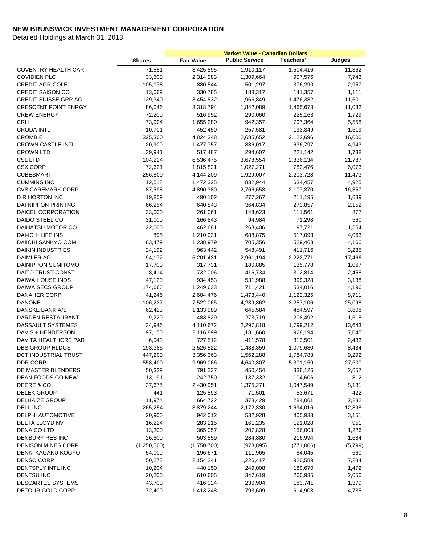| <b>Public Service</b><br>Teachers'<br>Judges'<br><b>Fair Value</b><br><b>Shares</b><br>71,551<br>11,362<br><b>COVENTRY HEALTH CAR</b><br>3,425,895<br>1,910,117<br>1,504,416<br>33,600<br><b>COVIDIEN PLC</b><br>2,314,983<br>1,309,664<br>997,576<br>7,743<br>105,078<br>880,544<br><b>CREDIT AGRICOLE</b><br>501,297<br>376,290<br>2,957<br><b>CREDIT SAISON CO</b><br>13,069<br>330,785<br>188,317<br>141,357<br>1,111<br><b>CREDIT SUISSE GRP AG</b><br>129,340<br>11,601<br>3,454,832<br>1,966,849<br>1,476,382<br><b>CRESCENT POINT ENRGY</b><br>86,046<br>3,318,794<br>1,842,089<br>1,465,673<br>11,032<br><b>CREW ENERGY</b><br>72,200<br>516,952<br>290,060<br>225,163<br>1,729<br><b>CRH</b><br>73,904<br>1,655,280<br>707,364<br>5,558<br>942,357<br><b>CRODA INTL</b><br>10,701<br>452,450<br>193,349<br>1,519<br>257,581<br>16,000<br><b>CROMBIE</b><br>325,300<br>4,824,348<br>2,685,652<br>2,122,696<br><b>CROWN CASTLE INTL</b><br>20,900<br>1,477,757<br>836,017<br>636,797<br>4,943<br><b>CROWN LTD</b><br>39,941<br>517,487<br>294,607<br>221,142<br>1,738<br><b>CSL LTD</b><br>104,224<br>6,536,475<br>3,678,554<br>2,836,134<br>21,787<br>6,073<br><b>CSX CORP</b><br>72,621<br>1,815,821<br>1,027,271<br>782,476<br><b>CUBESMART</b><br>256,800<br>1,929,007<br>2,203,728<br>11,473<br>4,144,209<br><b>CUMMINS INC</b><br>4,925<br>12,518<br>1,472,325<br>832,944<br>634,457<br><b>CVS CAREMARK CORP</b><br>87,598<br>4,890,380<br>2,766,653<br>2,107,370<br>16,357<br>D R HORTON INC<br>19,859<br>490,102<br>277,267<br>211,195<br>1,639<br>DAI NIPPON PRINTNG<br>66,254<br>640,843<br>364,834<br>273,857<br>2,152<br>33,000<br>DAICEL CORPORATION<br>261,061<br>148,623<br>111,561<br>877<br>DAIDO STEEL CO<br>31,000<br>166,843<br>94,984<br>71,298<br>560<br>DAIHATSU MOTOR CO<br>22,000<br>462,681<br>263,406<br>197,721<br>1,554<br><b>DAI-ICHI LIFE INS</b><br>895<br>1,210,031<br>688,875<br>517,093<br>4,063<br>63,479<br>DAIICHI SANKYO COM<br>1,238,979<br>705,356<br>529,463<br>4,160<br><b>DAIKIN INDUSTRIES</b><br>24,192<br>963,442<br>548,491<br>411,716<br>3,235<br>DAIMLER AG<br>94,172<br>5,201,431<br>2,961,194<br>2,222,771<br>17,466<br>DAINIPPON SUMITOMO<br>17,700<br>317,731<br>135,778<br>1,067<br>180,885<br>DAITO TRUST CONST<br>8,414<br>732,006<br>416,734<br>312,814<br>2,458<br>DAIWA HOUSE INDS<br>47,120<br>934,453<br>531,988<br>399,328<br>3,138<br>DAIWA SECS GROUP<br>174,666<br>1,249,633<br>711,421<br>534,016<br>4,196<br>DANAHER CORP<br>41,246<br>2,604,476<br>1,473,440<br>8,711<br>1,122,325<br>25,098<br><b>DANONE</b><br>106,237<br>7,522,065<br>4,239,862<br>3,257,106<br>DANSKE BANK A/S<br>3,808<br>62,423<br>1,133,989<br>645,584<br>484,597<br><b>DARDEN RESTAURANT</b><br>9,220<br>483,829<br>273,719<br>208,492<br>1,618<br>DASSAULT SYSTEMES<br>34,946<br>4,110,672<br>2,297,818<br>1,799,212<br>13,643<br>DAVIS + HENDERSON<br>97,150<br>2,116,899<br>1,181,660<br>928,194<br>7,045<br>DAVITA HEALTHCRE PAR<br>6,043<br>727,512<br>2,433<br>411,578<br>313,501<br><b>DBS GROUP HLDGS</b><br>193,385<br>2,526,522<br>1,079,680<br>8,484<br>1,438,359<br>DCT INDUSTRIAL TRUST<br>9,292<br>447,200<br>3,356,363<br>1,562,288<br>1,784,783<br>DDR CORP<br>558,400<br>9,969,066<br>4,640,307<br>5,301,159<br>27,600<br>DE MASTER BLENDERS<br>50,329<br>2,657<br>791,237<br>450,454<br>338,126<br>DEAN FOODS CO NEW<br>13,191<br>242,750<br>812<br>137,332<br>104,606<br>DEERE & CO<br>27,675<br>1,375,271<br>8,131<br>2,430,951<br>1,047,549<br><b>DELEK GROUP</b><br>441<br>125,593<br>71,501<br>53,671<br>422<br><b>DELHAIZE GROUP</b><br>11,974<br>664,722<br>378,429<br>2,232<br>284,061<br>DELL INC<br>265,254<br>3,879,244<br>2,172,330<br>1,694,016<br>12,898<br>20,900<br><b>DELPHI AUTOMOTIVE</b><br>942,012<br>532,928<br>405,933<br>3,151<br>DELTA LLOYD NV<br>16,224<br>283,215<br>161,235<br>951<br>121,028<br>DENA CO LTD<br>13,200<br>365,057<br>207,828<br>156,003<br>1,226<br>26,600<br><b>DENBURY RES INC</b><br>503,559<br>284,880<br>216,994<br>1,684<br><b>DENISON MINES CORP</b><br>(1,250,500)<br>(1,750,700)<br>(973, 895)<br>(771,006)<br>(5,799)<br>DENKI KAGAKU KOGYO<br>54,000<br>196,671<br>111,965<br>84,045<br>660<br><b>DENSO CORP</b><br>50,273<br>2,154,241<br>1,226,417<br>920,589<br>7,234<br>DENTSPLY INTL INC<br>10,204<br>249,008<br>189,670<br>1,472<br>440,150<br>DENTSU INC<br>20,200<br>610,605<br>347,619<br>260,935<br>2,050<br><b>DESCARTES SYSTEMS</b><br>43,700<br>416,024<br>1,379<br>230,904<br>183,741 |  | <b>Market Value - Canadian Dollars</b> |  |
|------------------------------------------------------------------------------------------------------------------------------------------------------------------------------------------------------------------------------------------------------------------------------------------------------------------------------------------------------------------------------------------------------------------------------------------------------------------------------------------------------------------------------------------------------------------------------------------------------------------------------------------------------------------------------------------------------------------------------------------------------------------------------------------------------------------------------------------------------------------------------------------------------------------------------------------------------------------------------------------------------------------------------------------------------------------------------------------------------------------------------------------------------------------------------------------------------------------------------------------------------------------------------------------------------------------------------------------------------------------------------------------------------------------------------------------------------------------------------------------------------------------------------------------------------------------------------------------------------------------------------------------------------------------------------------------------------------------------------------------------------------------------------------------------------------------------------------------------------------------------------------------------------------------------------------------------------------------------------------------------------------------------------------------------------------------------------------------------------------------------------------------------------------------------------------------------------------------------------------------------------------------------------------------------------------------------------------------------------------------------------------------------------------------------------------------------------------------------------------------------------------------------------------------------------------------------------------------------------------------------------------------------------------------------------------------------------------------------------------------------------------------------------------------------------------------------------------------------------------------------------------------------------------------------------------------------------------------------------------------------------------------------------------------------------------------------------------------------------------------------------------------------------------------------------------------------------------------------------------------------------------------------------------------------------------------------------------------------------------------------------------------------------------------------------------------------------------------------------------------------------------------------------------------------------------------------------------------------------------------------------------------------------------------------------------------------------------------------------------------------------------------------------------------------------------------------------------------------------------------------------------------------------------------------------------------------------------------------------------------------------------------------------------------------------------------------------------------------------------------------------------------------------------------------------------------------------------------------------------------------------------------------------------------------------------------------------------------------------------------------------------------------------------------------------------------------------------------------------------------------------------------------------------|--|----------------------------------------|--|
|                                                                                                                                                                                                                                                                                                                                                                                                                                                                                                                                                                                                                                                                                                                                                                                                                                                                                                                                                                                                                                                                                                                                                                                                                                                                                                                                                                                                                                                                                                                                                                                                                                                                                                                                                                                                                                                                                                                                                                                                                                                                                                                                                                                                                                                                                                                                                                                                                                                                                                                                                                                                                                                                                                                                                                                                                                                                                                                                                                                                                                                                                                                                                                                                                                                                                                                                                                                                                                                                                                                                                                                                                                                                                                                                                                                                                                                                                                                                                                                                                                                                                                                                                                                                                                                                                                                                                                                                                                                                                                                                    |  |                                        |  |
|                                                                                                                                                                                                                                                                                                                                                                                                                                                                                                                                                                                                                                                                                                                                                                                                                                                                                                                                                                                                                                                                                                                                                                                                                                                                                                                                                                                                                                                                                                                                                                                                                                                                                                                                                                                                                                                                                                                                                                                                                                                                                                                                                                                                                                                                                                                                                                                                                                                                                                                                                                                                                                                                                                                                                                                                                                                                                                                                                                                                                                                                                                                                                                                                                                                                                                                                                                                                                                                                                                                                                                                                                                                                                                                                                                                                                                                                                                                                                                                                                                                                                                                                                                                                                                                                                                                                                                                                                                                                                                                                    |  |                                        |  |
|                                                                                                                                                                                                                                                                                                                                                                                                                                                                                                                                                                                                                                                                                                                                                                                                                                                                                                                                                                                                                                                                                                                                                                                                                                                                                                                                                                                                                                                                                                                                                                                                                                                                                                                                                                                                                                                                                                                                                                                                                                                                                                                                                                                                                                                                                                                                                                                                                                                                                                                                                                                                                                                                                                                                                                                                                                                                                                                                                                                                                                                                                                                                                                                                                                                                                                                                                                                                                                                                                                                                                                                                                                                                                                                                                                                                                                                                                                                                                                                                                                                                                                                                                                                                                                                                                                                                                                                                                                                                                                                                    |  |                                        |  |
|                                                                                                                                                                                                                                                                                                                                                                                                                                                                                                                                                                                                                                                                                                                                                                                                                                                                                                                                                                                                                                                                                                                                                                                                                                                                                                                                                                                                                                                                                                                                                                                                                                                                                                                                                                                                                                                                                                                                                                                                                                                                                                                                                                                                                                                                                                                                                                                                                                                                                                                                                                                                                                                                                                                                                                                                                                                                                                                                                                                                                                                                                                                                                                                                                                                                                                                                                                                                                                                                                                                                                                                                                                                                                                                                                                                                                                                                                                                                                                                                                                                                                                                                                                                                                                                                                                                                                                                                                                                                                                                                    |  |                                        |  |
|                                                                                                                                                                                                                                                                                                                                                                                                                                                                                                                                                                                                                                                                                                                                                                                                                                                                                                                                                                                                                                                                                                                                                                                                                                                                                                                                                                                                                                                                                                                                                                                                                                                                                                                                                                                                                                                                                                                                                                                                                                                                                                                                                                                                                                                                                                                                                                                                                                                                                                                                                                                                                                                                                                                                                                                                                                                                                                                                                                                                                                                                                                                                                                                                                                                                                                                                                                                                                                                                                                                                                                                                                                                                                                                                                                                                                                                                                                                                                                                                                                                                                                                                                                                                                                                                                                                                                                                                                                                                                                                                    |  |                                        |  |
|                                                                                                                                                                                                                                                                                                                                                                                                                                                                                                                                                                                                                                                                                                                                                                                                                                                                                                                                                                                                                                                                                                                                                                                                                                                                                                                                                                                                                                                                                                                                                                                                                                                                                                                                                                                                                                                                                                                                                                                                                                                                                                                                                                                                                                                                                                                                                                                                                                                                                                                                                                                                                                                                                                                                                                                                                                                                                                                                                                                                                                                                                                                                                                                                                                                                                                                                                                                                                                                                                                                                                                                                                                                                                                                                                                                                                                                                                                                                                                                                                                                                                                                                                                                                                                                                                                                                                                                                                                                                                                                                    |  |                                        |  |
|                                                                                                                                                                                                                                                                                                                                                                                                                                                                                                                                                                                                                                                                                                                                                                                                                                                                                                                                                                                                                                                                                                                                                                                                                                                                                                                                                                                                                                                                                                                                                                                                                                                                                                                                                                                                                                                                                                                                                                                                                                                                                                                                                                                                                                                                                                                                                                                                                                                                                                                                                                                                                                                                                                                                                                                                                                                                                                                                                                                                                                                                                                                                                                                                                                                                                                                                                                                                                                                                                                                                                                                                                                                                                                                                                                                                                                                                                                                                                                                                                                                                                                                                                                                                                                                                                                                                                                                                                                                                                                                                    |  |                                        |  |
|                                                                                                                                                                                                                                                                                                                                                                                                                                                                                                                                                                                                                                                                                                                                                                                                                                                                                                                                                                                                                                                                                                                                                                                                                                                                                                                                                                                                                                                                                                                                                                                                                                                                                                                                                                                                                                                                                                                                                                                                                                                                                                                                                                                                                                                                                                                                                                                                                                                                                                                                                                                                                                                                                                                                                                                                                                                                                                                                                                                                                                                                                                                                                                                                                                                                                                                                                                                                                                                                                                                                                                                                                                                                                                                                                                                                                                                                                                                                                                                                                                                                                                                                                                                                                                                                                                                                                                                                                                                                                                                                    |  |                                        |  |
|                                                                                                                                                                                                                                                                                                                                                                                                                                                                                                                                                                                                                                                                                                                                                                                                                                                                                                                                                                                                                                                                                                                                                                                                                                                                                                                                                                                                                                                                                                                                                                                                                                                                                                                                                                                                                                                                                                                                                                                                                                                                                                                                                                                                                                                                                                                                                                                                                                                                                                                                                                                                                                                                                                                                                                                                                                                                                                                                                                                                                                                                                                                                                                                                                                                                                                                                                                                                                                                                                                                                                                                                                                                                                                                                                                                                                                                                                                                                                                                                                                                                                                                                                                                                                                                                                                                                                                                                                                                                                                                                    |  |                                        |  |
|                                                                                                                                                                                                                                                                                                                                                                                                                                                                                                                                                                                                                                                                                                                                                                                                                                                                                                                                                                                                                                                                                                                                                                                                                                                                                                                                                                                                                                                                                                                                                                                                                                                                                                                                                                                                                                                                                                                                                                                                                                                                                                                                                                                                                                                                                                                                                                                                                                                                                                                                                                                                                                                                                                                                                                                                                                                                                                                                                                                                                                                                                                                                                                                                                                                                                                                                                                                                                                                                                                                                                                                                                                                                                                                                                                                                                                                                                                                                                                                                                                                                                                                                                                                                                                                                                                                                                                                                                                                                                                                                    |  |                                        |  |
|                                                                                                                                                                                                                                                                                                                                                                                                                                                                                                                                                                                                                                                                                                                                                                                                                                                                                                                                                                                                                                                                                                                                                                                                                                                                                                                                                                                                                                                                                                                                                                                                                                                                                                                                                                                                                                                                                                                                                                                                                                                                                                                                                                                                                                                                                                                                                                                                                                                                                                                                                                                                                                                                                                                                                                                                                                                                                                                                                                                                                                                                                                                                                                                                                                                                                                                                                                                                                                                                                                                                                                                                                                                                                                                                                                                                                                                                                                                                                                                                                                                                                                                                                                                                                                                                                                                                                                                                                                                                                                                                    |  |                                        |  |
|                                                                                                                                                                                                                                                                                                                                                                                                                                                                                                                                                                                                                                                                                                                                                                                                                                                                                                                                                                                                                                                                                                                                                                                                                                                                                                                                                                                                                                                                                                                                                                                                                                                                                                                                                                                                                                                                                                                                                                                                                                                                                                                                                                                                                                                                                                                                                                                                                                                                                                                                                                                                                                                                                                                                                                                                                                                                                                                                                                                                                                                                                                                                                                                                                                                                                                                                                                                                                                                                                                                                                                                                                                                                                                                                                                                                                                                                                                                                                                                                                                                                                                                                                                                                                                                                                                                                                                                                                                                                                                                                    |  |                                        |  |
|                                                                                                                                                                                                                                                                                                                                                                                                                                                                                                                                                                                                                                                                                                                                                                                                                                                                                                                                                                                                                                                                                                                                                                                                                                                                                                                                                                                                                                                                                                                                                                                                                                                                                                                                                                                                                                                                                                                                                                                                                                                                                                                                                                                                                                                                                                                                                                                                                                                                                                                                                                                                                                                                                                                                                                                                                                                                                                                                                                                                                                                                                                                                                                                                                                                                                                                                                                                                                                                                                                                                                                                                                                                                                                                                                                                                                                                                                                                                                                                                                                                                                                                                                                                                                                                                                                                                                                                                                                                                                                                                    |  |                                        |  |
|                                                                                                                                                                                                                                                                                                                                                                                                                                                                                                                                                                                                                                                                                                                                                                                                                                                                                                                                                                                                                                                                                                                                                                                                                                                                                                                                                                                                                                                                                                                                                                                                                                                                                                                                                                                                                                                                                                                                                                                                                                                                                                                                                                                                                                                                                                                                                                                                                                                                                                                                                                                                                                                                                                                                                                                                                                                                                                                                                                                                                                                                                                                                                                                                                                                                                                                                                                                                                                                                                                                                                                                                                                                                                                                                                                                                                                                                                                                                                                                                                                                                                                                                                                                                                                                                                                                                                                                                                                                                                                                                    |  |                                        |  |
|                                                                                                                                                                                                                                                                                                                                                                                                                                                                                                                                                                                                                                                                                                                                                                                                                                                                                                                                                                                                                                                                                                                                                                                                                                                                                                                                                                                                                                                                                                                                                                                                                                                                                                                                                                                                                                                                                                                                                                                                                                                                                                                                                                                                                                                                                                                                                                                                                                                                                                                                                                                                                                                                                                                                                                                                                                                                                                                                                                                                                                                                                                                                                                                                                                                                                                                                                                                                                                                                                                                                                                                                                                                                                                                                                                                                                                                                                                                                                                                                                                                                                                                                                                                                                                                                                                                                                                                                                                                                                                                                    |  |                                        |  |
|                                                                                                                                                                                                                                                                                                                                                                                                                                                                                                                                                                                                                                                                                                                                                                                                                                                                                                                                                                                                                                                                                                                                                                                                                                                                                                                                                                                                                                                                                                                                                                                                                                                                                                                                                                                                                                                                                                                                                                                                                                                                                                                                                                                                                                                                                                                                                                                                                                                                                                                                                                                                                                                                                                                                                                                                                                                                                                                                                                                                                                                                                                                                                                                                                                                                                                                                                                                                                                                                                                                                                                                                                                                                                                                                                                                                                                                                                                                                                                                                                                                                                                                                                                                                                                                                                                                                                                                                                                                                                                                                    |  |                                        |  |
|                                                                                                                                                                                                                                                                                                                                                                                                                                                                                                                                                                                                                                                                                                                                                                                                                                                                                                                                                                                                                                                                                                                                                                                                                                                                                                                                                                                                                                                                                                                                                                                                                                                                                                                                                                                                                                                                                                                                                                                                                                                                                                                                                                                                                                                                                                                                                                                                                                                                                                                                                                                                                                                                                                                                                                                                                                                                                                                                                                                                                                                                                                                                                                                                                                                                                                                                                                                                                                                                                                                                                                                                                                                                                                                                                                                                                                                                                                                                                                                                                                                                                                                                                                                                                                                                                                                                                                                                                                                                                                                                    |  |                                        |  |
|                                                                                                                                                                                                                                                                                                                                                                                                                                                                                                                                                                                                                                                                                                                                                                                                                                                                                                                                                                                                                                                                                                                                                                                                                                                                                                                                                                                                                                                                                                                                                                                                                                                                                                                                                                                                                                                                                                                                                                                                                                                                                                                                                                                                                                                                                                                                                                                                                                                                                                                                                                                                                                                                                                                                                                                                                                                                                                                                                                                                                                                                                                                                                                                                                                                                                                                                                                                                                                                                                                                                                                                                                                                                                                                                                                                                                                                                                                                                                                                                                                                                                                                                                                                                                                                                                                                                                                                                                                                                                                                                    |  |                                        |  |
|                                                                                                                                                                                                                                                                                                                                                                                                                                                                                                                                                                                                                                                                                                                                                                                                                                                                                                                                                                                                                                                                                                                                                                                                                                                                                                                                                                                                                                                                                                                                                                                                                                                                                                                                                                                                                                                                                                                                                                                                                                                                                                                                                                                                                                                                                                                                                                                                                                                                                                                                                                                                                                                                                                                                                                                                                                                                                                                                                                                                                                                                                                                                                                                                                                                                                                                                                                                                                                                                                                                                                                                                                                                                                                                                                                                                                                                                                                                                                                                                                                                                                                                                                                                                                                                                                                                                                                                                                                                                                                                                    |  |                                        |  |
|                                                                                                                                                                                                                                                                                                                                                                                                                                                                                                                                                                                                                                                                                                                                                                                                                                                                                                                                                                                                                                                                                                                                                                                                                                                                                                                                                                                                                                                                                                                                                                                                                                                                                                                                                                                                                                                                                                                                                                                                                                                                                                                                                                                                                                                                                                                                                                                                                                                                                                                                                                                                                                                                                                                                                                                                                                                                                                                                                                                                                                                                                                                                                                                                                                                                                                                                                                                                                                                                                                                                                                                                                                                                                                                                                                                                                                                                                                                                                                                                                                                                                                                                                                                                                                                                                                                                                                                                                                                                                                                                    |  |                                        |  |
|                                                                                                                                                                                                                                                                                                                                                                                                                                                                                                                                                                                                                                                                                                                                                                                                                                                                                                                                                                                                                                                                                                                                                                                                                                                                                                                                                                                                                                                                                                                                                                                                                                                                                                                                                                                                                                                                                                                                                                                                                                                                                                                                                                                                                                                                                                                                                                                                                                                                                                                                                                                                                                                                                                                                                                                                                                                                                                                                                                                                                                                                                                                                                                                                                                                                                                                                                                                                                                                                                                                                                                                                                                                                                                                                                                                                                                                                                                                                                                                                                                                                                                                                                                                                                                                                                                                                                                                                                                                                                                                                    |  |                                        |  |
|                                                                                                                                                                                                                                                                                                                                                                                                                                                                                                                                                                                                                                                                                                                                                                                                                                                                                                                                                                                                                                                                                                                                                                                                                                                                                                                                                                                                                                                                                                                                                                                                                                                                                                                                                                                                                                                                                                                                                                                                                                                                                                                                                                                                                                                                                                                                                                                                                                                                                                                                                                                                                                                                                                                                                                                                                                                                                                                                                                                                                                                                                                                                                                                                                                                                                                                                                                                                                                                                                                                                                                                                                                                                                                                                                                                                                                                                                                                                                                                                                                                                                                                                                                                                                                                                                                                                                                                                                                                                                                                                    |  |                                        |  |
|                                                                                                                                                                                                                                                                                                                                                                                                                                                                                                                                                                                                                                                                                                                                                                                                                                                                                                                                                                                                                                                                                                                                                                                                                                                                                                                                                                                                                                                                                                                                                                                                                                                                                                                                                                                                                                                                                                                                                                                                                                                                                                                                                                                                                                                                                                                                                                                                                                                                                                                                                                                                                                                                                                                                                                                                                                                                                                                                                                                                                                                                                                                                                                                                                                                                                                                                                                                                                                                                                                                                                                                                                                                                                                                                                                                                                                                                                                                                                                                                                                                                                                                                                                                                                                                                                                                                                                                                                                                                                                                                    |  |                                        |  |
|                                                                                                                                                                                                                                                                                                                                                                                                                                                                                                                                                                                                                                                                                                                                                                                                                                                                                                                                                                                                                                                                                                                                                                                                                                                                                                                                                                                                                                                                                                                                                                                                                                                                                                                                                                                                                                                                                                                                                                                                                                                                                                                                                                                                                                                                                                                                                                                                                                                                                                                                                                                                                                                                                                                                                                                                                                                                                                                                                                                                                                                                                                                                                                                                                                                                                                                                                                                                                                                                                                                                                                                                                                                                                                                                                                                                                                                                                                                                                                                                                                                                                                                                                                                                                                                                                                                                                                                                                                                                                                                                    |  |                                        |  |
|                                                                                                                                                                                                                                                                                                                                                                                                                                                                                                                                                                                                                                                                                                                                                                                                                                                                                                                                                                                                                                                                                                                                                                                                                                                                                                                                                                                                                                                                                                                                                                                                                                                                                                                                                                                                                                                                                                                                                                                                                                                                                                                                                                                                                                                                                                                                                                                                                                                                                                                                                                                                                                                                                                                                                                                                                                                                                                                                                                                                                                                                                                                                                                                                                                                                                                                                                                                                                                                                                                                                                                                                                                                                                                                                                                                                                                                                                                                                                                                                                                                                                                                                                                                                                                                                                                                                                                                                                                                                                                                                    |  |                                        |  |
|                                                                                                                                                                                                                                                                                                                                                                                                                                                                                                                                                                                                                                                                                                                                                                                                                                                                                                                                                                                                                                                                                                                                                                                                                                                                                                                                                                                                                                                                                                                                                                                                                                                                                                                                                                                                                                                                                                                                                                                                                                                                                                                                                                                                                                                                                                                                                                                                                                                                                                                                                                                                                                                                                                                                                                                                                                                                                                                                                                                                                                                                                                                                                                                                                                                                                                                                                                                                                                                                                                                                                                                                                                                                                                                                                                                                                                                                                                                                                                                                                                                                                                                                                                                                                                                                                                                                                                                                                                                                                                                                    |  |                                        |  |
|                                                                                                                                                                                                                                                                                                                                                                                                                                                                                                                                                                                                                                                                                                                                                                                                                                                                                                                                                                                                                                                                                                                                                                                                                                                                                                                                                                                                                                                                                                                                                                                                                                                                                                                                                                                                                                                                                                                                                                                                                                                                                                                                                                                                                                                                                                                                                                                                                                                                                                                                                                                                                                                                                                                                                                                                                                                                                                                                                                                                                                                                                                                                                                                                                                                                                                                                                                                                                                                                                                                                                                                                                                                                                                                                                                                                                                                                                                                                                                                                                                                                                                                                                                                                                                                                                                                                                                                                                                                                                                                                    |  |                                        |  |
|                                                                                                                                                                                                                                                                                                                                                                                                                                                                                                                                                                                                                                                                                                                                                                                                                                                                                                                                                                                                                                                                                                                                                                                                                                                                                                                                                                                                                                                                                                                                                                                                                                                                                                                                                                                                                                                                                                                                                                                                                                                                                                                                                                                                                                                                                                                                                                                                                                                                                                                                                                                                                                                                                                                                                                                                                                                                                                                                                                                                                                                                                                                                                                                                                                                                                                                                                                                                                                                                                                                                                                                                                                                                                                                                                                                                                                                                                                                                                                                                                                                                                                                                                                                                                                                                                                                                                                                                                                                                                                                                    |  |                                        |  |
|                                                                                                                                                                                                                                                                                                                                                                                                                                                                                                                                                                                                                                                                                                                                                                                                                                                                                                                                                                                                                                                                                                                                                                                                                                                                                                                                                                                                                                                                                                                                                                                                                                                                                                                                                                                                                                                                                                                                                                                                                                                                                                                                                                                                                                                                                                                                                                                                                                                                                                                                                                                                                                                                                                                                                                                                                                                                                                                                                                                                                                                                                                                                                                                                                                                                                                                                                                                                                                                                                                                                                                                                                                                                                                                                                                                                                                                                                                                                                                                                                                                                                                                                                                                                                                                                                                                                                                                                                                                                                                                                    |  |                                        |  |
|                                                                                                                                                                                                                                                                                                                                                                                                                                                                                                                                                                                                                                                                                                                                                                                                                                                                                                                                                                                                                                                                                                                                                                                                                                                                                                                                                                                                                                                                                                                                                                                                                                                                                                                                                                                                                                                                                                                                                                                                                                                                                                                                                                                                                                                                                                                                                                                                                                                                                                                                                                                                                                                                                                                                                                                                                                                                                                                                                                                                                                                                                                                                                                                                                                                                                                                                                                                                                                                                                                                                                                                                                                                                                                                                                                                                                                                                                                                                                                                                                                                                                                                                                                                                                                                                                                                                                                                                                                                                                                                                    |  |                                        |  |
|                                                                                                                                                                                                                                                                                                                                                                                                                                                                                                                                                                                                                                                                                                                                                                                                                                                                                                                                                                                                                                                                                                                                                                                                                                                                                                                                                                                                                                                                                                                                                                                                                                                                                                                                                                                                                                                                                                                                                                                                                                                                                                                                                                                                                                                                                                                                                                                                                                                                                                                                                                                                                                                                                                                                                                                                                                                                                                                                                                                                                                                                                                                                                                                                                                                                                                                                                                                                                                                                                                                                                                                                                                                                                                                                                                                                                                                                                                                                                                                                                                                                                                                                                                                                                                                                                                                                                                                                                                                                                                                                    |  |                                        |  |
|                                                                                                                                                                                                                                                                                                                                                                                                                                                                                                                                                                                                                                                                                                                                                                                                                                                                                                                                                                                                                                                                                                                                                                                                                                                                                                                                                                                                                                                                                                                                                                                                                                                                                                                                                                                                                                                                                                                                                                                                                                                                                                                                                                                                                                                                                                                                                                                                                                                                                                                                                                                                                                                                                                                                                                                                                                                                                                                                                                                                                                                                                                                                                                                                                                                                                                                                                                                                                                                                                                                                                                                                                                                                                                                                                                                                                                                                                                                                                                                                                                                                                                                                                                                                                                                                                                                                                                                                                                                                                                                                    |  |                                        |  |
|                                                                                                                                                                                                                                                                                                                                                                                                                                                                                                                                                                                                                                                                                                                                                                                                                                                                                                                                                                                                                                                                                                                                                                                                                                                                                                                                                                                                                                                                                                                                                                                                                                                                                                                                                                                                                                                                                                                                                                                                                                                                                                                                                                                                                                                                                                                                                                                                                                                                                                                                                                                                                                                                                                                                                                                                                                                                                                                                                                                                                                                                                                                                                                                                                                                                                                                                                                                                                                                                                                                                                                                                                                                                                                                                                                                                                                                                                                                                                                                                                                                                                                                                                                                                                                                                                                                                                                                                                                                                                                                                    |  |                                        |  |
|                                                                                                                                                                                                                                                                                                                                                                                                                                                                                                                                                                                                                                                                                                                                                                                                                                                                                                                                                                                                                                                                                                                                                                                                                                                                                                                                                                                                                                                                                                                                                                                                                                                                                                                                                                                                                                                                                                                                                                                                                                                                                                                                                                                                                                                                                                                                                                                                                                                                                                                                                                                                                                                                                                                                                                                                                                                                                                                                                                                                                                                                                                                                                                                                                                                                                                                                                                                                                                                                                                                                                                                                                                                                                                                                                                                                                                                                                                                                                                                                                                                                                                                                                                                                                                                                                                                                                                                                                                                                                                                                    |  |                                        |  |
|                                                                                                                                                                                                                                                                                                                                                                                                                                                                                                                                                                                                                                                                                                                                                                                                                                                                                                                                                                                                                                                                                                                                                                                                                                                                                                                                                                                                                                                                                                                                                                                                                                                                                                                                                                                                                                                                                                                                                                                                                                                                                                                                                                                                                                                                                                                                                                                                                                                                                                                                                                                                                                                                                                                                                                                                                                                                                                                                                                                                                                                                                                                                                                                                                                                                                                                                                                                                                                                                                                                                                                                                                                                                                                                                                                                                                                                                                                                                                                                                                                                                                                                                                                                                                                                                                                                                                                                                                                                                                                                                    |  |                                        |  |
|                                                                                                                                                                                                                                                                                                                                                                                                                                                                                                                                                                                                                                                                                                                                                                                                                                                                                                                                                                                                                                                                                                                                                                                                                                                                                                                                                                                                                                                                                                                                                                                                                                                                                                                                                                                                                                                                                                                                                                                                                                                                                                                                                                                                                                                                                                                                                                                                                                                                                                                                                                                                                                                                                                                                                                                                                                                                                                                                                                                                                                                                                                                                                                                                                                                                                                                                                                                                                                                                                                                                                                                                                                                                                                                                                                                                                                                                                                                                                                                                                                                                                                                                                                                                                                                                                                                                                                                                                                                                                                                                    |  |                                        |  |
|                                                                                                                                                                                                                                                                                                                                                                                                                                                                                                                                                                                                                                                                                                                                                                                                                                                                                                                                                                                                                                                                                                                                                                                                                                                                                                                                                                                                                                                                                                                                                                                                                                                                                                                                                                                                                                                                                                                                                                                                                                                                                                                                                                                                                                                                                                                                                                                                                                                                                                                                                                                                                                                                                                                                                                                                                                                                                                                                                                                                                                                                                                                                                                                                                                                                                                                                                                                                                                                                                                                                                                                                                                                                                                                                                                                                                                                                                                                                                                                                                                                                                                                                                                                                                                                                                                                                                                                                                                                                                                                                    |  |                                        |  |
|                                                                                                                                                                                                                                                                                                                                                                                                                                                                                                                                                                                                                                                                                                                                                                                                                                                                                                                                                                                                                                                                                                                                                                                                                                                                                                                                                                                                                                                                                                                                                                                                                                                                                                                                                                                                                                                                                                                                                                                                                                                                                                                                                                                                                                                                                                                                                                                                                                                                                                                                                                                                                                                                                                                                                                                                                                                                                                                                                                                                                                                                                                                                                                                                                                                                                                                                                                                                                                                                                                                                                                                                                                                                                                                                                                                                                                                                                                                                                                                                                                                                                                                                                                                                                                                                                                                                                                                                                                                                                                                                    |  |                                        |  |
|                                                                                                                                                                                                                                                                                                                                                                                                                                                                                                                                                                                                                                                                                                                                                                                                                                                                                                                                                                                                                                                                                                                                                                                                                                                                                                                                                                                                                                                                                                                                                                                                                                                                                                                                                                                                                                                                                                                                                                                                                                                                                                                                                                                                                                                                                                                                                                                                                                                                                                                                                                                                                                                                                                                                                                                                                                                                                                                                                                                                                                                                                                                                                                                                                                                                                                                                                                                                                                                                                                                                                                                                                                                                                                                                                                                                                                                                                                                                                                                                                                                                                                                                                                                                                                                                                                                                                                                                                                                                                                                                    |  |                                        |  |
|                                                                                                                                                                                                                                                                                                                                                                                                                                                                                                                                                                                                                                                                                                                                                                                                                                                                                                                                                                                                                                                                                                                                                                                                                                                                                                                                                                                                                                                                                                                                                                                                                                                                                                                                                                                                                                                                                                                                                                                                                                                                                                                                                                                                                                                                                                                                                                                                                                                                                                                                                                                                                                                                                                                                                                                                                                                                                                                                                                                                                                                                                                                                                                                                                                                                                                                                                                                                                                                                                                                                                                                                                                                                                                                                                                                                                                                                                                                                                                                                                                                                                                                                                                                                                                                                                                                                                                                                                                                                                                                                    |  |                                        |  |
|                                                                                                                                                                                                                                                                                                                                                                                                                                                                                                                                                                                                                                                                                                                                                                                                                                                                                                                                                                                                                                                                                                                                                                                                                                                                                                                                                                                                                                                                                                                                                                                                                                                                                                                                                                                                                                                                                                                                                                                                                                                                                                                                                                                                                                                                                                                                                                                                                                                                                                                                                                                                                                                                                                                                                                                                                                                                                                                                                                                                                                                                                                                                                                                                                                                                                                                                                                                                                                                                                                                                                                                                                                                                                                                                                                                                                                                                                                                                                                                                                                                                                                                                                                                                                                                                                                                                                                                                                                                                                                                                    |  |                                        |  |
|                                                                                                                                                                                                                                                                                                                                                                                                                                                                                                                                                                                                                                                                                                                                                                                                                                                                                                                                                                                                                                                                                                                                                                                                                                                                                                                                                                                                                                                                                                                                                                                                                                                                                                                                                                                                                                                                                                                                                                                                                                                                                                                                                                                                                                                                                                                                                                                                                                                                                                                                                                                                                                                                                                                                                                                                                                                                                                                                                                                                                                                                                                                                                                                                                                                                                                                                                                                                                                                                                                                                                                                                                                                                                                                                                                                                                                                                                                                                                                                                                                                                                                                                                                                                                                                                                                                                                                                                                                                                                                                                    |  |                                        |  |
|                                                                                                                                                                                                                                                                                                                                                                                                                                                                                                                                                                                                                                                                                                                                                                                                                                                                                                                                                                                                                                                                                                                                                                                                                                                                                                                                                                                                                                                                                                                                                                                                                                                                                                                                                                                                                                                                                                                                                                                                                                                                                                                                                                                                                                                                                                                                                                                                                                                                                                                                                                                                                                                                                                                                                                                                                                                                                                                                                                                                                                                                                                                                                                                                                                                                                                                                                                                                                                                                                                                                                                                                                                                                                                                                                                                                                                                                                                                                                                                                                                                                                                                                                                                                                                                                                                                                                                                                                                                                                                                                    |  |                                        |  |
|                                                                                                                                                                                                                                                                                                                                                                                                                                                                                                                                                                                                                                                                                                                                                                                                                                                                                                                                                                                                                                                                                                                                                                                                                                                                                                                                                                                                                                                                                                                                                                                                                                                                                                                                                                                                                                                                                                                                                                                                                                                                                                                                                                                                                                                                                                                                                                                                                                                                                                                                                                                                                                                                                                                                                                                                                                                                                                                                                                                                                                                                                                                                                                                                                                                                                                                                                                                                                                                                                                                                                                                                                                                                                                                                                                                                                                                                                                                                                                                                                                                                                                                                                                                                                                                                                                                                                                                                                                                                                                                                    |  |                                        |  |
|                                                                                                                                                                                                                                                                                                                                                                                                                                                                                                                                                                                                                                                                                                                                                                                                                                                                                                                                                                                                                                                                                                                                                                                                                                                                                                                                                                                                                                                                                                                                                                                                                                                                                                                                                                                                                                                                                                                                                                                                                                                                                                                                                                                                                                                                                                                                                                                                                                                                                                                                                                                                                                                                                                                                                                                                                                                                                                                                                                                                                                                                                                                                                                                                                                                                                                                                                                                                                                                                                                                                                                                                                                                                                                                                                                                                                                                                                                                                                                                                                                                                                                                                                                                                                                                                                                                                                                                                                                                                                                                                    |  |                                        |  |
|                                                                                                                                                                                                                                                                                                                                                                                                                                                                                                                                                                                                                                                                                                                                                                                                                                                                                                                                                                                                                                                                                                                                                                                                                                                                                                                                                                                                                                                                                                                                                                                                                                                                                                                                                                                                                                                                                                                                                                                                                                                                                                                                                                                                                                                                                                                                                                                                                                                                                                                                                                                                                                                                                                                                                                                                                                                                                                                                                                                                                                                                                                                                                                                                                                                                                                                                                                                                                                                                                                                                                                                                                                                                                                                                                                                                                                                                                                                                                                                                                                                                                                                                                                                                                                                                                                                                                                                                                                                                                                                                    |  |                                        |  |
|                                                                                                                                                                                                                                                                                                                                                                                                                                                                                                                                                                                                                                                                                                                                                                                                                                                                                                                                                                                                                                                                                                                                                                                                                                                                                                                                                                                                                                                                                                                                                                                                                                                                                                                                                                                                                                                                                                                                                                                                                                                                                                                                                                                                                                                                                                                                                                                                                                                                                                                                                                                                                                                                                                                                                                                                                                                                                                                                                                                                                                                                                                                                                                                                                                                                                                                                                                                                                                                                                                                                                                                                                                                                                                                                                                                                                                                                                                                                                                                                                                                                                                                                                                                                                                                                                                                                                                                                                                                                                                                                    |  |                                        |  |
|                                                                                                                                                                                                                                                                                                                                                                                                                                                                                                                                                                                                                                                                                                                                                                                                                                                                                                                                                                                                                                                                                                                                                                                                                                                                                                                                                                                                                                                                                                                                                                                                                                                                                                                                                                                                                                                                                                                                                                                                                                                                                                                                                                                                                                                                                                                                                                                                                                                                                                                                                                                                                                                                                                                                                                                                                                                                                                                                                                                                                                                                                                                                                                                                                                                                                                                                                                                                                                                                                                                                                                                                                                                                                                                                                                                                                                                                                                                                                                                                                                                                                                                                                                                                                                                                                                                                                                                                                                                                                                                                    |  |                                        |  |
|                                                                                                                                                                                                                                                                                                                                                                                                                                                                                                                                                                                                                                                                                                                                                                                                                                                                                                                                                                                                                                                                                                                                                                                                                                                                                                                                                                                                                                                                                                                                                                                                                                                                                                                                                                                                                                                                                                                                                                                                                                                                                                                                                                                                                                                                                                                                                                                                                                                                                                                                                                                                                                                                                                                                                                                                                                                                                                                                                                                                                                                                                                                                                                                                                                                                                                                                                                                                                                                                                                                                                                                                                                                                                                                                                                                                                                                                                                                                                                                                                                                                                                                                                                                                                                                                                                                                                                                                                                                                                                                                    |  |                                        |  |
|                                                                                                                                                                                                                                                                                                                                                                                                                                                                                                                                                                                                                                                                                                                                                                                                                                                                                                                                                                                                                                                                                                                                                                                                                                                                                                                                                                                                                                                                                                                                                                                                                                                                                                                                                                                                                                                                                                                                                                                                                                                                                                                                                                                                                                                                                                                                                                                                                                                                                                                                                                                                                                                                                                                                                                                                                                                                                                                                                                                                                                                                                                                                                                                                                                                                                                                                                                                                                                                                                                                                                                                                                                                                                                                                                                                                                                                                                                                                                                                                                                                                                                                                                                                                                                                                                                                                                                                                                                                                                                                                    |  |                                        |  |
|                                                                                                                                                                                                                                                                                                                                                                                                                                                                                                                                                                                                                                                                                                                                                                                                                                                                                                                                                                                                                                                                                                                                                                                                                                                                                                                                                                                                                                                                                                                                                                                                                                                                                                                                                                                                                                                                                                                                                                                                                                                                                                                                                                                                                                                                                                                                                                                                                                                                                                                                                                                                                                                                                                                                                                                                                                                                                                                                                                                                                                                                                                                                                                                                                                                                                                                                                                                                                                                                                                                                                                                                                                                                                                                                                                                                                                                                                                                                                                                                                                                                                                                                                                                                                                                                                                                                                                                                                                                                                                                                    |  |                                        |  |
|                                                                                                                                                                                                                                                                                                                                                                                                                                                                                                                                                                                                                                                                                                                                                                                                                                                                                                                                                                                                                                                                                                                                                                                                                                                                                                                                                                                                                                                                                                                                                                                                                                                                                                                                                                                                                                                                                                                                                                                                                                                                                                                                                                                                                                                                                                                                                                                                                                                                                                                                                                                                                                                                                                                                                                                                                                                                                                                                                                                                                                                                                                                                                                                                                                                                                                                                                                                                                                                                                                                                                                                                                                                                                                                                                                                                                                                                                                                                                                                                                                                                                                                                                                                                                                                                                                                                                                                                                                                                                                                                    |  |                                        |  |
|                                                                                                                                                                                                                                                                                                                                                                                                                                                                                                                                                                                                                                                                                                                                                                                                                                                                                                                                                                                                                                                                                                                                                                                                                                                                                                                                                                                                                                                                                                                                                                                                                                                                                                                                                                                                                                                                                                                                                                                                                                                                                                                                                                                                                                                                                                                                                                                                                                                                                                                                                                                                                                                                                                                                                                                                                                                                                                                                                                                                                                                                                                                                                                                                                                                                                                                                                                                                                                                                                                                                                                                                                                                                                                                                                                                                                                                                                                                                                                                                                                                                                                                                                                                                                                                                                                                                                                                                                                                                                                                                    |  |                                        |  |
|                                                                                                                                                                                                                                                                                                                                                                                                                                                                                                                                                                                                                                                                                                                                                                                                                                                                                                                                                                                                                                                                                                                                                                                                                                                                                                                                                                                                                                                                                                                                                                                                                                                                                                                                                                                                                                                                                                                                                                                                                                                                                                                                                                                                                                                                                                                                                                                                                                                                                                                                                                                                                                                                                                                                                                                                                                                                                                                                                                                                                                                                                                                                                                                                                                                                                                                                                                                                                                                                                                                                                                                                                                                                                                                                                                                                                                                                                                                                                                                                                                                                                                                                                                                                                                                                                                                                                                                                                                                                                                                                    |  |                                        |  |
|                                                                                                                                                                                                                                                                                                                                                                                                                                                                                                                                                                                                                                                                                                                                                                                                                                                                                                                                                                                                                                                                                                                                                                                                                                                                                                                                                                                                                                                                                                                                                                                                                                                                                                                                                                                                                                                                                                                                                                                                                                                                                                                                                                                                                                                                                                                                                                                                                                                                                                                                                                                                                                                                                                                                                                                                                                                                                                                                                                                                                                                                                                                                                                                                                                                                                                                                                                                                                                                                                                                                                                                                                                                                                                                                                                                                                                                                                                                                                                                                                                                                                                                                                                                                                                                                                                                                                                                                                                                                                                                                    |  |                                        |  |
|                                                                                                                                                                                                                                                                                                                                                                                                                                                                                                                                                                                                                                                                                                                                                                                                                                                                                                                                                                                                                                                                                                                                                                                                                                                                                                                                                                                                                                                                                                                                                                                                                                                                                                                                                                                                                                                                                                                                                                                                                                                                                                                                                                                                                                                                                                                                                                                                                                                                                                                                                                                                                                                                                                                                                                                                                                                                                                                                                                                                                                                                                                                                                                                                                                                                                                                                                                                                                                                                                                                                                                                                                                                                                                                                                                                                                                                                                                                                                                                                                                                                                                                                                                                                                                                                                                                                                                                                                                                                                                                                    |  |                                        |  |
|                                                                                                                                                                                                                                                                                                                                                                                                                                                                                                                                                                                                                                                                                                                                                                                                                                                                                                                                                                                                                                                                                                                                                                                                                                                                                                                                                                                                                                                                                                                                                                                                                                                                                                                                                                                                                                                                                                                                                                                                                                                                                                                                                                                                                                                                                                                                                                                                                                                                                                                                                                                                                                                                                                                                                                                                                                                                                                                                                                                                                                                                                                                                                                                                                                                                                                                                                                                                                                                                                                                                                                                                                                                                                                                                                                                                                                                                                                                                                                                                                                                                                                                                                                                                                                                                                                                                                                                                                                                                                                                                    |  |                                        |  |
| DETOUR GOLD CORP<br>72,400<br>1,413,248<br>793,609<br>614,903<br>4,735                                                                                                                                                                                                                                                                                                                                                                                                                                                                                                                                                                                                                                                                                                                                                                                                                                                                                                                                                                                                                                                                                                                                                                                                                                                                                                                                                                                                                                                                                                                                                                                                                                                                                                                                                                                                                                                                                                                                                                                                                                                                                                                                                                                                                                                                                                                                                                                                                                                                                                                                                                                                                                                                                                                                                                                                                                                                                                                                                                                                                                                                                                                                                                                                                                                                                                                                                                                                                                                                                                                                                                                                                                                                                                                                                                                                                                                                                                                                                                                                                                                                                                                                                                                                                                                                                                                                                                                                                                                             |  |                                        |  |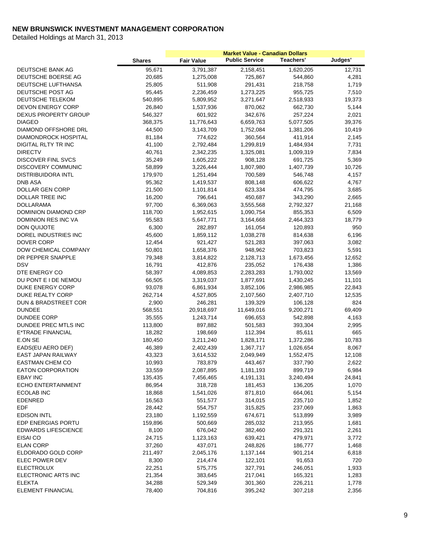|                             |               |                   | <b>Market Value - Canadian Dollars</b> |           |         |
|-----------------------------|---------------|-------------------|----------------------------------------|-----------|---------|
|                             | <b>Shares</b> | <b>Fair Value</b> | <b>Public Service</b>                  | Teachers' | Judges' |
| DEUTSCHE BANK AG            | 95,671        | 3,791,387         | 2,158,451                              | 1,620,205 | 12,731  |
| DEUTSCHE BOERSE AG          | 20,685        | 1,275,008         | 725,867                                | 544,860   | 4,281   |
| DEUTSCHE LUFTHANSA          | 25,805        | 511,908           | 291,431                                | 218,758   | 1,719   |
| DEUTSCHE POST AG            | 95,445        | 2,236,459         | 1,273,225                              | 955,725   | 7,510   |
| DEUTSCHE TELEKOM            | 540,895       | 5,809,952         | 3,271,647                              | 2,518,933 | 19,373  |
| DEVON ENERGY CORP           | 26,840        | 1,537,936         | 870,062                                | 662,730   | 5,144   |
| DEXUS PROPERTY GROUP        | 546,327       | 601,922           | 342,676                                | 257,224   | 2,021   |
| <b>DIAGEO</b>               | 368,375       | 11,776,643        | 6,659,763                              | 5,077,505 | 39,376  |
| DIAMOND OFFSHORE DRL        | 44,500        | 3,143,709         | 1,752,084                              | 1,381,206 | 10,419  |
| <b>DIAMONDROCK HOSPITAL</b> | 81,184        | 774,622           | 360,564                                | 411,914   | 2,145   |
| DIGITAL RLTY TR INC         | 41,100        | 2,792,484         | 1,299,819                              | 1,484,934 | 7,731   |
| <b>DIRECTV</b>              | 40,761        | 2,342,235         | 1,325,081                              | 1,009,319 | 7,834   |
| DISCOVER FINL SVCS          | 35,249        | 1,605,222         | 908,128                                | 691,725   | 5,369   |
| DISCOVERY COMMUNIC          | 58,899        | 3,226,444         | 1,807,980                              | 1,407,739 | 10,726  |
| <b>DISTRIBUIDORA INTL</b>   | 179,970       | 1,251,494         | 700,589                                | 546,748   | 4,157   |
| <b>DNB ASA</b>              | 95,362        | 1,419,537         | 808,148                                | 606,622   | 4,767   |
| DOLLAR GEN CORP             | 21,500        | 1,101,814         | 623,334                                | 474,795   | 3,685   |
| DOLLAR TREE INC             |               | 796,641           |                                        |           | 2,665   |
|                             | 16,200        |                   | 450,687                                | 343,290   |         |
| <b>DOLLARAMA</b>            | 97,700        | 6,369,063         | 3,555,568                              | 2,792,327 | 21,168  |
| DOMINION DIAMOND CRP        | 118,700       | 1,952,615         | 1,090,754                              | 855,353   | 6,509   |
| <b>DOMINION RES INC VA</b>  | 95,583        | 5,647,771         | 3,164,668                              | 2,464,323 | 18,779  |
| DON QUIJOTE                 | 6,300         | 282,897           | 161,054                                | 120,893   | 950     |
| DOREL INDUSTRIES INC        | 45,600        | 1,859,112         | 1,038,278                              | 814,638   | 6,196   |
| <b>DOVER CORP</b>           | 12,454        | 921,427           | 521,283                                | 397,063   | 3,082   |
| DOW CHEMICAL COMPANY        | 50,801        | 1,658,376         | 948,962                                | 703,823   | 5,591   |
| DR PEPPER SNAPPLE           | 79,348        | 3,814,822         | 2,128,713                              | 1,673,456 | 12,652  |
| <b>DSV</b>                  | 16,791        | 412,876           | 235,052                                | 176,438   | 1,386   |
| DTE ENERGY CO               | 58,397        | 4,089,853         | 2,283,283                              | 1,793,002 | 13,569  |
| DU PONT E I DE NEMOU        | 66,505        | 3,319,037         | 1,877,691                              | 1,430,245 | 11,101  |
| DUKE ENERGY CORP            | 93,078        | 6,861,934         | 3,852,106                              | 2,986,985 | 22,843  |
| DUKE REALTY CORP            | 262,714       | 4,527,805         | 2,107,560                              | 2,407,710 | 12,535  |
| DUN & BRADSTREET COR        | 2,900         | 246,281           | 139,329                                | 106,128   | 824     |
| <b>DUNDEE</b>               | 568,551       | 20,918,697        | 11,649,016                             | 9,200,271 | 69,409  |
| <b>DUNDEE CORP</b>          | 35,555        | 1,243,714         | 696,653                                | 542,898   | 4,163   |
| DUNDEE PREC MTLS INC        | 113,800       | 897,882           | 501,583                                | 393,304   | 2,995   |
| E*TRADE FINANCIAL           | 18,282        | 198,669           | 112,394                                | 85,611    | 665     |
| E.ON SE                     | 180,450       | 3,211,240         | 1,828,171                              | 1,372,286 | 10,783  |
| EADS(EU AERO DEF)           | 46,389        | 2,402,439         | 1,367,717                              | 1,026,654 | 8,067   |
| EAST JAPAN RAILWAY          | 43,323        | 3,614,532         | 2,049,949                              | 1,552,475 | 12,108  |
| <b>EASTMAN CHEM CO</b>      | 10,993        | 783,879           | 443,467                                | 337,790   | 2,622   |
| <b>EATON CORPORATION</b>    | 33,559        | 2,087,895         | 1,181,193                              | 899,719   | 6,984   |
| <b>EBAY INC</b>             | 135,435       | 7,456,465         | 4,191,131                              | 3,240,494 | 24,841  |
| <b>ECHO ENTERTAINMENT</b>   | 86,954        | 318,728           | 181,453                                | 136,205   | 1,070   |
| <b>ECOLAB INC</b>           | 18,868        | 1,541,026         | 871,810                                | 664,061   | 5,154   |
| <b>EDENRED</b>              | 16,563        | 551,577           | 314,015                                | 235,710   | 1,852   |
| <b>EDF</b>                  | 28,442        | 554,757           | 315,825                                | 237,069   | 1,863   |
| <b>EDISON INTL</b>          | 23,180        | 1,192,559         | 674,671                                | 513,899   | 3,989   |
| EDP ENERGIAS PORTU          | 159,896       | 500,669           | 285,032                                | 213,955   | 1,681   |
| <b>EDWARDS LIFESCIENCE</b>  | 8,100         | 676,042           | 382,460                                | 291,321   | 2,261   |
| EISAI CO                    | 24,715        | 1,123,163         | 639,421                                | 479,971   | 3,772   |
| <b>ELAN CORP</b>            | 37,260        | 437,071           | 248,826                                | 186,777   | 1,468   |
| ELDORADO GOLD CORP          | 211,497       | 2,045,176         | 1,137,144                              | 901,214   | 6,818   |
| ELEC POWER DEV              |               |                   |                                        |           | 720     |
|                             | 8,300         | 214,474           | 122,101                                | 91,653    |         |
| <b>ELECTROLUX</b>           | 22,251        | 575,775           | 327,791                                | 246,051   | 1,933   |
| ELECTRONIC ARTS INC         | 21,354        | 383,645           | 217,041                                | 165,321   | 1,283   |
| <b>ELEKTA</b>               | 34,288        | 529,349           | 301,360                                | 226,211   | 1,778   |
| <b>ELEMENT FINANCIAL</b>    | 78,400        | 704,816           | 395,242                                | 307,218   | 2,356   |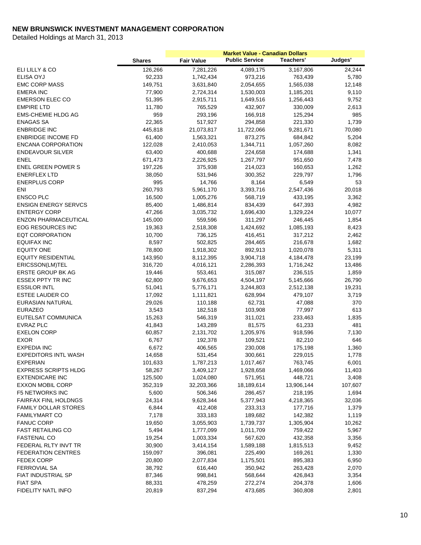|                             | <b>Shares</b> | <b>Fair Value</b> | <b>Public Service</b> | <b>Teachers'</b> | Judges' |
|-----------------------------|---------------|-------------------|-----------------------|------------------|---------|
| ELI LILLY & CO              | 126,266       | 7,281,226         | 4,089,175             | 3,167,806        | 24,244  |
| <b>ELISA OYJ</b>            | 92,233        | 1,742,434         | 973,216               | 763,439          | 5,780   |
| <b>EMC CORP MASS</b>        | 149,751       | 3,631,840         | 2,054,655             | 1,565,038        | 12,148  |
| <b>EMERA INC</b>            | 77,900        | 2,724,314         | 1,530,003             | 1,185,201        | 9,110   |
| <b>EMERSON ELEC CO</b>      | 51,395        | 2,915,711         | 1,649,516             | 1,256,443        | 9,752   |
| <b>EMPIRE LTD</b>           | 11,780        | 765,529           | 432,907               | 330,009          | 2,613   |
| <b>EMS-CHEMIE HLDG AG</b>   | 959           | 293,196           | 166,918               | 125,294          | 985     |
| <b>ENAGAS SA</b>            | 22,365        | 517,927           | 294,858               | 221,330          | 1,739   |
| <b>ENBRIDGE INC</b>         | 445,818       | 21,073,817        | 11,722,066            | 9,281,671        | 70,080  |
| <b>ENBRIDGE INCOME FD</b>   | 61,400        | 1,563,321         | 873,275               | 684,842          | 5,204   |
| <b>ENCANA CORPORATION</b>   | 122,028       | 2,410,053         | 1,344,711             | 1,057,260        | 8,082   |
| <b>ENDEAVOUR SILVER</b>     | 63,400        | 400,688           | 224,658               | 174,688          | 1,341   |
| <b>ENEL</b>                 | 671,473       | 2,226,925         | 1,267,797             | 951,650          | 7,478   |
| <b>ENEL GREEN POWER S</b>   | 197,226       | 375,938           | 214,023               | 160,653          | 1,262   |
| <b>ENERFLEX LTD</b>         | 38,050        | 531,946           | 300,352               | 229,797          | 1,796   |
| <b>ENERPLUS CORP</b>        | 995           | 14,766            | 8,164                 | 6,549            | 53      |
| ENI                         | 260,793       | 5,961,170         | 3,393,716             | 2,547,436        | 20,018  |
| <b>ENSCO PLC</b>            | 16,500        | 1,005,276         | 568,719               | 433,195          | 3,362   |
| <b>ENSIGN ENERGY SERVCS</b> | 85,400        | 1,486,814         | 834,439               | 647,393          | 4,982   |
| <b>ENTERGY CORP</b>         | 47,266        | 3,035,732         | 1,696,430             | 1,329,224        | 10,077  |
| <b>ENZON PHARMACEUTICAL</b> | 145,000       | 559,596           | 311,297               | 246,445          | 1,854   |
| EOG RESOURCES INC           | 19,363        | 2,518,308         | 1,424,692             | 1,085,193        | 8,423   |
| <b>EQT CORPORATION</b>      | 10,700        | 736,125           | 416,451               | 317,212          | 2,462   |
| <b>EQUIFAX INC</b>          | 8,597         | 502,825           | 284,465               | 216,678          | 1,682   |
| <b>EQUITY ONE</b>           | 78,800        | 1,918,302         | 892,913               | 1,020,078        | 5,311   |
| <b>EQUITY RESIDENTIAL</b>   | 143,950       | 8,112,395         | 3,904,718             | 4,184,478        | 23,199  |
| ERICSSON(LM)TEL             | 316,720       | 4,016,121         | 2,286,393             | 1,716,242        | 13,486  |
| ERSTE GROUP BK AG           | 19,446        | 553,461           | 315,087               | 236,515          | 1,859   |
| <b>ESSEX PPTY TR INC</b>    | 62,800        | 9,676,653         | 4,504,197             | 5,145,666        | 26,790  |
| <b>ESSILOR INTL</b>         | 51,041        | 5,776,171         | 3,244,803             | 2,512,138        | 19,231  |
| ESTEE LAUDER CO             | 17,092        | 1,111,821         | 628,994               | 479,107          | 3,719   |
| EURASIAN NATURAL            | 29,026        | 110,188           | 62,731                | 47,088           | 370     |
| <b>EURAZEO</b>              | 3,543         | 182,518           | 103,908               | 77,997           | 613     |
| EUTELSAT COMMUNICA          | 15,263        | 546,319           | 311,021               | 233,463          | 1,835   |
| <b>EVRAZ PLC</b>            | 41,843        | 143,289           | 81,575                | 61,233           | 481     |
| <b>EXELON CORP</b>          | 60,857        | 2,131,702         | 1,205,976             | 918,596          | 7,130   |
| <b>EXOR</b>                 | 6,767         | 192,378           | 109,521               | 82,210           | 646     |
| <b>EXPEDIA INC</b>          | 6,672         | 406,565           | 230,008               | 175,198          | 1,360   |
| <b>EXPEDITORS INTL WASH</b> | 14,658        | 531,454           | 300,661               | 229,015          | 1,778   |
| <b>EXPERIAN</b>             | 101,633       | 1,787,213         | 1,017,467             | 763,745          | 6,001   |
| <b>EXPRESS SCRIPTS HLDG</b> | 58,267        | 3,409,127         | 1,928,658             | 1,469,066        | 11,403  |
| <b>EXTENDICARE INC</b>      | 125,500       | 1,024,080         | 571,951               | 448,721          | 3,408   |
| <b>EXXON MOBIL CORP</b>     | 352,319       | 32,203,366        | 18,189,614            | 13,906,144       | 107,607 |
| <b>F5 NETWORKS INC</b>      | 5,600         | 506,346           | 286,457               | 218,195          | 1,694   |
| <b>FAIRFAX FINL HOLDNGS</b> | 24,314        | 9,628,344         | 5,377,943             | 4,218,365        | 32,036  |
| <b>FAMILY DOLLAR STORES</b> | 6,844         | 412,408           | 233,313               | 177,716          | 1,379   |
| <b>FAMILYMART CO</b>        | 7,178         | 333,183           | 189,682               | 142,382          | 1,119   |
| <b>FANUC CORP</b>           | 19,650        | 3,055,903         | 1,739,737             | 1,305,904        | 10,262  |
| <b>FAST RETAILING CO</b>    | 5,494         | 1,777,099         | 1,011,709             | 759,422          | 5,967   |
| <b>FASTENAL CO</b>          | 19,254        | 1,003,334         | 567,620               | 432,358          | 3,356   |
| FEDERAL RLTY INVT TR        | 30,900        | 3,414,154         | 1,589,188             | 1,815,513        | 9,452   |
| <b>FEDERATION CENTRES</b>   | 159,097       | 396,081           | 225,490               | 169,261          | 1,330   |
| <b>FEDEX CORP</b>           | 20,800        | 2,077,834         | 1,175,501             | 895,383          | 6,950   |
| <b>FERROVIAL SA</b>         | 38,792        | 616,440           | 350,942               | 263,428          | 2,070   |
| FIAT INDUSTRIAL SP          | 87,346        | 998,841           | 568,644               | 426,843          | 3,354   |
| <b>FIAT SPA</b>             | 88,331        | 478,259           | 272,274               | 204,378          | 1,606   |
| FIDELITY NATL INFO          | 20,819        | 837,294           | 473,685               | 360,808          | 2,801   |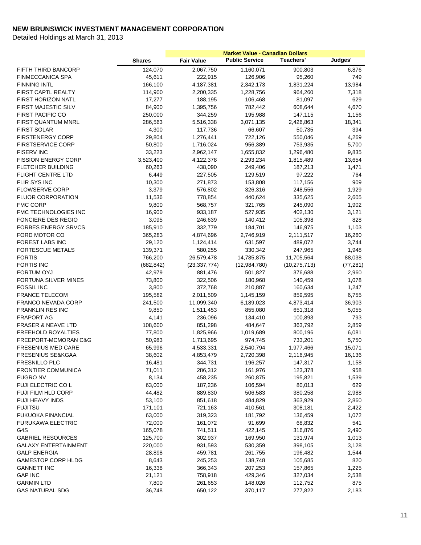|                                 |                    |                    | <b>Market Value - Canadian Dollars</b> |                    |                |
|---------------------------------|--------------------|--------------------|----------------------------------------|--------------------|----------------|
|                                 | <b>Shares</b>      | <b>Fair Value</b>  | <b>Public Service</b>                  | Teachers'          | Judges'        |
| FIFTH THIRD BANCORP             | 124,070            | 2,067,750          | 1,160,071                              | 900,803            | 6,876          |
| <b>FINMECCANICA SPA</b>         | 45,611             | 222,915            | 126,906                                | 95,260             | 749            |
| <b>FINNING INTL</b>             | 166,100            | 4,187,381          | 2,342,173                              | 1,831,224          | 13,984         |
| FIRST CAPTL REALTY              | 114,900            | 2,200,335          | 1,228,756                              | 964,260            | 7,318          |
| FIRST HORIZON NATL              | 17,277             | 188,195            | 106,468                                | 81,097             | 629            |
| <b>FIRST MAJESTIC SILV</b>      | 84,900             | 1,395,756          | 782,442                                | 608,644            | 4,670          |
| <b>FIRST PACIFIC CO</b>         | 250,000            | 344,259            | 195,988                                | 147,115            | 1,156          |
| FIRST QUANTUM MNRL              | 286,563            | 5,516,338          | 3,071,135                              | 2,426,863          | 18,341         |
| <b>FIRST SOLAR</b>              | 4,300              | 117,736            | 66,607                                 | 50,735             | 394            |
| <b>FIRSTENERGY CORP</b>         | 29,804             | 1,276,441          | 722,126                                | 550,046            | 4,269          |
| <b>FIRSTSERVICE CORP</b>        | 50,800             | 1,716,024          | 956,389                                | 753,935            | 5,700          |
| <b>FISERV INC</b>               | 33,223             | 2,962,147          | 1,655,832                              | 1,296,480          | 9,835          |
| <b>FISSION ENERGY CORP</b>      | 3,523,400          | 4,122,378          | 2,293,234                              | 1,815,489          | 13,654         |
| <b>FLETCHER BUILDING</b>        | 60,263             | 438,090            | 249,406                                | 187,213            | 1,471          |
| <b>FLIGHT CENTRE LTD</b>        | 6,449              | 227,505            | 129,519                                | 97,222             | 764            |
| FLIR SYS INC                    | 10,300             | 271,873            | 153,808                                | 117,156            | 909            |
| <b>FLOWSERVE CORP</b>           | 3,379              | 576,802            | 326,316                                | 248,556            | 1,929          |
| <b>FLUOR CORPORATION</b>        | 11,536             | 778,854            | 440,624                                | 335,625            | 2,605          |
| <b>FMC CORP</b>                 | 9,800              | 568,757            | 321,765                                | 245,090            | 1,902          |
| <b>FMC TECHNOLOGIES INC</b>     | 16,900             | 933,187            | 527,935                                | 402,130            | 3,121          |
| <b>FONCIERE DES REGIO</b>       | 3,095              | 246,639            | 140,412                                | 105,398            | 828            |
| <b>FORBES ENERGY SRVCS</b>      | 185,910            | 332,779            | 184,701                                | 146,975            | 1,103          |
| FORD MOTOR CO                   | 365,283            | 4,874,696          | 2,746,919                              | 2,111,517          | 16,260         |
| <b>FOREST LABS INC</b>          | 29,120             | 1,124,414          | 631,597                                | 489,072            | 3,744          |
| <b>FORTESCUE METALS</b>         | 139,371            | 580,255            | 330,342                                | 247,965            | 1,948          |
| <b>FORTIS</b>                   | 766,200            | 26,579,478         | 14,785,875                             | 11,705,564         | 88,038         |
| <b>FORTIS INC</b>               | (682, 842)         | (23, 337, 774)     | (12, 984, 780)                         | (10, 275, 713)     | (77, 281)      |
| FORTUM OYJ                      | 42,979             | 881,476            | 501,827                                | 376,688            | 2,960          |
| FORTUNA SILVER MINES            | 73,800             | 322,506            | 180,968                                | 140,459            | 1,078          |
| <b>FOSSIL INC</b>               | 3,800              | 372,768            | 210,887                                | 160,634            | 1,247          |
| <b>FRANCE TELECOM</b>           | 195,582            | 2,011,509          | 1,145,159                              | 859,595            | 6,755          |
| <b>FRANCO NEVADA CORP</b>       | 241,500            | 11,099,340         | 6,189,023                              | 4,873,414          | 36,903         |
| <b>FRANKLIN RES INC</b>         | 9,850              | 1,511,453          | 855,080                                | 651,318            | 5,055          |
| <b>FRAPORT AG</b>               | 4,141              | 236,096            | 134,410                                | 100,893            | 793            |
| <b>FRASER &amp; NEAVE LTD</b>   | 108,600            | 851,298            | 484,647                                | 363,792            | 2,859          |
| FREEHOLD ROYALTIES              | 77,800             | 1,825,966          | 1,019,689                              | 800,196            | 6,081          |
| FREEPORT-MCMORAN C&G            | 50,983             | 1,713,695          | 974,745                                | 733,201            | 5,750          |
| <b>FRESENIUS MED CARE</b>       | 65,996             | 4,533,331          | 2,540,794                              | 1,977,466          | 15,071         |
| FRESENIUS SE&KGAA               | 38,602             | 4,853,479          | 2,720,398                              | 2,116,945          | 16,136         |
| FRESNILLO PLC                   | 16,481             | 344,731            | 196,257                                | 147,317            | 1,158          |
| FRONTIER COMMUNICA              | 71,011             | 286,312            | 161,976                                | 123,378            | 958            |
| <b>FUGRO NV</b>                 | 8,134              | 458,235            | 260,875                                | 195,821            | 1,539          |
| FUJI ELECTRIC CO L              | 63,000             | 187,236            | 106,594                                | 80,013             | 629            |
| FUJI FILM HLD CORP              | 44,482             | 889,830            | 506,583                                | 380,258            | 2,988          |
| FUJI HEAVY INDS                 | 53,100             | 851,618            | 484,829                                | 363,929            | 2,860          |
| <b>FUJITSU</b>                  | 171,101            | 721,163            | 410,561                                | 308,181            | 2,422          |
| FUKUOKA FINANCIAL               | 63,000             | 319,323            | 181,792                                | 136,459            | 1,072          |
|                                 |                    |                    |                                        |                    | 541            |
| FURUKAWA ELECTRIC               | 72,000             | 161,072            | 91,699                                 | 68,832             |                |
| G4S<br><b>GABRIEL RESOURCES</b> | 165,078<br>125,700 | 741,511<br>302,937 | 422,145<br>169,950                     | 316,876<br>131,974 | 2,490<br>1,013 |
|                                 |                    |                    |                                        |                    |                |
| <b>GALAXY ENTERTAINMENT</b>     | 220,000            | 931,593            | 530,359                                | 398,105            | 3,128          |
| <b>GALP ENERGIA</b>             | 28,898             | 459,781            | 261,755                                | 196,482            | 1,544          |
| <b>GAMESTOP CORP HLDG</b>       | 8,643              | 245,253            | 138,748                                | 105,685            | 820            |
| <b>GANNETT INC</b>              | 16,338             | 366,343            | 207,253                                | 157,865            | 1,225          |
| <b>GAP INC</b>                  | 21,121             | 758,918            | 429,346                                | 327,034            | 2,538          |
| <b>GARMIN LTD</b>               | 7,800              | 261,653            | 148,026                                | 112,752            | 875            |
| <b>GAS NATURAL SDG</b>          | 36,748             | 650,122            | 370,117                                | 277,822            | 2,183          |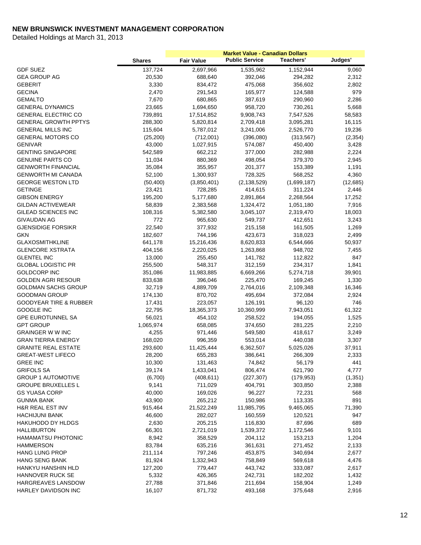|                                   | <b>Shares</b> | <b>Fair Value</b> | <b>Public Service</b> | <b>Teachers'</b> | Judges'  |
|-----------------------------------|---------------|-------------------|-----------------------|------------------|----------|
| <b>GDF SUEZ</b>                   | 137,724       | 2,697,966         | 1,535,962             | 1,152,944        | 9,060    |
| <b>GEA GROUP AG</b>               | 20,530        | 688,640           | 392,046               | 294,282          | 2,312    |
| <b>GEBERIT</b>                    | 3,330         | 834,472           | 475,068               | 356,602          | 2,802    |
| <b>GECINA</b>                     | 2,470         | 291,543           | 165,977               | 124,588          | 979      |
| <b>GEMALTO</b>                    | 7,670         | 680,865           | 387,619               | 290,960          | 2,286    |
| <b>GENERAL DYNAMICS</b>           | 23,665        | 1,694,650         | 958,720               | 730,261          | 5,668    |
| <b>GENERAL ELECTRIC CO</b>        | 739,891       | 17,514,852        | 9,908,743             | 7,547,526        | 58,583   |
| <b>GENERAL GROWTH PPTYS</b>       | 288,300       | 5,820,814         | 2,709,418             | 3,095,281        | 16,115   |
| <b>GENERAL MILLS INC</b>          | 115,604       | 5,787,012         | 3,241,006             | 2,526,770        | 19,236   |
| <b>GENERAL MOTORS CO</b>          | (25, 200)     | (712,001)         | (396,080)             | (313, 567)       | (2, 354) |
| <b>GENIVAR</b>                    | 43,000        | 1,027,915         | 574,087               | 450,400          | 3,428    |
| <b>GENTING SINGAPORE</b>          | 542,589       | 662,212           | 377,000               | 282,988          | 2,224    |
| <b>GENUINE PARTS CO</b>           | 11,034        | 880,369           | 498,054               | 379,370          | 2,945    |
| <b>GENWORTH FINANCIAL</b>         | 35,084        | 355,957           | 201,377               | 153,389          | 1,191    |
| <b>GENWORTH MI CANADA</b>         | 52,100        | 1,300,937         | 728,325               | 568,252          | 4,360    |
| <b>GEORGE WESTON LTD</b>          | (50, 400)     | (3,850,401)       | (2, 138, 529)         | (1,699,187)      | (12,685) |
| <b>GETINGE</b>                    | 23,421        | 728,285           | 414,615               | 311,224          | 2,446    |
| <b>GIBSON ENERGY</b>              | 195,200       | 5,177,680         | 2,891,864             | 2,268,564        | 17,252   |
| <b>GILDAN ACTIVEWEAR</b>          | 58,839        | 2,383,568         | 1,324,472             | 1,051,180        | 7,916    |
| <b>GILEAD SCIENCES INC</b>        | 108,316       | 5,382,580         | 3,045,107             | 2,319,470        | 18,003   |
| GIVAUDAN AG                       | 772           | 965,630           | 549,737               | 412,651          | 3,243    |
| <b>GJENSIDIGE FORSIKR</b>         | 22,540        | 377,932           | 215,158               | 161,505          | 1,269    |
| <b>GKN</b>                        | 182,607       | 744,196           | 423,673               | 318,023          | 2,499    |
| <b>GLAXOSMITHKLINE</b>            | 641,178       | 15,216,436        | 8,620,833             | 6,544,666        | 50,937   |
| <b>GLENCORE XSTRATA</b>           | 404,156       | 2,220,025         | 1,263,868             | 948,702          | 7,455    |
| <b>GLENTEL INC</b>                | 13,000        | 255,450           | 141,782               | 112,822          | 847      |
| <b>GLOBAL LOGISTIC PR</b>         | 255,500       | 548,317           | 312,159               | 234,317          | 1,841    |
| GOLDCORP INC                      | 351,086       | 11,983,885        | 6,669,266             | 5,274,718        | 39,901   |
| <b>GOLDEN AGRI RESOUR</b>         | 833,638       | 396,046           | 225,470               | 169,245          | 1,330    |
| <b>GOLDMAN SACHS GROUP</b>        | 32,719        | 4,889,709         | 2,764,016             | 2,109,348        | 16,346   |
| <b>GOODMAN GROUP</b>              | 174,130       | 870,702           | 495,694               | 372,084          | 2,924    |
| <b>GOODYEAR TIRE &amp; RUBBER</b> | 17,431        | 223,057           | 126,191               | 96,120           | 746      |
| GOOGLE INC                        | 22,795        | 18,365,373        | 10,360,999            | 7,943,051        | 61,322   |
| <b>GPE EUROTUNNEL SA</b>          | 56,021        | 454,102           | 258,522               | 194,055          | 1,525    |
| <b>GPT GROUP</b>                  | 1,065,974     | 658,085           | 374,650               | 281,225          | 2,210    |
| <b>GRAINGER W W INC</b>           | 4,255         | 971,446           | 549,580               | 418,617          | 3,249    |
| <b>GRAN TIERRA ENERGY</b>         | 168,020       | 996,359           | 553,014               | 440,038          | 3,307    |
| <b>GRANITE REAL ESTATE</b>        | 293,600       | 11,425,444        | 6,362,507             | 5,025,026        | 37,911   |
| <b>GREAT-WEST LIFECO</b>          | 28,200        | 655,283           | 386,641               | 266,309          | 2,333    |
| <b>GREE INC</b>                   | 10,300        | 131,463           | 74,842                | 56,179           | 441      |
| <b>GRIFOLS SA</b>                 | 39,174        | 1,433,041         | 806,474               | 621,790          | 4,777    |
| <b>GROUP 1 AUTOMOTIVE</b>         | (6,700)       | (408, 611)        | (227, 307)            | (179, 953)       | (1, 351) |
| <b>GROUPE BRUXELLES L</b>         | 9,141         | 711,029           | 404,791               | 303,850          | 2,388    |
| <b>GS YUASA CORP</b>              | 40,000        | 169,026           | 96,227                | 72,231           | 568      |
| <b>GUNMA BANK</b>                 | 43,900        | 265,212           | 150,986               | 113,335          | 891      |
| <b>H&amp;R REAL EST INV</b>       | 915,464       | 21,522,249        | 11,985,795            | 9,465,065        | 71,390   |
| <b>HACHIJUNI BANK</b>             | 46,600        | 282,027           | 160,559               | 120,521          | 947      |
| HAKUHODO DY HLDGS                 | 2,630         | 205,215           | 116,830               | 87,696           | 689      |
| <b>HALLIBURTON</b>                | 66,301        | 2,721,019         | 1,539,372             | 1,172,546        | 9,101    |
| <b>HAMAMATSU PHOTONIC</b>         | 8,942         | 358,529           | 204,112               | 153,213          | 1,204    |
| <b>HAMMERSON</b>                  | 83,784        | 635,216           | 361,631               | 271,452          | 2,133    |
| <b>HANG LUNG PROP</b>             | 211,114       | 797,246           | 453,875               | 340,694          | 2,677    |
| <b>HANG SENG BANK</b>             | 81,924        | 1,332,943         | 758,849               | 569,618          | 4,476    |
| HANKYU HANSHIN HLD                | 127,200       | 779,447           | 443,742               | 333,087          | 2,617    |
| HANNOVER RUCK SE                  | 5,332         | 426,365           | 242,731               | 182,202          | 1,432    |
| HARGREAVES LANSDOW                | 27,788        | 371,846           | 211,694               | 158,904          | 1,249    |
| HARLEY DAVIDSON INC               | 16,107        | 871,732           | 493,168               | 375,648          | 2,916    |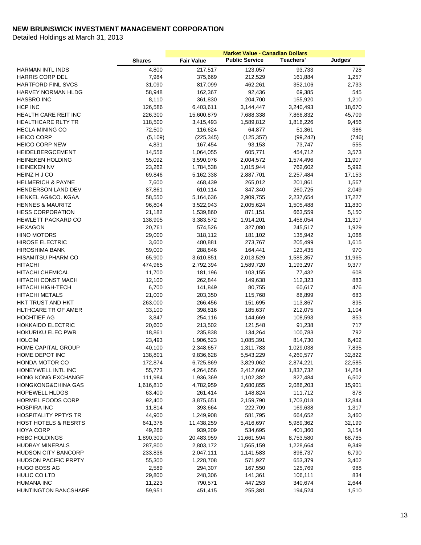|                                               |               |                    | <b>Market Value - Canadian Dollars</b> |           |            |
|-----------------------------------------------|---------------|--------------------|----------------------------------------|-----------|------------|
|                                               | <b>Shares</b> | <b>Fair Value</b>  | <b>Public Service</b>                  | Teachers' | Judges'    |
| <b>HARMAN INTL INDS</b>                       | 4,800         | 217,517            | 123,057                                | 93,733    | 728        |
| <b>HARRIS CORP DEL</b>                        | 7,984         | 375,669            | 212,529                                | 161,884   | 1,257      |
| <b>HARTFORD FINL SVCS</b>                     | 31,090        | 817,099            | 462,261                                | 352,106   | 2,733      |
| <b>HARVEY NORMAN HLDG</b>                     | 58,948        | 162,367            | 92,436                                 | 69,385    | 545        |
| <b>HASBRO INC</b>                             | 8,110         | 361,830            | 204,700                                | 155,920   | 1,210      |
| HCP INC                                       | 126,586       | 6,403,611          | 3,144,447                              | 3,240,493 | 18,670     |
| HEALTH CARE REIT INC                          | 226,300       | 15,600,879         | 7,688,338                              | 7,866,832 | 45,709     |
| <b>HEALTHCARE RLTY TR</b>                     | 118,500       | 3,415,493          | 1,589,812                              | 1,816,226 | 9,456      |
| <b>HECLA MINING CO</b>                        | 72,500        | 116,624            | 64,877                                 | 51,361    | 386        |
| <b>HEICO CORP</b>                             | (5, 109)      | (225, 345)         | (125, 357)                             | (99, 242) | (746)      |
| <b>HEICO CORP NEW</b>                         | 4,831         | 167,454            | 93,153                                 | 73,747    | 555        |
| <b>HEIDELBERGCEMENT</b>                       | 14,556        | 1,064,055          | 605,771                                | 454,712   | 3,573      |
| <b>HEINEKEN HOLDING</b>                       | 55,092        | 3,590,976          | 2,004,572                              | 1,574,496 | 11,907     |
| <b>HEINEKEN NV</b>                            | 23,262        | 1,784,538          | 1,015,944                              | 762,602   | 5,992      |
| HEINZ H J CO                                  | 69,846        | 5,162,338          | 2,887,701                              | 2,257,484 | 17,153     |
| <b>HELMERICH &amp; PAYNE</b>                  | 7,600         | 468,439            | 265,012                                | 201,861   | 1,567      |
| HENDERSON LAND DEV                            | 87,861        | 610,114            | 347,340                                | 260,725   | 2,049      |
| HENKEL AG&CO. KGAA                            | 58,550        | 5,164,636          | 2,909,755                              | 2,237,654 | 17,227     |
| <b>HENNES &amp; MAURITZ</b>                   | 96,804        | 3,522,943          | 2,005,624                              | 1,505,488 | 11,830     |
| <b>HESS CORPORATION</b>                       | 21,182        | 1,539,860          | 871,151                                | 663,559   | 5,150      |
| <b>HEWLETT PACKARD CO</b>                     | 138,905       | 3,383,572          | 1,914,201                              | 1,458,054 | 11,317     |
| <b>HEXAGON</b>                                | 20,761        | 574,526            | 327,080                                | 245,517   | 1,929      |
| <b>HINO MOTORS</b>                            | 29,000        | 318,112            | 181,102                                | 135,942   | 1,068      |
| <b>HIROSE ELECTRIC</b>                        | 3,600         | 480,881            | 273,767                                | 205,499   | 1,615      |
| <b>HIROSHIMA BANK</b>                         | 59,000        | 288,846            | 164,441                                | 123,435   | 970        |
| <b>HISAMITSU PHARM CO</b>                     | 65,900        | 3,610,851          | 2,013,529                              | 1,585,357 | 11,965     |
| <b>HITACHI</b>                                | 474,965       | 2,792,394          | 1,589,720                              | 1,193,297 | 9,377      |
| <b>HITACHI CHEMICAL</b>                       | 11,700        | 181,196            | 103,155                                | 77,432    | 608        |
| HITACHI CONST MACH                            | 12,100        | 262,844            | 149,638                                | 112,323   | 883        |
| <b>HITACHI HIGH-TECH</b>                      | 6,700         | 141,849            | 80,755                                 | 60,617    | 476        |
| <b>HITACHI METALS</b>                         | 21,000        | 203,350            | 115,768                                | 86,899    | 683        |
| HKT TRUST AND HKT                             | 263,000       | 266,456            | 151,695                                | 113,867   | 895        |
| HLTHCARE TR OF AMER                           | 33,100        | 398,816            | 185,637                                | 212,075   | 1,104      |
| <b>HOCHTIEF AG</b>                            | 3,847         | 254,116            | 144,669                                | 108,593   | 853        |
|                                               |               |                    |                                        |           |            |
| <b>HOKKAIDO ELECTRIC</b><br>HOKURIKU ELEC PWR | 20,600        | 213,502<br>235,838 | 121,548                                | 91,238    | 717<br>792 |
| <b>HOLCIM</b>                                 | 18,861        |                    | 134,264                                | 100,783   |            |
|                                               | 23,493        | 1,906,523          | 1,085,391                              | 814,730   | 6,402      |
| HOME CAPITAL GROUP                            | 40,100        | 2,348,657          | 1,311,783                              | 1,029,038 | 7,835      |
| HOME DEPOT INC                                | 138,801       | 9,836,628          | 5,543,229                              | 4,260,577 | 32,822     |
| HONDA MOTOR CO                                | 172,874       | 6,725,869          | 3,829,062                              | 2,874,221 | 22,585     |
| HONEYWELL INTL INC                            | 55,773        | 4,264,656          | 2,412,660                              | 1,837,732 | 14,264     |
| HONG KONG EXCHANGE                            | 111,984       | 1,936,369          | 1,102,382                              | 827,484   | 6,502      |
| HONGKONG&CHINA GAS                            | 1,616,810     | 4,782,959          | 2,680,855                              | 2,086,203 | 15,901     |
| <b>HOPEWELL HLDGS</b>                         | 63,400        | 261,414            | 148,824                                | 111,712   | 878        |
| HORMEL FOODS CORP                             | 92,400        | 3,875,651          | 2,159,790                              | 1,703,018 | 12,844     |
| <b>HOSPIRA INC</b>                            | 11,814        | 393,664            | 222,709                                | 169,638   | 1,317      |
| <b>HOSPITALITY PPTYS TR</b>                   | 44,900        | 1,249,908          | 581,795                                | 664,652   | 3,460      |
| <b>HOST HOTELS &amp; RESRTS</b>               | 641,376       | 11,438,259         | 5,416,697                              | 5,989,362 | 32,199     |
| <b>HOYA CORP</b>                              | 49,266        | 939,209            | 534,695                                | 401,360   | 3,154      |
| <b>HSBC HOLDINGS</b>                          | 1,890,300     | 20,483,959         | 11,661,594                             | 8,753,580 | 68,785     |
| <b>HUDBAY MINERALS</b>                        | 287,800       | 2,803,172          | 1,565,159                              | 1,228,664 | 9,349      |
| <b>HUDSON CITY BANCORP</b>                    | 233,836       | 2,047,111          | 1,141,583                              | 898,737   | 6,790      |
| <b>HUDSON PACIFIC PRPTY</b>                   | 55,300        | 1,228,708          | 571,927                                | 653,379   | 3,402      |
| <b>HUGO BOSS AG</b>                           | 2,589         | 294,307            | 167,550                                | 125,769   | 988        |
| HULIC CO LTD                                  | 29,800        | 248,306            | 141,361                                | 106,111   | 834        |
| <b>HUMANA INC</b>                             | 11,223        | 790,571            | 447,253                                | 340,674   | 2,644      |
| HUNTINGTON BANCSHARE                          | 59,951        | 451,415            | 255,381                                | 194,524   | 1,510      |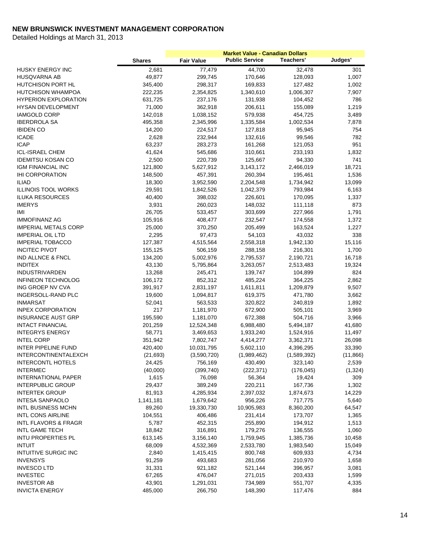|                                 |               |                   | <b>Market Value - Canadian Dollars</b> |             |           |
|---------------------------------|---------------|-------------------|----------------------------------------|-------------|-----------|
|                                 | <b>Shares</b> | <b>Fair Value</b> | <b>Public Service</b>                  | Teachers'   | Judges'   |
| HUSKY ENERGY INC                | 2,681         | 77,479            | 44,700                                 | 32,478      | 301       |
| <b>HUSQVARNA AB</b>             | 49,877        | 299,745           | 170,646                                | 128,093     | 1,007     |
| <b>HUTCHISON PORT HL</b>        | 345,400       | 298,317           | 169,833                                | 127,482     | 1,002     |
| <b>HUTCHISON WHAMPOA</b>        | 222,235       | 2,354,825         | 1,340,610                              | 1,006,307   | 7,907     |
| <b>HYPERION EXPLORATION</b>     | 631,725       | 237,176           | 131,938                                | 104,452     | 786       |
| <b>HYSAN DEVELOPMENT</b>        | 71,000        | 362,918           | 206,611                                | 155,089     | 1,219     |
| <b>IAMGOLD CORP</b>             | 142,018       | 1,038,152         | 579,938                                | 454,725     | 3,489     |
| <b>IBERDROLA SA</b>             | 495,358       | 2,345,996         | 1,335,584                              | 1,002,534   | 7,878     |
| <b>IBIDEN CO</b>                | 14,200        | 224,517           | 127,818                                | 95,945      | 754       |
| <b>ICADE</b>                    | 2,628         | 232,944           | 132,616                                | 99,546      | 782       |
| <b>ICAP</b>                     | 63,237        | 283,273           | 161,268                                | 121,053     | 951       |
| <b>ICL-ISRAEL CHEM</b>          | 41,624        | 545,686           | 310,661                                | 233,193     | 1,832     |
| <b>IDEMITSU KOSAN CO</b>        | 2,500         | 220,739           | 125,667                                | 94,330      | 741       |
| IGM FINANCIAL INC               | 121,800       | 5,627,912         | 3,143,172                              | 2,466,019   | 18,721    |
| <b>IHI CORPORATION</b>          | 148,500       | 457,391           | 260,394                                | 195,461     | 1,536     |
| <b>ILIAD</b>                    | 18,300        | 3,952,590         | 2,204,548                              | 1,734,942   | 13,099    |
| <b>ILLINOIS TOOL WORKS</b>      | 29,591        | 1,842,526         | 1,042,379                              | 793,984     | 6,163     |
| <b>ILUKA RESOURCES</b>          | 40,400        | 398,032           | 226,601                                | 170,095     | 1,337     |
| <b>IMERYS</b>                   | 3,931         | 260,023           | 148,032                                | 111,118     | 873       |
|                                 |               |                   | 303,699                                | 227,966     |           |
| IMI                             | 26,705        | 533,457           |                                        |             | 1,791     |
| <b>IMMOFINANZ AG</b>            | 105,916       | 408,477           | 232,547                                | 174,558     | 1,372     |
| <b>IMPERIAL METALS CORP</b>     | 25,000        | 370,250           | 205,499                                | 163,524     | 1,227     |
| <b>IMPERIAL OIL LTD</b>         | 2,295         | 97,473            | 54,103                                 | 43,032      | 338       |
| <b>IMPERIAL TOBACCO</b>         | 127,387       | 4,515,564         | 2,558,318                              | 1,942,130   | 15,116    |
| <b>INCITEC PIVOT</b>            | 155,125       | 506,159           | 288,158                                | 216,301     | 1,700     |
| IND ALLNCE & FNCL               | 134,200       | 5,002,976         | 2,795,537                              | 2,190,721   | 16,718    |
| <b>INDITEX</b>                  | 43,130        | 5,795,864         | 3,263,057                              | 2,513,483   | 19,324    |
| <b>INDUSTRIVARDEN</b>           | 13,268        | 245,471           | 139,747                                | 104,899     | 824       |
| <b>INFINEON TECHNOLOG</b>       | 106,172       | 852,312           | 485,224                                | 364,225     | 2,862     |
| ING GROEP NV CVA                | 391,917       | 2,831,197         | 1,611,811                              | 1,209,879   | 9,507     |
| INGERSOLL-RAND PLC              | 19,600        | 1,094,817         | 619,375                                | 471,780     | 3,662     |
| <b>INMARSAT</b>                 | 52,041        | 563,533           | 320,822                                | 240,819     | 1,892     |
| <b>INPEX CORPORATION</b>        | 217           | 1,181,970         | 672,900                                | 505,101     | 3,969     |
| <b>INSURANCE AUST GRP</b>       | 195,590       | 1,181,070         | 672,388                                | 504,716     | 3,966     |
| <b>INTACT FINANCIAL</b>         | 201,259       | 12,524,348        | 6,988,480                              | 5,494,187   | 41,680    |
| <b>INTEGRYS ENERGY</b>          | 58,771        | 3,469,653         | 1,933,240                              | 1,524,916   | 11,497    |
| <b>INTEL CORP</b>               | 351,942       | 7,802,747         | 4,414,277                              | 3,362,371   | 26,098    |
| <b>INTER PIPELINE FUND</b>      | 420,400       | 10,031,795        | 5,602,110                              | 4,396,295   | 33,390    |
| INTERCONTINENTALEXCH            | (21, 693)     | (3,590,720)       | (1,989,462)                            | (1,589,392) | (11, 866) |
| <b>INTERCONTL HOTELS</b>        | 24,425        | 756,169           | 430,490                                | 323,140     | 2,539     |
| <b>INTERMEC</b>                 | (40,000)      | (399, 740)        | (222, 371)                             | (176, 045)  | (1, 324)  |
| <b>INTERNATIONAL PAPER</b>      | 1,615         | 76,098            | 56,364                                 | 19,424      | 309       |
| <b>INTERPUBLIC GROUP</b>        | 29,437        | 389,249           | 220,211                                | 167,736     | 1,302     |
| <b>INTERTEK GROUP</b>           | 81,913        | 4,285,934         | 2,397,032                              | 1,874,673   | 14,229    |
| <b>INTESA SANPAOLO</b>          | 1,141,181     | 1,679,642         | 956,226                                | 717,775     | 5,640     |
| <b>INTL BUSINESS MCHN</b>       | 89,260        | 19,330,730        | 10,905,983                             | 8,360,200   | 64,547    |
| <b>INTL CONS AIRLINE</b>        | 104,551       | 406,486           | 231,414                                | 173,707     | 1,365     |
| <b>INTL FLAVORS &amp; FRAGR</b> | 5,787         | 452,315           | 255,890                                | 194,912     | 1,513     |
| <b>INTL GAME TECH</b>           | 18,842        | 316,891           | 179,276                                | 136,555     | 1,060     |
| <b>INTU PROPERTIES PL</b>       | 613,145       | 3,156,140         | 1,759,945                              | 1,385,736   | 10,458    |
| <b>INTUIT</b>                   | 68,009        | 4,532,369         | 2,533,780                              | 1,983,540   | 15,049    |
| <b>INTUITIVE SURGIC INC</b>     | 2,840         | 1,415,415         | 800,748                                | 609,933     | 4,734     |
| <b>INVENSYS</b>                 | 91,259        | 493,683           | 281,056                                | 210,970     | 1,658     |
| <b>INVESCO LTD</b>              | 31,331        | 921,182           | 521,144                                | 396,957     | 3,081     |
| <b>INVESTEC</b>                 | 67,265        | 476,047           | 271,015                                | 203,433     | 1,599     |
| <b>INVESTOR AB</b>              | 43,901        | 1,291,031         | 734,989                                | 551,707     | 4,335     |
| <b>INVICTA ENERGY</b>           | 485,000       | 266,750           | 148,390                                | 117,476     | 884       |
|                                 |               |                   |                                        |             |           |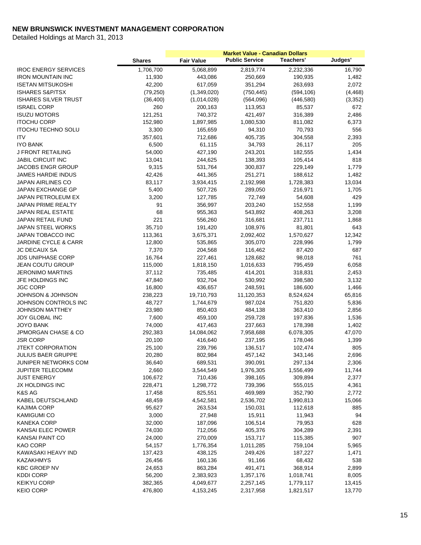|                                 |               |                   | <b>Market Value - Canadian Dollars</b> |            |          |
|---------------------------------|---------------|-------------------|----------------------------------------|------------|----------|
|                                 | <b>Shares</b> | <b>Fair Value</b> | <b>Public Service</b>                  | Teachers'  | Judges'  |
| <b>IROC ENERGY SERVICES</b>     | 1,706,700     | 5,068,899         | 2,819,774                              | 2,232,336  | 16,790   |
| <b>IRON MOUNTAIN INC</b>        | 11,930        | 443,086           | 250,669                                | 190,935    | 1,482    |
| <b>ISETAN MITSUKOSHI</b>        | 42,200        | 617,059           | 351,294                                | 263,693    | 2,072    |
| <b>ISHARES S&amp;P/TSX</b>      | (79, 250)     | (1,349,020)       | (750, 445)                             | (594, 106) | (4, 468) |
| <b>ISHARES SILVER TRUST</b>     | (36, 400)     | (1,014,028)       | (564,096)                              | (446, 580) | (3,352)  |
| <b>ISRAEL CORP</b>              | 260           | 200,163           | 113,953                                | 85,537     | 672      |
| <b>ISUZU MOTORS</b>             | 121,251       | 740,372           | 421,497                                | 316,389    | 2,486    |
| <b>ITOCHU CORP</b>              | 152,980       | 1,897,985         | 1,080,530                              | 811,082    | 6,373    |
| <b>ITOCHU TECHNO SOLU</b>       | 3,300         | 165,659           | 94,310                                 | 70,793     | 556      |
| <b>ITV</b>                      | 357,601       | 712,686           | 405,735                                | 304,558    | 2,393    |
| <b>IYO BANK</b>                 | 6,500         | 61,115            | 34,793                                 | 26,117     | 205      |
| J FRONT RETAILING               | 54,000        | 427,190           | 243,201                                | 182,555    | 1,434    |
| <b>JABIL CIRCUIT INC</b>        | 13,041        | 244,625           | 138,393                                | 105,414    | 818      |
| JACOBS ENGR GROUP               | 9,315         | 531,764           | 300,837                                | 229,149    | 1,779    |
| <b>JAMES HARDIE INDUS</b>       | 42,426        | 441,365           | 251,271                                | 188,612    | 1,482    |
| <b>JAPAN AIRLINES CO</b>        | 83,117        | 3,934,415         | 2,192,998                              | 1,728,383  | 13,034   |
| <b>JAPAN EXCHANGE GP</b>        | 5,400         | 507,726           | 289,050                                | 216,971    | 1,705    |
| JAPAN PETROLEUM EX              | 3,200         | 127,785           | 72,749                                 | 54,608     | 429      |
| <b>JAPAN PRIME REALTY</b>       | 91            | 356,997           | 203,240                                | 152,558    | 1,199    |
| <b>JAPAN REAL ESTATE</b>        | 68            | 955,363           | 543,892                                | 408,263    | 3,208    |
| <b>JAPAN RETAIL FUND</b>        | 221           | 556,260           | 316,681                                | 237,711    | 1,868    |
| JAPAN STEEL WORKS               | 35,710        | 191,420           | 108,976                                | 81,801     | 643      |
| JAPAN TOBACCO INC               | 113,361       | 3,675,371         | 2,092,402                              | 1,570,627  | 12,342   |
| <b>JARDINE CYCLE &amp; CARR</b> | 12,800        | 535,865           | 305,070                                | 228,996    | 1,799    |
| <b>JC DECAUX SA</b>             | 7,370         | 204,568           | 116,462                                | 87,420     | 687      |
| <b>JDS UNIPHASE CORP</b>        | 16,764        | 227,461           | 128,682                                | 98,018     | 761      |
| JEAN COUTU GROUP                | 115,000       | 1,818,150         | 1,016,633                              | 795,459    | 6,058    |
| <b>JERONIMO MARTINS</b>         | 37,112        | 735,485           | 414,201                                | 318,831    | 2,453    |
| JFE HOLDINGS INC                | 47,840        | 932,704           | 530,992                                | 398,580    | 3,132    |
| <b>JGC CORP</b>                 | 16,800        | 436,657           | 248,591                                | 186,600    | 1,466    |
| <b>JOHNSON &amp; JOHNSON</b>    | 238,223       | 19,710,793        | 11,120,353                             | 8,524,624  | 65,816   |
| JOHNSON CONTROLS INC            | 48,727        | 1,744,679         | 987,024                                | 751,820    | 5,836    |
| <b>JOHNSON MATTHEY</b>          | 23,980        | 850,403           | 484,138                                | 363,410    | 2,856    |
| JOY GLOBAL INC                  | 7,600         | 459,100           | 259,728                                | 197,836    | 1,536    |
| <b>JOYO BANK</b>                | 74,000        | 417,463           | 237,663                                | 178,398    | 1,402    |
| JPMORGAN CHASE & CO             | 292,383       | 14,084,062        | 7,958,688                              | 6,078,305  | 47,070   |
| <b>JSR CORP</b>                 | 20,100        | 416,640           | 237,195                                | 178,046    | 1,399    |
| <b>JTEKT CORPORATION</b>        | 25,100        | 239,796           | 136,517                                | 102,474    | 805      |
| <b>JULIUS BAER GRUPPE</b>       | 20,280        | 802,984           | 457,142                                | 343,146    | 2,696    |
| JUNIPER NETWORKS COM            | 36,640        | 689,531           | 390,091                                | 297,134    | 2,306    |
| JUPITER TELECOMM                | 2,660         | 3,544,549         | 1,976,305                              | 1,556,499  | 11,744   |
| <b>JUST ENERGY</b>              | 106,672       | 710,436           | 398,165                                | 309,894    | 2,377    |
| JX HOLDINGS INC                 | 228,471       | 1,298,772         | 739,396                                | 555,015    | 4,361    |
| K&S AG                          |               |                   | 469,989                                | 352,790    |          |
|                                 | 17,458        | 825,551           |                                        |            | 2,772    |
| KABEL DEUTSCHLAND               | 48,459        | 4,542,581         | 2,536,702                              | 1,990,813  | 15,066   |
| <b>KAJIMA CORP</b>              | 95,627        | 263,534           | 150,031                                | 112,618    | 885      |
| <b>KAMIGUMI CO</b>              | 3,000         | 27,948            | 15,911                                 | 11,943     | 94       |
| KANEKA CORP                     | 32,000        | 187,096           | 106,514                                | 79,953     | 628      |
| KANSAI ELEC POWER               | 74,030        | 712,056           | 405,376                                | 304,289    | 2,391    |
| <b>KANSAI PAINT CO</b>          | 24,000        | 270,009           | 153,717                                | 115,385    | 907      |
| KAO CORP                        | 54,157        | 1,776,354         | 1,011,285                              | 759,104    | 5,965    |
| KAWASAKI HEAVY IND              | 137,423       | 438,125           | 249,426                                | 187,227    | 1,471    |
| <b>KAZAKHMYS</b>                | 26,456        | 160,136           | 91,166                                 | 68,432     | 538      |
| <b>KBC GROEP NV</b>             | 24,653        | 863,284           | 491,471                                | 368,914    | 2,899    |
| <b>KDDI CORP</b>                | 56,200        | 2,383,923         | 1,357,176                              | 1,018,741  | 8,005    |
| <b>KEIKYU CORP</b>              | 382,365       | 4,049,677         | 2,257,145                              | 1,779,117  | 13,415   |
| <b>KEIO CORP</b>                | 476,800       | 4,153,245         | 2,317,958                              | 1,821,517  | 13,770   |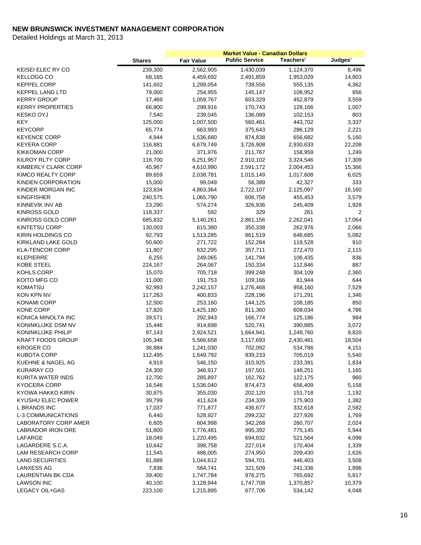|                             |               |                   | <b>Market Value - Canadian Dollars</b> |           |         |
|-----------------------------|---------------|-------------------|----------------------------------------|-----------|---------|
|                             | <b>Shares</b> | <b>Fair Value</b> | <b>Public Service</b>                  | Teachers' | Judges' |
| KEISEI ELEC RY CO           | 239,300       | 2,562,905         | 1,430,039                              | 1,124,370 | 8,496   |
| <b>KELLOGG CO</b>           | 68,165        | 4,459,692         | 2,491,859                              | 1,953,029 | 14,803  |
| <b>KEPPEL CORP</b>          | 141,602       | 1,299,054         | 739,556                                | 555,135   | 4,362   |
| <b>KEPPEL LAND LTD</b>      | 79,000        | 254,955           | 145,147                                | 108,952   | 856     |
| <b>KERRY GROUP</b>          | 17,469        | 1,059,767         | 603,329                                | 452,879   | 3,559   |
| <b>KERRY PROPERTIES</b>     | 66,800        | 299,916           | 170,743                                | 128,166   | 1,007   |
| <b>KESKO OYJ</b>            | 7,540         | 239,045           | 136,089                                | 102,153   | 803     |
| <b>KEY</b>                  | 125,000       | 1,007,500         | 560,461                                | 443,702   | 3,337   |
| <b>KEYCORP</b>              | 65,774        | 663,993           | 375,643                                | 286,129   | 2,221   |
| <b>KEYENCE CORP</b>         | 4,944         | 1,536,680         | 874,838                                | 656,682   | 5,160   |
| <b>KEYERA CORP</b>          | 116,881       | 6,679,749         | 3,726,908                              | 2,930,633 | 22,208  |
| <b>KIKKOMAN CORP</b>        | 21,000        | 371,976           | 211,767                                | 158,959   | 1,249   |
| KILROY RLTY CORP            | 116,700       | 6,251,957         | 2,910,102                              | 3,324,546 | 17,309  |
| KIMBERLY CLARK CORP         | 45,967        | 4,610,990         | 2,591,172                              | 2,004,453 | 15,366  |
| KIMCO REALTY CORP           | 89,659        | 2,038,781         | 1,015,149                              | 1,017,608 | 6,025   |
| KINDEN CORPORATION          | 15,000        | 99,049            | 56,389                                 | 42,327    | 333     |
| KINDER MORGAN INC           | 123,834       | 4,863,364         | 2,722,107                              | 2,125,097 | 16,160  |
| <b>KINGFISHER</b>           | 240,575       | 1,065,790         | 606,758                                | 455,453   | 3,579   |
| KINNEVIK INV AB             | 23,290        | 574,274           | 326,936                                | 245,409   | 1,928   |
| <b>KINROSS GOLD</b>         | 118,337       | 592               | 329                                    | 261       | 2       |
| KINROSS GOLD CORP           | 685,832       | 5,140,261         | 2,861,156                              | 2,262,041 | 17,064  |
| <b>KINTETSU CORP</b>        | 130,003       | 615,380           | 350,338                                | 262,976   | 2,066   |
| KIRIN HOLDINGS CO           | 92,793        | 1,513,285         | 861,519                                | 646,685   | 5,082   |
| <b>KIRKLAND LAKE GOLD</b>   | 50,600        | 271,722           | 152,284                                | 118,528   | 910     |
| <b>KLA-TENCOR CORP</b>      | 11,807        | 632,295           | 357,711                                | 272,470   | 2,115   |
| <b>KLEPIERRE</b>            | 6,255         | 249,065           | 141,794                                | 106,435   | 836     |
| <b>KOBE STEEL</b>           | 224,167       | 264,067           | 150,334                                | 112,846   | 887     |
| KOHLS CORP                  | 15,070        | 705,718           | 399,248                                | 304,109   | 2,360   |
| KOITO MFG CO                | 11,000        | 191,753           | 109,166                                | 81,944    | 644     |
| <b>KOMATSU</b>              | 92,993        | 2,242,157         | 1,276,468                              | 958,160   | 7,529   |
| KON KPN NV                  | 117,263       | 400,833           | 228,196                                | 171,291   | 1,346   |
| <b>KONAMI CORP</b>          | 12,500        | 253,160           | 144,125                                | 108,185   | 850     |
| <b>KONE CORP</b>            | 17,820        | 1,425,180         | 811,360                                | 609,034   | 4,786   |
| KONICA MINOLTA INC          | 39,571        | 292,943           | 166,774                                | 125,186   | 984     |
| KONINKLIJKE DSM NV          | 15,446        | 914,698           | 520,741                                | 390,885   | 3,072   |
| <b>KONINKLIJKE PHILIP</b>   | 97,143        | 2,924,521         | 1,664,941                              | 1,249,760 | 9,820   |
| <b>KRAFT FOODS GROUP</b>    | 105,346       | 5,566,658         | 3,117,693                              | 2,430,461 | 18,504  |
| <b>KROGER CO</b>            | 36,884        | 1,241,030         | 702,092                                | 534,786   | 4,151   |
| <b>KUBOTA CORP</b>          | 112,495       | 1,649,792         | 939,233                                | 705,019   | 5,540   |
| KUEHNE & NAGEL AG           | 4,919         | 546,150           | 310,925                                | 233,391   | 1,834   |
| <b>KURARAY CO</b>           | 24,300        | 346,917           | 197,501                                | 148,251   | 1,165   |
| KURITA WATER INDS           | 12,700        | 285,897           | 162,762                                | 122,175   | 960     |
| <b>KYOCERA CORP</b>         | 16,546        | 1,536,040         | 874,473                                | 656,409   | 5,158   |
| KYOWA HAKKO KIRIN           | 30,875        | 355,030           | 202,120                                | 151,718   | 1,192   |
| KYUSHU ELEC POWER           | 39,799        | 411,624           | 234,339                                | 175,903   | 1,382   |
| <b>L BRANDS INC</b>         | 17,037        | 771,877           | 436,677                                | 332,618   | 2,582   |
| L-3 COMMUNICATIONS          | 6,440         | 528,927           | 299,232                                | 227,926   | 1,769   |
| <b>LABORATORY CORP AMER</b> | 6,605         | 604,998           | 342,268                                | 260,707   | 2,024   |
| LABRADOR IRON ORE           | 51,800        | 1,776,481         | 995,392                                | 775,145   | 5,944   |
| LAFARGE                     | 18,049        | 1,220,495         | 694,832                                | 521,564   | 4,098   |
| LAGARDERE S.C.A.            | 10,642        | 398,758           | 227,014                                | 170,404   | 1,339   |
| LAM RESEARCH CORP           | 11,545        | 486,005           | 274,950                                | 209,430   | 1,626   |
| <b>LAND SECURITIES</b>      | 81,689        | 1,044,612         | 594,701                                | 446,403   | 3,508   |
| <b>LANXESS AG</b>           | 7,836         | 564,741           | 321,509                                | 241,336   | 1,896   |
| LAURENTIAN BK CDA           | 39,400        | 1,747,784         | 976,275                                | 765,692   | 5,817   |
| <b>LAWSON INC</b>           | 40,100        | 3,128,944         | 1,747,708                              | 1,370,857 | 10,379  |
| LEGACY OIL+GAS              | 223,100       | 1,215,895         | 677,706                                | 534,142   | 4,048   |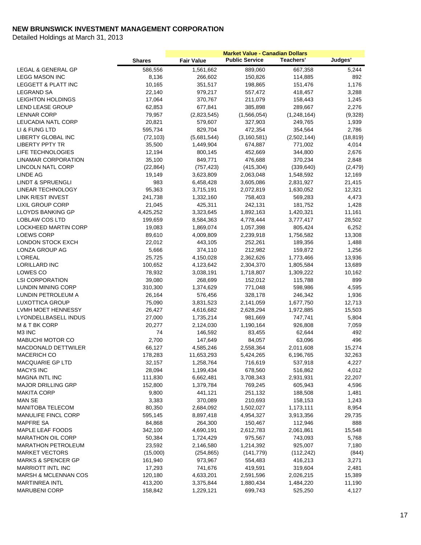|                                |               |                        | <b>Market Value - Canadian Dollars</b> |                  |                 |
|--------------------------------|---------------|------------------------|----------------------------------------|------------------|-----------------|
|                                | <b>Shares</b> | <b>Fair Value</b>      | <b>Public Service</b>                  | <b>Teachers'</b> | Judges'         |
| <b>LEGAL &amp; GENERAL GP</b>  | 586,556       | 1,561,662              | 889,060                                | 667,358          | 5,244           |
| <b>LEGG MASON INC</b>          | 8,136         | 266,602                | 150,826                                | 114,885          | 892             |
| <b>LEGGETT &amp; PLATT INC</b> | 10,165        | 351,517                | 198,865                                | 151,476          | 1,176           |
| LEGRAND SA                     | 22,140        | 979,217                | 557,472                                | 418,457          | 3,288           |
| <b>LEIGHTON HOLDINGS</b>       | 17,064        | 370,767                | 211,079                                | 158,443          | 1,245           |
| LEND LEASE GROUP               | 62,853        | 677,841                | 385,898                                | 289,667          | 2,276           |
| <b>LENNAR CORP</b>             | 79,957        | (2,823,545)            | (1,566,054)                            | (1,248,164)      | (9,328)         |
| LEUCADIA NATL CORP             | 20,821        | 579,607                | 327,903                                | 249,765          | 1,939           |
| LI & FUNG LTD                  | 595,734       | 829,704                | 472,354                                | 354,564          | 2,786           |
| LIBERTY GLOBAL INC             | (72, 103)     | (5,681,544)            | (3, 160, 581)                          | (2,502,144)      | (18, 819)       |
| <b>LIBERTY PPTY TR</b>         | 35,500        | 1,449,904              | 674,887                                | 771,002          | 4,014           |
| LIFE TECHNOLOGIES              | 12,194        | 800,145                | 452,669                                | 344,800          | 2,676           |
| <b>LINAMAR CORPORATION</b>     | 35,100        | 849,771                | 476,688                                | 370,234          | 2,848           |
| LINCOLN NATL CORP              | (22, 864)     | (757, 423)             | (415, 304)                             | (339, 640)       | (2, 479)        |
| <b>LINDE AG</b>                | 19,149        | 3,623,809              | 2,063,048                              | 1,548,592        | 12,169          |
| <b>LINDT &amp; SPRUENGLI</b>   | 983           | 6,458,428              | 3,605,086                              | 2,831,927        | 21,415          |
| LINEAR TECHNOLOGY              | 95,363        | 3,715,191              | 2,072,819                              | 1,630,052        | 12,321          |
| LINK R/EST INVEST              | 241,738       | 1,332,160              | 758,403                                | 569,283          | 4,473           |
| <b>LIXIL GROUP CORP</b>        | 21,045        | 425,311                | 242,131                                | 181,752          | 1,428           |
| <b>LLOYDS BANKING GP</b>       | 4,425,252     | 3,323,645              | 1,892,163                              | 1,420,321        | 11,161          |
| <b>LOBLAW COS LTD</b>          | 199,659       | 8,584,363              | 4,778,444                              | 3,777,417        | 28,502          |
| <b>LOCKHEED MARTIN CORP</b>    | 19,083        | 1,869,074              | 1,057,398                              | 805,424          | 6,252           |
| <b>LOEWS CORP</b>              | 89,610        | 4,009,809              | 2,239,918                              | 1,756,582        | 13,308          |
| LONDON STOCK EXCH              | 22,012        | 443,105                | 252,261                                | 189,356          | 1,488           |
| LONZA GROUP AG                 | 5,666         | 374,110                | 212,982                                | 159,872          | 1,256           |
| <b>L'OREAL</b>                 | 25,725        | 4,150,028              | 2,362,626                              | 1,773,466        | 13,936          |
| LORILLARD INC                  | 100,652       | 4,123,642              | 2,304,370                              | 1,805,584        | 13,689          |
| LOWES CO                       | 78,932        | 3,038,191              | 1,718,807                              | 1,309,222        | 10,162          |
| <b>LSI CORPORATION</b>         | 39,080        | 268,699                | 152,012                                | 115,788          | 899             |
| <b>LUNDIN MINING CORP</b>      | 310,300       | 1,374,629              | 771,048                                | 598,986          | 4,595           |
| LUNDIN PETROLEUM A             | 26,164        | 576,456                | 328,178                                | 246,342          | 1,936           |
| LUXOTTICA GROUP                | 75,090        | 3,831,523              | 2,141,059                              | 1,677,750        | 12,713          |
| LVMH MOET HENNESSY             | 26,427        | 4,616,682              | 2,628,294                              | 1,972,885        | 15,503          |
| LYONDELLBASELL INDUS           | 27,000        | 1,735,214              | 981,669                                | 747,741          | 5,804           |
| M & T BK CORP                  | 20,277        | 2,124,030              | 1,190,164                              | 926,808          | 7,059           |
| M3 INC                         | 74            | 146,592                | 83,455                                 | 62,644           | 492             |
| <b>MABUCHI MOTOR CO</b>        | 2,700         | 147,649                | 84,057                                 | 63,096           | 496             |
| MACDONALD DETTWILER            | 66,127        | 4,585,246              | 2,558,364                              | 2,011,608        | 15,274          |
| <b>MACERICH CO</b>             | 178,283       | 11,653,293             | 5,424,265                              | 6,196,765        | 32,263          |
| MACQUARIE GP LTD               | 32,157        | 1,258,764              | 716,619                                | 537,918          | 4,227           |
| <b>MACYS INC</b>               | 28,094        | 1,199,434              | 678,560                                | 516,862          | 4,012           |
| <b>MAGNA INTL INC</b>          | 111,830       | 6,662,481              | 3,708,343                              | 2,931,931        | 22,207          |
| <b>MAJOR DRILLING GRP</b>      | 152,800       | 1,379,784              | 769,245                                | 605,943          | 4,596           |
| <b>MAKITA CORP</b>             | 9,800         | 441,121                | 251,132                                | 188,508          | 1,481           |
| <b>MAN SE</b>                  | 3,383         | 370,089                | 210,693                                | 158,153          | 1,243           |
| MANITOBA TELECOM               | 80,350        | 2,684,092              | 1,502,027                              | 1,173,111        |                 |
| MANULIFE FINCL CORP            | 595,145       | 8,897,418              | 4,954,327                              | 3,913,356        | 8,954<br>29,735 |
| <b>MAPFRE SA</b>               |               | 264,300                |                                        |                  |                 |
| MAPLE LEAF FOODS               | 84,868        |                        | 150,467                                | 112,946          | 888             |
| <b>MARATHON OIL CORP</b>       | 342,100       | 4,690,191<br>1,724,429 | 2,612,783                              | 2,061,861        | 15,548          |
|                                | 50,384        |                        | 975,567                                | 743,093          | 5,768           |
| <b>MARATHON PETROLEUM</b>      | 23,592        | 2,146,580              | 1,214,392                              | 925,007          | 7,180           |
| <b>MARKET VECTORS</b>          | (15,000)      | (254, 865)             | (141, 779)                             | (112, 242)       | (844)           |
| <b>MARKS &amp; SPENCER GP</b>  | 161,940       | 973,967                | 554,483                                | 416,213          | 3,271           |
| <b>MARRIOTT INTL INC</b>       | 17,293        | 741,676                | 419,591                                | 319,604          | 2,481           |
| MARSH & MCLENNAN COS           | 120,180       | 4,633,201              | 2,591,596                              | 2,026,215        | 15,389          |
| <b>MARTINREA INTL</b>          | 413,200       | 3,375,844              | 1,880,434                              | 1,484,220        | 11,190          |
| <b>MARUBENI CORP</b>           | 158,842       | 1,229,121              | 699,743                                | 525,250          | 4,127           |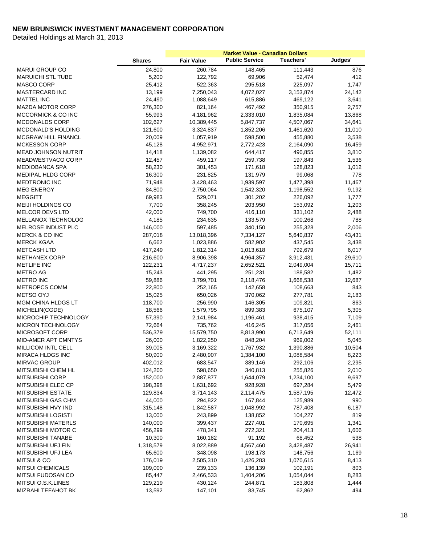|                            |               |                   | <b>Market Value - Canadian Dollars</b> |           |         |
|----------------------------|---------------|-------------------|----------------------------------------|-----------|---------|
|                            | <b>Shares</b> | <b>Fair Value</b> | <b>Public Service</b>                  | Teachers' | Judges' |
| <b>MARUI GROUP CO</b>      | 24,800        | 260,784           | 148,465                                | 111,443   | 876     |
| <b>MARUICHI STL TUBE</b>   | 5,200         | 122,792           | 69,906                                 | 52,474    | 412     |
| <b>MASCO CORP</b>          | 25,412        | 522,363           | 295,518                                | 225,097   | 1,747   |
| <b>MASTERCARD INC</b>      | 13,199        | 7,250,043         | 4,072,027                              | 3,153,874 | 24,142  |
| <b>MATTEL INC</b>          | 24,490        | 1,088,649         | 615,886                                | 469,122   | 3,641   |
| <b>MAZDA MOTOR CORP</b>    | 276,300       | 821,164           | 467,492                                | 350,915   | 2,757   |
| MCCORMICK & CO INC         | 55,993        | 4,181,962         | 2,333,010                              | 1,835,084 | 13,868  |
| MCDONALDS CORP             | 102,627       | 10,389,445        | 5,847,737                              | 4,507,067 | 34,641  |
| MCDONALD'S HOLDING         | 121,600       | 3,324,837         | 1,852,206                              | 1,461,620 | 11,010  |
| <b>MCGRAW HILL FINANCL</b> | 20,009        | 1,057,919         | 598,500                                | 455,880   | 3,538   |
| <b>MCKESSON CORP</b>       | 45,128        | 4,952,971         | 2,772,423                              | 2,164,090 | 16,459  |
| <b>MEAD JOHNSON NUTRIT</b> | 14,418        | 1,139,082         | 644,417                                | 490,855   | 3,810   |
| MEADWESTVACO CORP          | 12,457        | 459,117           | 259,738                                | 197,843   | 1,536   |
| <b>MEDIOBANCA SPA</b>      | 58,230        | 301,453           | 171,618                                | 128,823   | 1,012   |
| <b>MEDIPAL HLDG CORP</b>   | 16,300        | 231,825           | 131,979                                | 99,068    | 778     |
| MEDTRONIC INC              | 71,948        | 3,428,463         | 1,939,597                              | 1,477,398 | 11,467  |
| <b>MEG ENERGY</b>          | 84,800        | 2,750,064         | 1,542,320                              | 1,198,552 | 9,192   |
| <b>MEGGITT</b>             | 69,983        | 529,071           | 301,202                                | 226,092   | 1,777   |
| MEIJI HOLDINGS CO          | 7,700         | 358,245           | 203,950                                | 153,092   | 1,203   |
| <b>MELCOR DEVS LTD</b>     | 42,000        | 749,700           | 416,110                                | 331,102   | 2,488   |
| MELLANOX TECHNOLOG         | 4,185         | 234,635           | 133,579                                | 100,268   | 788     |
| MELROSE INDUST PLC         | 146,000       | 597,485           | 340,150                                | 255,328   | 2,006   |
| MERCK & CO INC             | 287,018       | 13,018,396        | 7,334,127                              | 5,640,837 | 43,431  |
| <b>MERCK KGAA</b>          | 6,662         | 1,023,886         | 582,902                                | 437,545   | 3,438   |
| <b>METCASH LTD</b>         | 417,249       | 1,812,314         | 1,013,618                              | 792,679   | 6,017   |
| <b>METHANEX CORP</b>       | 216,600       | 8,906,398         | 4,964,357                              | 3,912,431 | 29,610  |
| METLIFE INC                | 122,231       | 4,717,237         | 2,652,521                              | 2,049,004 | 15,711  |
| <b>METRO AG</b>            | 15,243        | 441,295           | 251,231                                | 188,582   | 1,482   |
| <b>METRO INC</b>           | 59,886        | 3,799,701         | 2,118,476                              | 1,668,538 | 12,687  |
| METROPCS COMM              | 22,800        | 252,165           | 142,658                                | 108,663   | 843     |
| <b>METSO OYJ</b>           | 15,025        | 650,026           | 370,062                                | 277,781   | 2,183   |
| MGM CHINA HLDGS LT         | 118,700       | 256,990           | 146,305                                | 109,821   | 863     |
| MICHELIN(CGDE)             | 18,566        | 1,579,795         | 899,383                                | 675,107   | 5,305   |
| MICROCHIP TECHNOLOGY       | 57,390        | 2,141,984         | 1,196,461                              | 938,415   | 7,109   |
| MICRON TECHNOLOGY          | 72,664        | 735,762           | 416,245                                | 317,056   | 2,461   |
| MICROSOFT CORP             | 536,379       | 15,579,750        | 8,813,990                              | 6,713,649 | 52,111  |
| MID-AMER APT CMNTYS        | 26,000        | 1,822,250         | 848,204                                | 969,002   | 5,045   |
| MILLICOM INTL CELL         | 39,005        | 3,169,322         | 1,767,932                              | 1,390,886 | 10,504  |
| <b>MIRACA HLDGS INC</b>    | 50,900        | 2,480,907         | 1,384,100                              | 1,088,584 | 8,223   |
| MIRVAC GROUP               | 402,012       | 683,547           | 389,146                                | 292,106   | 2,295   |
| MITSUBISHI CHEM HL         | 124,200       | 598,650           | 340,813                                | 255,826   | 2,010   |
| <b>MITSUBISHI CORP</b>     | 152,000       | 2,887,877         | 1,644,079                              | 1,234,100 | 9,697   |
| <b>MITSUBISHI ELEC CP</b>  | 198,398       | 1,631,692         | 928,928                                | 697,284   | 5,479   |
| <b>MITSUBISHI ESTATE</b>   | 129,834       | 3,714,143         | 2,114,475                              | 1,587,195 | 12,472  |
| MITSUBISHI GAS CHM         | 44,000        | 294,822           | 167,844                                | 125,989   | 990     |
| MITSUBISHI HVY IND         | 315,148       | 1,842,587         | 1,048,992                              | 787,408   | 6,187   |
| MITSUBISHI LOGISTI         | 13,000        | 243,899           | 138,852                                | 104,227   | 819     |
| <b>MITSUBISHI MATERLS</b>  | 140,000       | 399,437           | 227,401                                | 170,695   | 1,341   |
| MITSUBISHI MOTOR C         | 456,299       | 478,341           | 272,321                                | 204,413   | 1,606   |
| MITSUBISHI TANABE          | 10,300        | 160,182           | 91,192                                 | 68,452    | 538     |
| MITSUBISHI UFJ FIN         | 1,318,579     | 8,022,889         | 4,567,460                              | 3,428,487 | 26,941  |
| MITSUBISHI UFJ LEA         | 65,600        | 348,098           | 198,173                                | 148,756   | 1,169   |
| <b>MITSUI &amp; CO</b>     | 176,019       | 2,505,310         | 1,426,283                              | 1,070,615 | 8,413   |
| <b>MITSUI CHEMICALS</b>    | 109,000       | 239,133           | 136,139                                | 102,191   | 803     |
| MITSUI FUDOSAN CO          | 85,447        | 2,466,533         | 1,404,206                              | 1,054,044 | 8,283   |
| MITSUI O.S.K.LINES         | 129,219       | 430,124           | 244,871                                | 183,808   | 1,444   |
| MIZRAHI TEFAHOT BK         | 13,592        | 147,101           | 83,745                                 | 62,862    | 494     |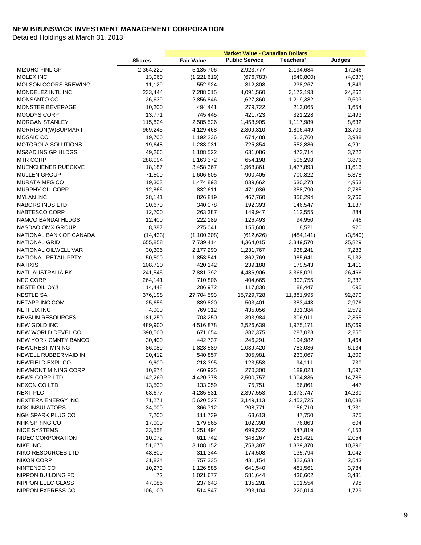|                             |               |                   | <b>Market Value - Canadian Dollars</b> |                  |         |
|-----------------------------|---------------|-------------------|----------------------------------------|------------------|---------|
|                             | <b>Shares</b> | <b>Fair Value</b> | <b>Public Service</b>                  | <b>Teachers'</b> | Judges' |
| <b>MIZUHO FINL GP</b>       | 2,364,220     | 5,135,706         | 2,923,777                              | 2,194,684        | 17,246  |
| MOLEX INC                   | 13,060        | (1,221,619)       | (676, 783)                             | (540, 800)       | (4,037) |
| MOLSON COORS BREWING        | 11,129        | 552,924           | 312,808                                | 238,267          | 1,849   |
| MONDELEZ INTL INC           | 233,444       | 7,288,015         | 4,091,560                              | 3,172,193        | 24,262  |
| <b>MONSANTO CO</b>          | 26,639        | 2,856,846         | 1,627,860                              | 1,219,382        | 9,603   |
| <b>MONSTER BEVERAGE</b>     | 10,200        | 494,441           | 279,722                                | 213,065          | 1,654   |
| MOODYS CORP                 | 13,771        | 745,445           | 421,723                                | 321,228          | 2,493   |
| <b>MORGAN STANLEY</b>       | 115,824       | 2,585,526         | 1,458,905                              | 1,117,989        | 8,632   |
| MORRISON(W)SUPMART          | 969,245       | 4,129,468         | 2,309,310                              | 1,806,449        | 13,709  |
| <b>MOSAIC CO</b>            | 19,700        | 1,192,236         | 674,488                                | 513,760          | 3,988   |
| <b>MOTOROLA SOLUTIONS</b>   | 19,648        | 1,283,031         | 725,854                                | 552,886          | 4,291   |
| MS&AD INS GP HLDGS          | 49,266        | 1,108,522         | 631,086                                | 473,714          | 3,722   |
| <b>MTR CORP</b>             | 288,094       | 1,163,372         | 654,198                                | 505,298          | 3,876   |
| MUENCHENER RUECKVE          | 18,187        | 3,458,367         | 1,968,861                              | 1,477,893        | 11,613  |
| <b>MULLEN GROUP</b>         | 71,500        | 1,606,605         | 900,405                                | 700,822          | 5,378   |
| <b>MURATA MFG CO</b>        | 19,303        | 1,474,893         | 839,662                                | 630,278          | 4,953   |
| MURPHY OIL CORP             | 12,866        | 832,611           | 471,036                                | 358,790          | 2,785   |
| <b>MYLAN INC</b>            | 28,141        | 826,819           | 467,760                                | 356,294          | 2,766   |
| <b>NABORS INDS LTD</b>      | 20,670        | 340,078           | 192,393                                | 146,547          | 1,137   |
| NABTESCO CORP               | 12,700        | 263,387           | 149,947                                | 112,555          | 884     |
| NAMCO BANDAI HLDGS          | 12,400        | 222,189           | 126,493                                | 94,950           | 746     |
| NASDAQ OMX GROUP            | 8,387         | 275,041           | 155,600                                | 118,521          | 920     |
| NATIONAL BANK OF CANADA     | (14, 433)     | (1, 100, 308)     | (612, 626)                             | (484, 141)       | (3,540) |
| <b>NATIONAL GRID</b>        | 655,858       | 7,739,414         | 4,364,015                              | 3,349,570        | 25,829  |
| NATIONAL OILWELL VAR        | 30,306        | 2,177,290         | 1,231,767                              | 938,241          | 7,283   |
| NATIONAL RETAIL PPTY        | 50,500        | 1,853,541         | 862,769                                | 985,641          | 5,132   |
| <b>NATIXIS</b>              | 108,720       | 420,142           | 239,188                                | 179,543          | 1,411   |
| NATL AUSTRALIA BK           | 241,545       | 7,881,392         | 4,486,906                              | 3,368,021        | 26,466  |
| <b>NEC CORP</b>             | 264,141       | 710,806           | 404,665                                | 303,755          | 2,387   |
| NESTE OIL OYJ               | 14,448        | 206,972           | 117,830                                | 88,447           | 695     |
| <b>NESTLE SA</b>            | 376,198       | 27,704,593        | 15,729,728                             | 11,881,995       | 92,870  |
| NETAPP INC COM              | 25,656        | 889,820           | 503,401                                | 383,443          | 2,976   |
| <b>NETFLIX INC</b>          | 4,000         | 769,012           | 435,056                                | 331,384          | 2,572   |
| <b>NEVSUN RESOURCES</b>     | 181,250       | 703,250           | 393,984                                | 306,911          | 2,355   |
| NEW GOLD INC                | 489,900       | 4,516,878         | 2,526,639                              | 1,975,171        | 15,069  |
| NEW WORLD DEVEL CO          | 390,500       | 671,654           | 382,375                                | 287,023          | 2,255   |
| <b>NEW YORK CMNTY BANCO</b> | 30,400        | 442,737           | 246,291                                | 194,982          | 1,464   |
| <b>NEWCREST MINING</b>      | 86,089        | 1,828,589         | 1,039,420                              | 783,036          | 6,134   |
| NEWELL RUBBERMAID IN        | 20,412        | 540,857           | 305,981                                | 233,067          | 1,809   |
| NEWFIELD EXPL CO            | 9,600         | 218,395           | 123,553                                | 94,111           | 730     |
| NEWMONT MINING CORP         | 10,874        | 460,925           | 270,300                                | 189,028          | 1,597   |
| <b>NEWS CORP LTD</b>        | 142,269       | 4,420,378         | 2,500,757                              | 1,904,836        | 14,785  |
| NEXON CO LTD                | 13,500        | 133,059           | 75,751                                 | 56,861           | 447     |
| NEXT PLC                    | 63,677        | 4,285,531         | 2,397,553                              | 1,873,747        | 14,230  |
| NEXTERA ENERGY INC          | 71,271        | 5,620,527         | 3,149,113                              | 2,452,725        | 18,688  |
| <b>NGK INSULATORS</b>       | 34,000        | 366,712           | 208,771                                | 156,710          | 1,231   |
| NGK SPARK PLUG CO           | 7,200         | 111,739           | 63,613                                 | 47,750           | 375     |
| NHK SPRING CO               | 17,000        | 179,865           | 102,398                                | 76,863           | 604     |
| <b>NICE SYSTEMS</b>         | 33,558        | 1,251,494         | 699,522                                | 547,819          | 4,153   |
| NIDEC CORPORATION           | 10,072        | 611,742           | 348,267                                | 261,421          | 2,054   |
| <b>NIKE INC</b>             | 51,670        | 3,108,152         | 1,758,387                              | 1,339,370        | 10,396  |
| NIKO RESOURCES LTD          | 48,800        | 311,344           | 174,508                                | 135,794          | 1,042   |
| <b>NIKON CORP</b>           | 31,824        | 757,335           | 431,154                                | 323,638          | 2,543   |
| NINTENDO CO                 | 10,273        | 1,126,885         | 641,540                                | 481,561          | 3,784   |
| NIPPON BUILDING FD          | 72            | 1,021,677         | 581,644                                | 436,602          | 3,431   |
| NIPPON ELEC GLASS           | 47,086        | 237,643           | 135,291                                | 101,554          | 798     |
| NIPPON EXPRESS CO           | 106,100       | 514,847           | 293,104                                | 220,014          | 1,729   |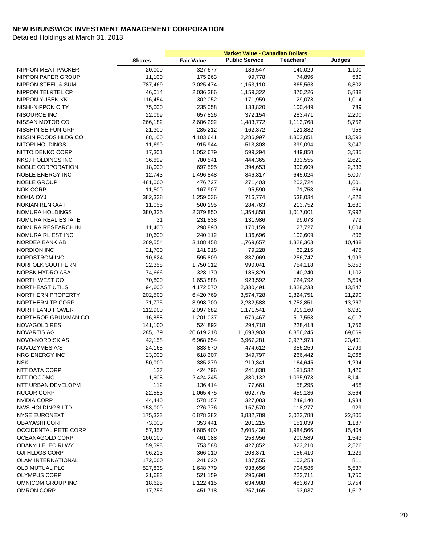|                               |               |                   | <b>Market Value - Canadian Dollars</b> |           |         |
|-------------------------------|---------------|-------------------|----------------------------------------|-----------|---------|
|                               | <b>Shares</b> | <b>Fair Value</b> | <b>Public Service</b>                  | Teachers' | Judges' |
| NIPPON MEAT PACKER            | 20,000        | 327,677           | 186,547                                | 140,029   | 1,100   |
| NIPPON PAPER GROUP            | 11,100        | 175,263           | 99,778                                 | 74,896    | 589     |
| <b>NIPPON STEEL &amp; SUM</b> | 787,469       | 2,025,474         | 1,153,110                              | 865,563   | 6,802   |
| NIPPON TEL&TEL CP             | 46,014        | 2,036,386         | 1,159,322                              | 870,226   | 6,838   |
| <b>NIPPON YUSEN KK</b>        | 116,454       | 302,052           | 171,959                                | 129,078   | 1,014   |
| NISHI-NIPPON CITY             | 75,000        | 235,058           | 133,820                                | 100,449   | 789     |
| NISOURCE INC                  | 22,099        | 657,826           | 372,154                                | 283,471   | 2,200   |
| NISSAN MOTOR CO               | 266,182       | 2,606,292         | 1,483,772                              | 1,113,768 | 8,752   |
| <b>NISSHIN SEIFUN GRP</b>     | 21,300        | 285,212           | 162,372                                | 121,882   | 958     |
| NISSIN FOODS HLDG CO          | 88,100        | 4,103,641         | 2,286,997                              | 1,803,051 | 13,593  |
| NITORI HOLDINGS               | 11,690        | 915,944           | 513,803                                | 399,094   | 3,047   |
| NITTO DENKO CORP              | 17,301        | 1,052,679         | 599,294                                | 449,850   | 3,535   |
| NKSJ HOLDINGS INC             | 36,699        | 780,541           | 444,365                                | 333,555   | 2,621   |
| NOBLE CORPORATION             | 18,000        | 697,595           | 394,653                                | 300,609   | 2,333   |
| NOBLE ENERGY INC              | 12,743        | 1,496,848         | 846,817                                | 645,024   | 5,007   |
| <b>NOBLE GROUP</b>            | 481,000       | 476,727           | 271,403                                | 203,724   | 1,601   |
| <b>NOK CORP</b>               | 11,500        | 167,907           | 95,590                                 | 71,753    | 564     |
| <b>NOKIA OYJ</b>              | 382,338       | 1,259,036         | 716,774                                | 538,034   | 4,228   |
| <b>NOKIAN RENKAAT</b>         | 11,055        | 500,195           | 284,763                                | 213,752   | 1,680   |
| NOMURA HOLDINGS               | 380,325       | 2,379,850         | 1,354,858                              | 1,017,001 | 7,992   |
| NOMURA REAL ESTATE            | 31            | 231,838           | 131,986                                | 99,073    | 779     |
| NOMURA RESEARCH IN            | 11,400        | 298,890           | 170,159                                | 127,727   | 1,004   |
| NOMURA RL EST INC             | 10,600        | 240,112           | 136,696                                | 102,609   | 806     |
| NORDEA BANK AB                | 269,554       | 3,108,458         | 1,769,657                              | 1,328,363 | 10,438  |
| <b>NORDION INC</b>            | 21,700        | 141,918           | 79,228                                 | 62,215    | 475     |
| NORDSTROM INC                 | 10,624        | 595,809           | 337,069                                | 256,747   | 1,993   |
| NORFOLK SOUTHERN              | 22,358        | 1,750,012         | 990,041                                | 754,118   | 5,853   |
| NORSK HYDRO ASA               | 74,666        | 328,170           | 186,829                                | 140,240   | 1,102   |
| NORTH WEST CO                 | 70,800        | 1,653,888         | 923,592                                | 724,792   | 5,504   |
| <b>NORTHEAST UTILS</b>        | 94,600        | 4,172,570         | 2,330,491                              | 1,828,233 | 13,847  |
| NORTHERN PROPERTY             | 202,500       | 6,420,769         | 3,574,728                              | 2,824,751 | 21,290  |
| <b>NORTHERN TR CORP</b>       | 71,775        | 3,998,700         | 2,232,583                              | 1,752,851 | 13,267  |
| NORTHLAND POWER               | 112,900       | 2,097,682         | 1,171,541                              | 919,160   | 6,981   |
| NORTHROP GRUMMAN CO           | 16,858        | 1,201,037         | 679,467                                | 517,553   | 4,017   |
| <b>NOVAGOLD RES</b>           | 141,100       | 524,892           | 294,718                                | 228,418   | 1,756   |
| <b>NOVARTIS AG</b>            | 285,179       | 20,619,218        | 11,693,903                             | 8,856,245 | 69,069  |
| NOVO-NORDISK AS               | 42,158        | 6,968,654         | 3,967,281                              | 2,977,973 | 23,401  |
| NOVOZYMES A/S                 | 24,168        | 833,670           | 474,612                                | 356,259   | 2,799   |
| NRG ENERGY INC                | 23,000        | 618,307           | 349,797                                | 266,442   | 2,068   |
| <b>NSK</b>                    | 50,000        | 385,279           | 219,341                                | 164,645   | 1,294   |
| NTT DATA CORP                 | 127           | 424,796           | 241,838                                | 181,532   | 1,426   |
| NTT DOCOMO                    | 1,608         | 2,424,245         | 1,380,132                              | 1,035,973 | 8,141   |
| NTT URBAN DEVELOPM            | 112           | 136,414           | 77,661                                 | 58,295    | 458     |
| <b>NUCOR CORP</b>             | 22,553        | 1,065,475         | 602,775                                | 459,136   | 3,564   |
| <b>NVIDIA CORP</b>            | 44,440        | 578,157           | 327,083                                | 249,140   | 1,934   |
| NWS HOLDINGS LTD              | 153,000       | 276,776           | 157,570                                | 118,277   | 929     |
| <b>NYSE EURONEXT</b>          | 175,323       | 6,878,382         | 3,832,789                              | 3,022,788 | 22,805  |
| <b>OBAYASHI CORP</b>          | 73,000        | 353,441           | 201,215                                | 151,039   | 1,187   |
| <b>OCCIDENTAL PETE CORP</b>   | 57,357        | 4,605,400         | 2,605,430                              | 1,984,566 | 15,404  |
| OCEANAGOLD CORP               | 160,100       | 461,088           | 258,956                                | 200,589   | 1,543   |
| ODAKYU ELEC RLWY              | 59,598        | 753,588           | 427,852                                | 323,210   | 2,526   |
| OJI HLDGS CORP                | 96,213        | 366,010           | 208,371                                | 156,410   | 1,229   |
| <b>OLAM INTERNATIONAL</b>     | 172,000       | 241,620           | 137,555                                | 103,253   | 811     |
| OLD MUTUAL PLC                | 527,838       | 1,648,779         | 938,656                                | 704,586   | 5,537   |
| <b>OLYMPUS CORP</b>           | 21,683        | 521,159           | 296,698                                | 222,711   | 1,750   |
| OMNICOM GROUP INC             | 18,628        | 1,122,415         | 634,988                                | 483,673   | 3,754   |
| OMRON CORP                    | 17,756        | 451,718           | 257,165                                | 193,037   | 1,517   |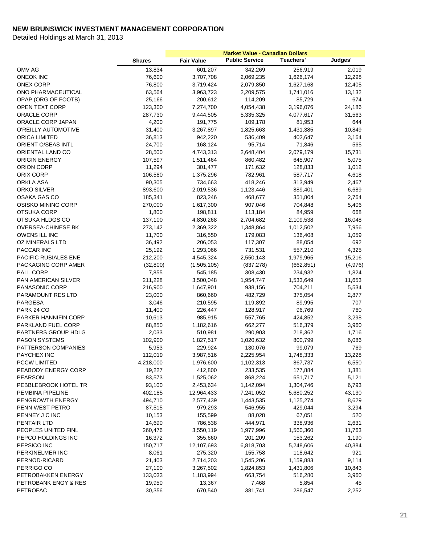|                            | <b>Shares</b> | <b>Fair Value</b> | <b>Public Service</b> | Teachers'  | Judges' |
|----------------------------|---------------|-------------------|-----------------------|------------|---------|
| OMV AG                     | 13,834        | 601,207           | 342,269               | 256,919    | 2,019   |
| <b>ONEOK INC</b>           | 76,600        | 3,707,708         | 2,069,235             | 1,626,174  | 12,298  |
| <b>ONEX CORP</b>           | 76,800        | 3,719,424         | 2,079,850             | 1,627,168  | 12,405  |
| ONO PHARMACEUTICAL         | 63,564        | 3,963,723         | 2,209,575             | 1,741,016  | 13,132  |
| OPAP (ORG OF FOOTB)        | 25,166        | 200,612           | 114,209               | 85,729     | 674     |
| OPEN TEXT CORP             | 123,300       | 7,274,700         | 4,054,438             | 3,196,076  | 24,186  |
| ORACLE CORP                | 287,730       | 9,444,505         | 5,335,325             | 4,077,617  | 31,563  |
| ORACLE CORP JAPAN          | 4,200         | 191,775           | 109,178               | 81,953     | 644     |
| O'REILLY AUTOMOTIVE        | 31,400        | 3,267,897         | 1,825,663             | 1,431,385  | 10,849  |
| ORICA LIMITED              | 36,813        | 942,220           | 536,409               | 402,647    | 3,164   |
| <b>ORIENT O/SEAS INTL</b>  | 24,700        | 168,124           | 95,714                | 71,846     | 565     |
| ORIENTAL LAND CO           | 28,500        | 4,743,313         | 2,648,404             | 2,079,179  | 15,731  |
| <b>ORIGIN ENERGY</b>       | 107,597       | 1,511,464         | 860,482               | 645,907    | 5,075   |
| ORION CORP                 | 11,294        | 301,477           | 171,632               | 128,833    | 1,012   |
| ORIX CORP                  | 106,580       | 1,375,296         | 782,961               | 587,717    | 4,618   |
| ORKLA ASA                  | 90,305        | 734,663           | 418,246               | 313,949    | 2,467   |
| ORKO SILVER                | 893,600       | 2,019,536         | 1,123,446             | 889,401    | 6,689   |
| <b>OSAKA GAS CO</b>        | 185,341       | 823,246           | 468,677               | 351,804    | 2,764   |
| OSISKO MINING CORP         | 270,000       | 1,617,300         | 907,046               | 704,848    | 5,406   |
| <b>OTSUKA CORP</b>         | 1,800         | 198,811           | 113,184               | 84,959     | 668     |
| OTSUKA HLDGS CO            | 137,100       | 4,830,268         | 2,704,682             | 2,109,538  | 16,048  |
| <b>OVERSEA-CHINESE BK</b>  | 273,142       | 2,369,322         | 1,348,864             | 1,012,502  | 7,956   |
| OWENS ILL INC              | 11,700        | 316,550           | 179,083               | 136,408    | 1,059   |
| OZ MINERALS LTD            | 36,492        | 206,053           | 117,307               | 88,054     | 692     |
| PACCAR INC                 | 25,192        | 1,293,066         | 731,531               | 557,210    | 4,325   |
| PACIFIC RUBIALES ENE       | 212,200       | 4,545,324         | 2,550,143             | 1,979,965  | 15,216  |
| PACKAGING CORP AMER        | (32, 800)     | (1,505,105)       | (837, 278)            | (662, 851) | (4,976) |
| PALL CORP                  | 7,855         | 545,185           | 308,430               | 234,932    | 1,824   |
| <b>PAN AMERICAN SILVER</b> | 211,228       | 3,500,048         | 1,954,747             | 1,533,649  | 11,653  |
| PANASONIC CORP             | 216,900       | 1,647,901         | 938,156               | 704,211    | 5,534   |
| PARAMOUNT RES LTD          | 23,000        | 860,660           | 482,729               | 375,054    | 2,877   |
| PARGESA                    | 3,046         | 210,595           | 119,892               | 89,995     | 707     |
| PARK 24 CO                 | 11,400        | 226,447           | 128,917               | 96,769     | 760     |
| PARKER HANNIFIN CORP       | 10,613        | 985,915           | 557,765               | 424,852    | 3,298   |
| PARKLAND FUEL CORP         | 68,850        | 1,182,616         | 662,277               | 516,379    | 3,960   |
| PARTNERS GROUP HDLG        | 2,033         | 510,981           | 290,903               | 218,362    | 1,716   |
| <b>PASON SYSTEMS</b>       | 102,900       | 1,827,517         | 1,020,632             | 800,799    | 6,086   |
| PATTERSON COMPANIES        | 5,953         | 229,924           | 130,076               | 99,079     | 769     |
| PAYCHEX INC                | 112,019       | 3,987,516         | 2,225,954             | 1,748,333  | 13,228  |
| <b>PCCW LIMITED</b>        | 4,218,000     | 1,976,600         | 1,102,313             | 867,737    | 6,550   |
| PEABODY ENERGY CORP        | 19,227        | 412,800           | 233,535               | 177,884    | 1,381   |
| <b>PEARSON</b>             | 83,573        | 1,525,062         | 868,224               | 651,717    | 5,121   |
| PEBBLEBROOK HOTEL TR       | 93,100        | 2,453,634         | 1,142,094             | 1,304,746  | 6,793   |
| PEMBINA PIPELINE           | 402,185       | 12,964,433        | 7,241,052             | 5,680,252  | 43,130  |
| PENGROWTH ENERGY           | 494,710       | 2,577,439         | 1,443,535             | 1,125,274  | 8,629   |
| PENN WEST PETRO            | 87,515        | 979,293           | 546,955               | 429,044    | 3,294   |
| PENNEY J C INC             | 10,153        | 155,599           | 88,028                | 67,051     | 520     |
| PENTAIR LTD                | 14,690        | 786,538           | 444,971               | 338,936    | 2,631   |
| PEOPLES UNITED FINL        | 260,476       | 3,550,119         | 1,977,996             | 1,560,360  | 11,763  |
| PEPCO HOLDINGS INC         | 16,372        | 355,660           | 201,209               | 153,262    | 1,190   |
| PEPSICO INC                | 150,717       | 12,107,693        | 6,818,703             | 5,248,606  | 40,384  |
| PERKINELMER INC            | 8,061         | 275,320           | 155,758               | 118,642    | 921     |
| PERNOD-RICARD              | 21,403        | 2,714,203         | 1,545,206             | 1,159,883  | 9,114   |
| PERRIGO CO                 | 27,100        | 3,267,502         | 1,824,853             | 1,431,806  | 10,843  |
| PETROBAKKEN ENERGY         | 133,033       | 1,183,994         | 663,754               | 516,280    | 3,960   |
| PETROBANK ENGY & RES       | 19,950        | 13,367            | 7,468                 | 5,854      | 45      |
| <b>PETROFAC</b>            | 30,356        | 670,540           | 381,741               | 286,547    | 2,252   |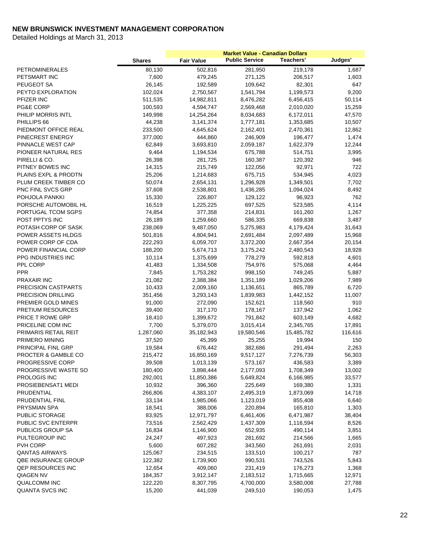|                          |               |                   | <b>Market Value - Canadian Dollars</b> |                  |         |
|--------------------------|---------------|-------------------|----------------------------------------|------------------|---------|
|                          | <b>Shares</b> | <b>Fair Value</b> | <b>Public Service</b>                  | <b>Teachers'</b> | Judges' |
| <b>PETROMINERALES</b>    | 80,130        | 502,816           | 281,950                                | 219,178          | 1,687   |
| PETSMART INC             | 7,600         | 479,245           | 271,125                                | 206,517          | 1,603   |
| PEUGEOT SA               | 26,145        | 192,589           | 109,642                                | 82,301           | 647     |
| PEYTO EXPLORATION        | 102,024       | 2,750,567         | 1,541,794                              | 1,199,573        | 9,200   |
| PFIZER INC               | 511,535       | 14,982,811        | 8,476,282                              | 6,456,415        | 50,114  |
| PG&E CORP                | 100,593       | 4,594,747         | 2,569,468                              | 2,010,020        | 15,259  |
| PHILIP MORRIS INTL       | 149,998       | 14,254,264        | 8,034,683                              | 6,172,011        | 47,570  |
| PHILLIPS 66              | 44,238        | 3,141,374         | 1,777,181                              | 1,353,685        | 10,507  |
| PIEDMONT OFFICE REAL     | 233,500       | 4,645,624         | 2,162,401                              | 2,470,361        | 12,862  |
| PINECREST ENERGY         | 377,000       | 444,860           | 246,909                                | 196,477          | 1,474   |
| PINNACLE WEST CAP        | 62,849        | 3,693,810         | 2,059,187                              | 1,622,379        | 12,244  |
| PIONEER NATURAL RES      | 9,464         | 1,194,534         | 675,788                                | 514,751          | 3,995   |
| PIRELLI & CO.            | 26,398        | 281,725           | 160,387                                | 120,392          | 946     |
| PITNEY BOWES INC         | 14,315        | 215,749           | 122,056                                | 92,971           | 722     |
| PLAINS EXPL & PRODTN     | 25,206        | 1,214,683         | 675,715                                | 534,945          | 4,023   |
| PLUM CREEK TIMBER CO     | 50,074        | 2,654,131         | 1,296,928                              | 1,349,501        | 7,702   |
| PNC FINL SVCS GRP        | 37,608        | 2,538,801         | 1,436,285                              | 1,094,024        | 8,492   |
| POHJOLA PANKKI           | 15,330        | 226,807           | 129,122                                | 96,923           | 762     |
| PORSCHE AUTOMOBIL HL     | 16,519        | 1,225,225         | 697,525                                | 523,585          | 4,114   |
| PORTUGAL TCOM SGPS       | 74,854        | 377,358           | 214,831                                | 161,260          | 1,267   |
| POST PPTYS INC           | 26,189        | 1,259,660         | 586,335                                | 669,838          | 3,487   |
| POTASH CORP OF SASK      | 238,069       | 9,487,050         | 5,275,983                              | 4,179,424        | 31,643  |
| POWER ASSETS HLDGS       | 501,816       | 4,804,941         | 2,691,484                              | 2,097,489        | 15,968  |
| POWER CORP OF CDA        | 222,293       | 6,059,707         | 3,372,200                              | 2,667,354        | 20,154  |
| POWER FINANCIAL CORP     | 188,200       | 5,674,713         | 3,175,242                              | 2,480,543        | 18,928  |
| PPG INDUSTRIES INC       | 10,114        | 1,375,699         | 778,279                                | 592,818          | 4,601   |
| PPL CORP                 | 41,483        | 1,334,508         | 754,976                                | 575,068          | 4,464   |
| <b>PPR</b>               | 7,845         | 1,753,282         | 998,150                                | 749,245          | 5,887   |
| <b>PRAXAIR INC</b>       | 21,082        | 2,388,384         | 1,351,189                              | 1,029,206        | 7,989   |
| PRECISION CASTPARTS      | 10,433        | 2,009,160         | 1,136,651                              | 865,789          | 6,720   |
| PRECISION DRILLING       | 351,456       | 3,293,143         | 1,839,983                              | 1,442,152        | 11,007  |
| PREMIER GOLD MINES       | 91,000        | 272,090           | 152,621                                | 118,560          | 910     |
| PRETIUM RESOURCES        | 39,400        | 317,170           | 178,167                                | 137,942          | 1,062   |
| <b>PRICE T ROWE GRP</b>  | 18,410        | 1,399,672         | 791,842                                | 603,149          | 4,682   |
| PRICELINE COM INC        | 7,700         | 5,379,070         | 3,015,414                              | 2,345,765        | 17,891  |
| PRIMARIS RETAIL REIT     | 1,287,060     | 35,182,943        | 19,580,546                             | 15,485,782       | 116,616 |
| PRIMERO MINING           | 37,520        | 45,399            | 25,255                                 | 19,994           | 150     |
| PRINCIPAL FINL GRP       | 19,584        | 676,442           | 382,686                                | 291,494          | 2,263   |
| PROCTER & GAMBLE CO      | 215,472       | 16,850,169        | 9,517,127                              | 7,276,739        | 56,303  |
| PROGRESSIVE CORP         | 39,508        | 1,013,139         | 573,167                                | 436,583          | 3,389   |
| PROGRESSIVE WASTE SO     | 180,400       | 3,898,444         | 2,177,093                              | 1,708,349        | 13,002  |
| PROLOGIS INC             | 292,001       | 11,850,386        | 5,649,824                              | 6,166,985        | 33,577  |
| PROSIEBENSAT1 MEDI       | 10,932        | 396,360           | 225,649                                | 169,380          | 1,331   |
| PRUDENTIAL               | 266,806       | 4,383,107         | 2,495,319                              | 1,873,069        | 14,718  |
| PRUDENTIAL FINL          | 33,134        | 1,985,066         | 1,123,019                              | 855,408          | 6,640   |
| PRYSMIAN SPA             | 18,541        | 388,006           | 220,894                                | 165,810          | 1,303   |
| PUBLIC STORAGE           | 83,925        | 12,971,797        | 6,461,406                              | 6,471,987        | 38,404  |
| PUBLIC SVC ENTERPR       | 73,516        | 2,562,429         | 1,437,309                              | 1,116,594        | 8,526   |
| PUBLICIS GROUP SA        | 16,834        | 1,146,900         | 652,935                                | 490,114          | 3,851   |
| PULTEGROUP INC           | 24,247        | 497,923           | 281,692                                | 214,566          | 1,665   |
| PVH CORP                 | 5,600         | 607,282           | 343,560                                | 261,691          | 2,031   |
| <b>QANTAS AIRWAYS</b>    | 125,067       | 234,515           | 133,510                                | 100,217          | 787     |
| QBE INSURANCE GROUP      | 122,382       | 1,739,900         | 990,531                                | 743,526          | 5,843   |
| <b>QEP RESOURCES INC</b> | 12,654        | 409,060           | 231,419                                | 176,273          | 1,368   |
| QIAGEN NV                | 184,357       | 3,912,147         | 2,183,512                              | 1,715,665        | 12,971  |
| <b>QUALCOMM INC</b>      | 122,220       | 8,307,795         | 4,700,000                              | 3,580,008        | 27,788  |
| <b>QUANTA SVCS INC</b>   | 15,200        | 441,039           | 249,510                                | 190,053          | 1,475   |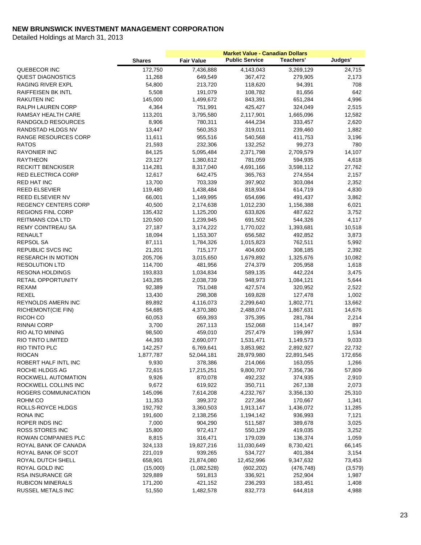|                             |               |                   | <b>Market Value - Canadian Dollars</b> |            |         |
|-----------------------------|---------------|-------------------|----------------------------------------|------------|---------|
|                             | <b>Shares</b> | <b>Fair Value</b> | <b>Public Service</b>                  | Teachers'  | Judges' |
| QUEBECOR INC                | 172,750       | 7,436,888         | 4,143,043                              | 3,269,129  | 24,715  |
| <b>QUEST DIAGNOSTICS</b>    | 11,268        | 649,549           | 367,472                                | 279,905    | 2,173   |
| RAGING RIVER EXPL           | 54,800        | 213,720           | 118,620                                | 94,391     | 708     |
| <b>RAIFFEISEN BK INTL</b>   | 5,508         | 191,079           | 108,782                                | 81,656     | 642     |
| RAKUTEN INC                 | 145,000       | 1,499,672         | 843,391                                | 651,284    | 4,996   |
| RALPH LAUREN CORP           | 4,364         | 751,991           | 425,427                                | 324,049    | 2,515   |
| RAMSAY HEALTH CARE          | 113,201       | 3,795,580         | 2,117,901                              | 1,665,096  | 12,582  |
| RANDGOLD RESOURCES          | 8,906         | 780,311           | 444,234                                | 333,457    | 2,620   |
| RANDSTAD HLDGS NV           | 13,447        | 560,353           | 319,011                                | 239,460    | 1,882   |
| RANGE RESOURCES CORP        | 11,611        | 955,516           | 540,568                                | 411,753    | 3,196   |
| <b>RATOS</b>                | 21,593        | 232,306           | 132,252                                | 99,273     | 780     |
| <b>RAYONIER INC</b>         | 84,125        | 5,095,484         | 2,371,798                              | 2,709,579  | 14,107  |
| <b>RAYTHEON</b>             | 23,127        | 1,380,612         | 781,059                                | 594,935    | 4,618   |
| <b>RECKITT BENCKISER</b>    | 114,281       | 8,317,040         | 4,691,166                              | 3,598,112  | 27,762  |
| <b>RED ELECTRICA CORP</b>   | 12,617        | 642,475           | 365,763                                | 274,554    | 2,157   |
| <b>RED HAT INC</b>          | 13,700        | 703,339           | 397,902                                | 303,084    | 2,352   |
| <b>REED ELSEVIER</b>        | 119,480       | 1,438,484         | 818,934                                | 614,719    | 4,830   |
| REED ELSEVIER NV            | 66,001        | 1,149,995         | 654,696                                | 491,437    | 3,862   |
| <b>REGENCY CENTERS CORP</b> | 40,500        | 2,174,638         | 1,012,230                              | 1,156,388  | 6,021   |
| <b>REGIONS FINL CORP</b>    | 135,432       | 1,125,200         | 633,826                                | 487,622    | 3,752   |
| REITMANS CDA LTD            | 120,500       | 1,239,945         | 691,502                                | 544,326    | 4,117   |
| <b>REMY COINTREAU SA</b>    | 27,187        | 3,174,222         | 1,770,022                              | 1,393,681  | 10,518  |
| <b>RENAULT</b>              | 18,094        | 1,153,307         | 656,582                                | 492,852    | 3,873   |
| REPSOL SA                   | 87,111        | 1,784,326         | 1,015,823                              | 762,511    | 5,992   |
| REPUBLIC SVCS INC           | 21,201        | 715,177           | 404,600                                | 308,185    | 2,392   |
| <b>RESEARCH IN MOTION</b>   | 205,706       | 3,015,650         | 1,679,892                              | 1,325,676  | 10,082  |
| <b>RESOLUTION LTD</b>       | 114,700       | 481,956           | 274,379                                | 205,958    | 1,618   |
| <b>RESONA HOLDINGS</b>      | 193,833       | 1,034,834         | 589,135                                | 442,224    | 3,475   |
| <b>RETAIL OPPORTUNITY</b>   | 143,285       | 2,038,739         | 948,973                                | 1,084,121  | 5,644   |
| REXAM                       | 92,389        | 751,048           | 427,574                                | 320,952    | 2,522   |
| <b>REXEL</b>                | 13,430        | 298,308           | 169,828                                | 127,478    | 1,002   |
| <b>REYNOLDS AMERN INC</b>   | 89,892        | 4,116,073         | 2,299,640                              | 1,802,771  | 13,662  |
| RICHEMONT(CIE FIN)          | 54,685        | 4,370,380         | 2,488,074                              | 1,867,631  | 14,676  |
| RICOH CO                    | 60,053        | 659,393           | 375,395                                | 281,784    | 2,214   |
| <b>RINNAI CORP</b>          | 3,700         | 267,113           | 152,068                                | 114,147    | 897     |
| RIO ALTO MINING             | 98,500        | 459,010           | 257,479                                | 199,997    | 1,534   |
| RIO TINTO LIMITED           | 44,393        | 2,690,077         | 1,531,471                              | 1,149,573  | 9,033   |
| RIO TINTO PLC               | 142,257       | 6,769,641         | 3,853,982                              | 2,892,927  | 22,732  |
| <b>RIOCAN</b>               | 1,877,787     | 52,044,181        | 28,979,980                             | 22,891,545 | 172,656 |
| ROBERT HALF INTL INC        | 9,930         | 378,386           | 214,066                                | 163,055    | 1,266   |
| ROCHE HLDGS AG              | 72,615        | 17,215,251        | 9,800,707                              | 7,356,736  | 57,809  |
| ROCKWELL AUTOMATION         | 9,926         | 870,078           | 492,232                                | 374,935    | 2,910   |
| ROCKWELL COLLINS INC        | 9,672         | 619,922           | 350,711                                | 267,138    | 2,073   |
| ROGERS COMMUNICATION        | 145,096       | 7,614,208         | 4,232,767                              | 3,356,130  | 25,310  |
| ROHM CO                     | 11,353        | 399,372           | 227,364                                | 170,667    | 1,341   |
| ROLLS-ROYCE HLDGS           | 192,792       | 3,360,503         | 1,913,147                              | 1,436,072  | 11,285  |
| RONA INC                    | 191,600       | 2,138,256         | 1,194,142                              | 936,993    | 7,121   |
| ROPER INDS INC              | 7,000         | 904,290           | 511,587                                | 389,678    | 3,025   |
| ROSS STORES INC             | 15,800        | 972,417           | 550,129                                | 419,035    | 3,252   |
| ROWAN COMPANIES PLC         | 8,815         | 316,471           | 179,039                                | 136,374    | 1,059   |
| ROYAL BANK OF CANADA        | 324,133       | 19,827,216        | 11,030,649                             | 8,730,421  | 66,145  |
| ROYAL BANK OF SCOT          | 221,019       | 939,265           | 534,727                                | 401,384    | 3,154   |
| ROYAL DUTCH SHELL           | 658,901       | 21,874,080        | 12,452,996                             | 9,347,632  | 73,453  |
| ROYAL GOLD INC              | (15,000)      | (1,082,528)       | (602, 202)                             | (476, 748) | (3,579) |
| RSA INSURANCE GR            | 329,889       | 591,813           | 336,921                                | 252,904    | 1,987   |
| <b>RUBICON MINERALS</b>     | 171,200       | 421,152           | 236,293                                | 183,451    | 1,408   |
| RUSSEL METALS INC           | 51,550        | 1,482,578         | 832,773                                | 644,818    | 4,988   |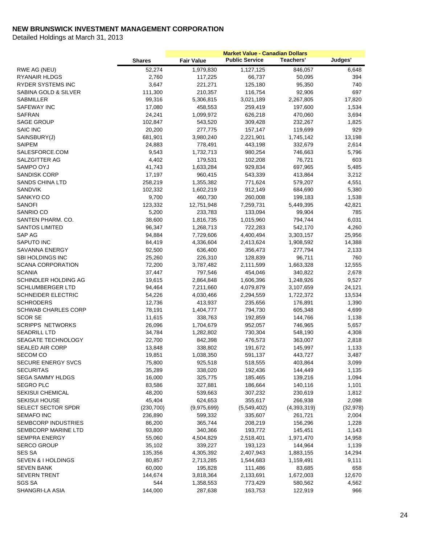|                            |               | <b>Market Value - Canadian Dollars</b> |                       |                  |           |
|----------------------------|---------------|----------------------------------------|-----------------------|------------------|-----------|
|                            | <b>Shares</b> | <b>Fair Value</b>                      | <b>Public Service</b> | <b>Teachers'</b> | Judges'   |
| RWE AG (NEU)               | 52,274        | 1,979,830                              | 1,127,125             | 846,057          | 6,648     |
| <b>RYANAIR HLDGS</b>       | 2,760         | 117,225                                | 66,737                | 50,095           | 394       |
| RYDER SYSTEMS INC          | 3,647         | 221,271                                | 125,180               | 95,350           | 740       |
| SABINA GOLD & SILVER       | 111,300       | 210,357                                | 116,754               | 92,906           | 697       |
| SABMILLER                  | 99,316        | 5,306,815                              | 3,021,189             | 2,267,805        | 17,820    |
| SAFEWAY INC                | 17,080        | 458,553                                | 259,419               | 197,600          | 1,534     |
| <b>SAFRAN</b>              | 24,241        | 1,099,972                              | 626,218               | 470,060          | 3,694     |
| <b>SAGE GROUP</b>          | 102,847       | 543,520                                | 309,428               | 232,267          | 1,825     |
| <b>SAIC INC</b>            | 20,200        | 277,775                                | 157,147               | 119,699          | 929       |
| SAINSBURY(J)               | 681,901       | 3,980,240                              | 2,221,901             | 1,745,142        | 13,198    |
| <b>SAIPEM</b>              | 24,883        | 778,491                                | 443,198               | 332,679          | 2,614     |
| SALESFORCE.COM             | 9,543         | 1,732,713                              | 980,254               | 746,663          | 5,796     |
| SALZGITTER AG              | 4,402         | 179,531                                | 102,208               | 76,721           | 603       |
| SAMPO OYJ                  | 41,743        | 1,633,284                              | 929,834               | 697,965          | 5,485     |
| <b>SANDISK CORP</b>        | 17,197        | 960,415                                | 543,339               | 413,864          | 3,212     |
| <b>SANDS CHINA LTD</b>     | 258,219       | 1,355,382                              | 771,624               | 579,207          | 4,551     |
| SANDVIK                    | 102,332       | 1,602,219                              | 912,149               | 684,690          | 5,380     |
| SANKYO CO                  | 9,700         | 460,730                                | 260,008               | 199,183          | 1,538     |
| <b>SANOFI</b>              | 123,332       | 12,751,948                             | 7,259,731             | 5,449,395        | 42,821    |
| SANRIO CO                  | 5,200         | 233,783                                | 133,094               | 99,904           | 785       |
| SANTEN PHARM. CO.          | 38,600        | 1,816,735                              | 1,015,960             | 794,744          | 6,031     |
| <b>SANTOS LIMITED</b>      | 96,347        | 1,268,713                              | 722,283               | 542,170          | 4,260     |
| SAP AG                     | 94,884        | 7,729,606                              | 4,400,494             | 3,303,157        | 25,956    |
| SAPUTO INC                 | 84,419        | 4,336,604                              | 2,413,624             | 1,908,592        | 14,388    |
| SAVANNA ENERGY             | 92,500        | 636,400                                | 356,473               | 277,794          | 2,133     |
| <b>SBI HOLDINGS INC</b>    | 25,260        | 226,310                                | 128,839               | 96,711           | 760       |
| <b>SCANA CORPORATION</b>   | 72,200        | 3,787,482                              | 2,111,599             | 1,663,328        | 12,555    |
| <b>SCANIA</b>              | 37,447        | 797,546                                | 454,046               | 340,822          | 2,678     |
| SCHINDLER HOLDING AG       | 19,615        | 2,864,848                              | 1,606,396             | 1,248,926        | 9,527     |
| <b>SCHLUMBERGER LTD</b>    | 94,464        | 7,211,660                              | 4,079,879             | 3,107,659        | 24,121    |
| <b>SCHNEIDER ELECTRIC</b>  | 54,226        | 4,030,466                              | 2,294,559             | 1,722,372        | 13,534    |
| <b>SCHRODERS</b>           | 12,736        | 413,937                                | 235,656               | 176,891          | 1,390     |
| <b>SCHWAB CHARLES CORP</b> | 78,191        | 1,404,777                              | 794,730               | 605,348          | 4,699     |
| <b>SCOR SE</b>             | 11,615        | 338,763                                | 192,859               | 144,766          | 1,138     |
| <b>SCRIPPS NETWORKS</b>    | 26,096        | 1,704,679                              | 952,057               | 746,965          | 5,657     |
| <b>SEADRILL LTD</b>        | 34,784        | 1,282,802                              | 730,304               | 548,190          | 4,308     |
| SEAGATE TECHNOLOGY         | 22,700        | 842,398                                | 476,573               | 363,007          | 2,818     |
| <b>SEALED AIR CORP</b>     | 13,848        | 338,802                                | 191,672               | 145,997          | 1,133     |
| <b>SECOM CO</b>            | 19,851        | 1,038,350                              | 591,137               | 443,727          | 3,487     |
| <b>SECURE ENERGY SVCS</b>  | 75,800        | 925,518                                | 518,555               | 403,864          | 3,099     |
| <b>SECURITAS</b>           | 35,289        | 338,020                                | 192,436               | 144,449          | 1,135     |
| <b>SEGA SAMMY HLDGS</b>    | 16,000        | 325,775                                | 185,465               | 139,216          | 1,094     |
| <b>SEGRO PLC</b>           | 83,586        | 327,881                                | 186,664               | 140,116          | 1,101     |
| <b>SEKISUI CHEMICAL</b>    | 48,200        | 539,663                                | 307,232               | 230,619          | 1,812     |
| <b>SEKISUI HOUSE</b>       | 45,404        | 624,653                                | 355,617               | 266,938          | 2,098     |
| SELECT SECTOR SPDR         | (230, 700)    | (9,975,699)                            | (5,549,402)           | (4,393,319)      | (32, 978) |
| <b>SEMAFO INC</b>          | 236,890       | 599,332                                | 335,607               | 261,721          | 2,004     |
| SEMBCORP INDUSTRIES        | 86,200        | 365,744                                | 208,219               | 156,296          | 1,228     |
| SEMBCORP MARINE LTD        | 93,800        | 340,366                                | 193,772               | 145,451          | 1,143     |
| <b>SEMPRA ENERGY</b>       | 55,060        | 4,504,829                              | 2,518,401             | 1,971,470        | 14,958    |
| <b>SERCO GROUP</b>         | 35,102        | 339,227                                | 193,123               | 144,964          | 1,139     |
| <b>SES SA</b>              | 135,356       | 4,305,392                              | 2,407,943             | 1,883,155        | 14,294    |
| SEVEN & I HOLDINGS         | 80,857        | 2,713,285                              | 1,544,683             | 1,159,491        | 9,111     |
| <b>SEVEN BANK</b>          | 60,000        | 195,828                                | 111,486               | 83,685           | 658       |
| <b>SEVERN TRENT</b>        | 144,674       | 3,818,364                              | 2,133,691             | 1,672,003        | 12,670    |
| <b>SGS SA</b>              | 544           | 1,358,553                              | 773,429               | 580,562          | 4,562     |
| SHANGRI-LA ASIA            | 144,000       | 287,638                                | 163,753               | 122,919          | 966       |
|                            |               |                                        |                       |                  |           |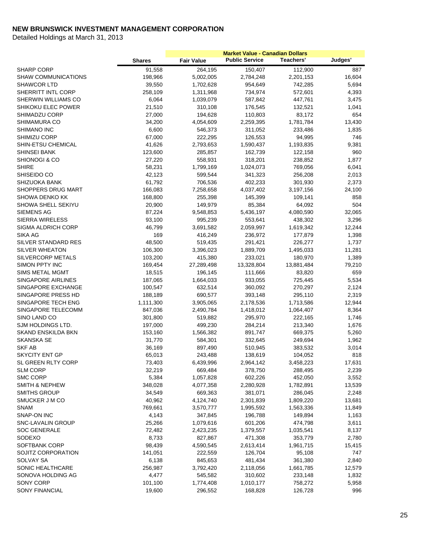|                            |               | <b>Market Value - Canadian Dollars</b> |                       |                  |         |  |
|----------------------------|---------------|----------------------------------------|-----------------------|------------------|---------|--|
|                            | <b>Shares</b> | <b>Fair Value</b>                      | <b>Public Service</b> | <b>Teachers'</b> | Judges' |  |
| <b>SHARP CORP</b>          | 91,558        | 264,195                                | 150,407               | 112,900          | 887     |  |
| <b>SHAW COMMUNICATIONS</b> | 198,966       | 5,002,005                              | 2,784,248             | 2,201,153        | 16,604  |  |
| <b>SHAWCOR LTD</b>         | 39,550        | 1,702,628                              | 954,649               | 742,285          | 5,694   |  |
| SHERRITT INTL CORP         | 258,109       | 1,311,968                              | 734,974               | 572,601          | 4,393   |  |
| SHERWIN WILLIAMS CO        | 6,064         | 1,039,079                              | 587,842               | 447,761          | 3,475   |  |
| <b>SHIKOKU ELEC POWER</b>  | 21,510        | 310,108                                | 176,545               | 132,521          | 1,041   |  |
| SHIMADZU CORP              | 27,000        | 194,628                                | 110,803               | 83,172           | 654     |  |
| <b>SHIMAMURA CO</b>        | 34,200        | 4,054,609                              | 2,259,395             | 1,781,784        | 13,430  |  |
| SHIMANO INC                | 6,600         | 546,373                                | 311,052               | 233,486          | 1,835   |  |
| SHIMIZU CORP               | 67,000        | 222,295                                | 126,553               | 94,995           | 746     |  |
| <b>SHIN-ETSU CHEMICAL</b>  | 41,626        | 2,793,653                              | 1,590,437             | 1,193,835        | 9,381   |  |
| <b>SHINSEI BANK</b>        | 123,600       | 285,857                                | 162,739               | 122,158          | 960     |  |
| SHIONOGI & CO              | 27,220        | 558,931                                | 318,201               | 238,852          | 1,877   |  |
| <b>SHIRE</b>               | 58,231        | 1,799,169                              | 1,024,073             | 769,056          | 6,041   |  |
| SHISEIDO CO                | 42,123        | 599,544                                | 341,323               | 256,208          | 2,013   |  |
| <b>SHIZUOKA BANK</b>       | 61,792        | 706,536                                | 402,233               | 301,930          | 2,373   |  |
| SHOPPERS DRUG MART         | 166,083       | 7,258,658                              | 4,037,402             | 3,197,156        | 24,100  |  |
| SHOWA DENKO KK             | 168,800       | 255,398                                | 145,399               | 109,141          | 858     |  |
| SHOWA SHELL SEKIYU         | 20,900        | 149,979                                | 85,384                | 64,092           | 504     |  |
| <b>SIEMENS AG</b>          | 87,224        | 9,548,853                              | 5,436,197             | 4,080,590        | 32,065  |  |
| <b>SIERRA WIRELESS</b>     | 93,100        | 995,239                                | 553,641               | 438,302          | 3,296   |  |
| <b>SIGMA ALDRICH CORP</b>  | 46,799        | 3,691,582                              | 2,059,997             | 1,619,342        | 12,244  |  |
| SIKA AG                    | 169           | 416,249                                | 236,972               | 177,879          | 1,398   |  |
| SILVER STANDARD RES        | 48,500        | 519,435                                | 291,421               | 226,277          | 1,737   |  |
| <b>SILVER WHEATON</b>      | 106,300       | 3,396,023                              | 1,889,709             | 1,495,033        | 11,281  |  |
| SILVERCORP METALS          | 103,200       | 415,380                                | 233,021               | 180,970          | 1,389   |  |
| <b>SIMON PPTY INC</b>      | 169,454       | 27,289,498                             | 13,328,804            | 13,881,484       | 79,210  |  |
| <b>SIMS METAL MGMT</b>     | 18,515        | 196,145                                | 111,666               | 83,820           | 659     |  |
| <b>SINGAPORE AIRLINES</b>  | 187,065       | 1,664,033                              | 933,055               | 725,445          | 5,534   |  |
| SINGAPORE EXCHANGE         | 100,547       | 632,514                                | 360,092               | 270,297          | 2,124   |  |
| SINGAPORE PRESS HD         | 188,189       | 690,577                                | 393,148               | 295,110          | 2,319   |  |
| SINGAPORE TECH ENG         | 1,111,300     | 3,905,065                              | 2,178,536             | 1,713,586        | 12,944  |  |
| SINGAPORE TELECOMM         | 847,036       | 2,490,784                              | 1,418,012             | 1,064,407        | 8,364   |  |
| SINO LAND CO               | 301,800       | 519,882                                | 295,970               | 222,165          | 1,746   |  |
| SJM HOLDINGS LTD.          | 197,000       | 499,230                                | 284,214               | 213,340          | 1,676   |  |
| SKAND ENSKILDA BKN         | 153,160       | 1,566,382                              | 891,747               | 669,375          | 5,260   |  |
| <b>SKANSKA SE</b>          | 31,770        | 584,301                                | 332,645               | 249,694          | 1,962   |  |
| <b>SKF AB</b>              | 36,169        | 897,490                                | 510,945               | 383,532          | 3,014   |  |
| <b>SKYCITY ENT GP</b>      | 65,013        | 243,488                                | 138,619               | 104,052          | 818     |  |
| SL GREEN RLTY CORP         | 73,403        | 6,439,996                              | 2,964,142             | 3,458,223        | 17,631  |  |
| <b>SLM CORP</b>            | 32,219        | 669,484                                | 378,750               | 288,495          | 2,239   |  |
| <b>SMC CORP</b>            | 5,384         | 1,057,828                              | 602,226               | 452,050          | 3,552   |  |
| <b>SMITH &amp; NEPHEW</b>  | 348,028       | 4,077,358                              | 2,280,928             | 1,782,891        | 13,539  |  |
| <b>SMITHS GROUP</b>        | 34,549        | 669,363                                | 381,071               | 286,045          | 2,248   |  |
| SMUCKER J M CO             | 40,962        | 4,124,740                              | 2,301,839             | 1,809,220        | 13,681  |  |
| <b>SNAM</b>                | 769,661       | 3,570,777                              | 1,995,592             | 1,563,336        | 11,849  |  |
| SNAP-ON INC                | 4,143         | 347,845                                | 196,788               | 149,894          | 1,163   |  |
| <b>SNC-LAVALIN GROUP</b>   | 25,266        | 1,079,616                              | 601,206               | 474,798          | 3,611   |  |
| <b>SOC GENERALE</b>        | 72,482        | 2,423,235                              | 1,379,557             | 1,035,541        | 8,137   |  |
| SODEXO                     | 8,733         | 827,867                                | 471,308               | 353,779          | 2,780   |  |
| SOFTBANK CORP              | 98,439        | 4,590,545                              | 2,613,414             | 1,961,715        | 15,415  |  |
| SOJITZ CORPORATION         | 141,051       | 222,559                                | 126,704               | 95,108           | 747     |  |
| SOLVAY SA                  | 6,138         | 845,653                                | 481,434               | 361,380          | 2,840   |  |
| SONIC HEALTHCARE           | 256,987       | 3,792,420                              | 2,118,056             | 1,661,785        | 12,579  |  |
| SONOVA HOLDING AG          | 4,477         | 545,582                                | 310,602               | 233,148          | 1,832   |  |
| SONY CORP                  | 101,100       | 1,774,408                              | 1,010,177             | 758,272          | 5,958   |  |
| SONY FINANCIAL             | 19,600        | 296,552                                | 168,828               | 126,728          | 996     |  |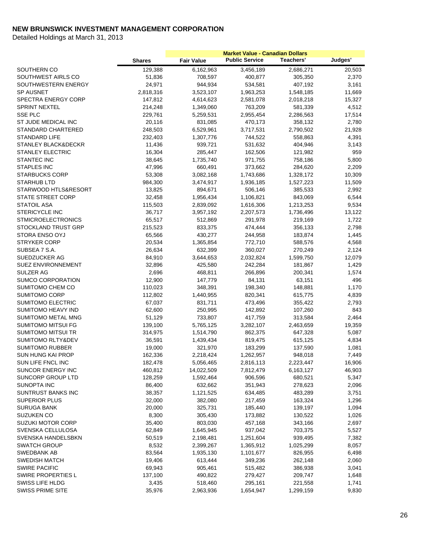|                              |                   | <b>Market Value - Canadian Dollars</b> |                       |                    |                |
|------------------------------|-------------------|----------------------------------------|-----------------------|--------------------|----------------|
|                              | <b>Shares</b>     | <b>Fair Value</b>                      | <b>Public Service</b> | <b>Teachers'</b>   | Judges'        |
| SOUTHERN CO                  | 129,388           | 6,162,963                              | 3,456,189             | 2,686,271          | 20,503         |
| SOUTHWEST AIRLS CO           | 51,836            | 708,597                                | 400,877               | 305,350            | 2,370          |
| SOUTHWESTERN ENERGY          | 24,971            | 944,934                                | 534,581               | 407,192            | 3,161          |
| <b>SP AUSNET</b>             | 2,818,316         | 3,523,107                              | 1,963,253             | 1,548,185          | 11,669         |
| <b>SPECTRA ENERGY CORP</b>   | 147,812           | 4,614,623                              | 2,581,078             | 2,018,218          | 15,327         |
| <b>SPRINT NEXTEL</b>         | 214,248           | 1,349,060                              | 763,209               | 581,339            | 4,512          |
| <b>SSE PLC</b>               | 229,761           | 5,259,531                              | 2,955,454             | 2,286,563          | 17,514         |
| ST JUDE MEDICAL INC          | 20,116            | 831,085                                | 470,173               | 358,132            | 2,780          |
| STANDARD CHARTERED           | 248,503           | 6,529,961                              | 3,717,531             | 2,790,502          | 21,928         |
| <b>STANDARD LIFE</b>         | 232,403           | 1,307,776                              | 744,522               | 558,863            | 4,391          |
| STANLEY BLACK&DECKR          | 11,436            | 939,721                                | 531,632               | 404,946            | 3,143          |
| <b>STANLEY ELECTRIC</b>      | 16,304            | 285,447                                | 162,506               | 121,982            | 959            |
| <b>STANTEC INC</b>           | 38,645            | 1,735,740                              | 971,755               | 758,186            | 5,800          |
| STAPLES INC                  | 47,996            | 660,491                                | 373,662               | 284,620            | 2,209          |
| <b>STARBUCKS CORP</b>        | 53,308            | 3,082,168                              | 1,743,686             | 1,328,172          | 10,309         |
| <b>STARHUB LTD</b>           | 984,300           | 3,474,917                              | 1,936,185             | 1,527,223          | 11,509         |
| STARWOOD HTLS&RESORT         | 13,825            | 894,671                                | 506,146               | 385,533            | 2,992          |
| <b>STATE STREET CORP</b>     | 32,458            | 1,956,434                              | 1,106,821             | 843,069            | 6,544          |
| <b>STATOIL ASA</b>           | 115,503           | 2,839,092                              | 1,616,306             | 1,213,253          | 9,534          |
| <b>STERICYCLE INC</b>        | 36,717            | 3,957,192                              | 2,207,573             | 1,736,496          | 13,122         |
| <b>STMICROELECTRONICS</b>    | 65,517            | 512,869                                | 291,978               | 219,169            | 1,722          |
| STOCKLAND TRUST GRP          | 215,523           | 833,375                                | 474,444               | 356,133            | 2,798          |
| STORA ENSO OYJ               | 65,566            | 430,277                                | 244,958               | 183,874            | 1,445          |
| <b>STRYKER CORP</b>          | 20,534            | 1,365,854                              | 772,710               | 588,576            | 4,568          |
| SUBSEA 7 S.A.                | 26,634            | 632,399                                | 360,027               | 270,249            | 2,124          |
| SUEDZUCKER AG                | 84,910            | 3,644,653                              | 2,032,824             | 1,599,750          | 12,079         |
| <b>SUEZ ENVIRONNEMENT</b>    | 32,896            | 425,580                                | 242,284               | 181,867            | 1,429          |
| SULZER AG                    | 2,696             | 468,811                                | 266,896               | 200,341            | 1,574          |
| <b>SUMCO CORPORATION</b>     | 12,900            | 147,779                                | 84,131                | 63,151             | 496            |
| SUMITOMO CHEM CO             | 110,023           | 348,391                                | 198,340               | 148,881            | 1,170          |
| <b>SUMITOMO CORP</b>         | 112,802           | 1,440,955                              | 820,341               | 615,775            | 4,839          |
| <b>SUMITOMO ELECTRIC</b>     | 67,037            | 831,711                                | 473,496               | 355,422            | 2,793          |
| SUMITOMO HEAVY IND           | 62,600            | 250,995                                | 142,892               | 107,260            | 843            |
| <b>SUMITOMO METAL MNG</b>    | 51,129            | 733,807                                | 417,759               | 313,584            | 2,464          |
| <b>SUMITOMO MITSUI FG</b>    | 139,100           | 5,765,125                              | 3,282,107             | 2,463,659          | 19,359         |
| SUMITOMO MITSUI TR           | 314,975           | 1,514,790                              | 862,375               | 647,328            | 5,087          |
| <b>SUMITOMO RLTY&amp;DEV</b> | 36,591            | 1,439,434                              | 819,475               | 615,125            | 4,834          |
| <b>SUMITOMO RUBBER</b>       | 19,000            | 321,970                                | 183,299               | 137,590            | 1,081          |
| <b>SUN HUNG KAI PROP</b>     | 162,336           | 2,218,424                              | 1,262,957             | 948,018            | 7,449          |
| SUN LIFE FNCL INC            | 182,478           | 5,056,465                              | 2,816,113             | 2,223,447          | 16,906         |
| SUNCOR ENERGY INC            | 460,812           | 14,022,509                             | 7,812,479             | 6,163,127          | 46,903         |
| SUNCORP GROUP LTD            | 128,259           | 1,592,464                              | 906,596               | 680,521            | 5,347          |
| SUNOPTA INC                  | 86,400            | 632,662                                | 351,943               | 278,623            | 2,096          |
| <b>SUNTRUST BANKS INC</b>    | 38,357            | 1,121,525                              | 634,485               | 483,289            | 3,751          |
| <b>SUPERIOR PLUS</b>         | 32,000            | 382,080                                | 217,459               | 163,324            | 1,296          |
| <b>SURUGA BANK</b>           | 20,000            | 325,731                                | 185,440               | 139,197            | 1,094          |
| SUZUKEN CO                   | 8,300             | 305,430                                | 173,882               | 130,522            | 1,026          |
| <b>SUZUKI MOTOR CORP</b>     | 35,400            | 803,030                                | 457,168               | 343,166            | 2,697          |
| SVENSKA CELLULOSA            | 62,849            | 1,645,945                              | 937,042               | 703,375            | 5,527          |
| SVENSKA HANDELSBKN           | 50,519            | 2,198,481                              | 1,251,604             | 939,495            | 7,382          |
| <b>SWATCH GROUP</b>          | 8,532             | 2,399,267                              | 1,365,912             | 1,025,299          | 8,057          |
| <b>SWEDBANK AB</b>           | 83,564            | 1,935,130                              | 1,101,677             | 826,955            | 6,498          |
| <b>SWEDISH MATCH</b>         | 19,406            | 613,444                                | 349,236               | 262,148            | 2,060          |
| <b>SWIRE PACIFIC</b>         |                   |                                        |                       |                    |                |
| SWIRE PROPERTIES L           | 69,943<br>137,100 | 905,461<br>490,822                     | 515,482<br>279,427    | 386,938<br>209,747 | 3,041<br>1,648 |
| SWISS LIFE HLDG              | 3,435             | 518,460                                | 295,161               | 221,558            | 1,741          |
| <b>SWISS PRIME SITE</b>      | 35,976            | 2,963,936                              | 1,654,947             | 1,299,159          | 9,830          |
|                              |                   |                                        |                       |                    |                |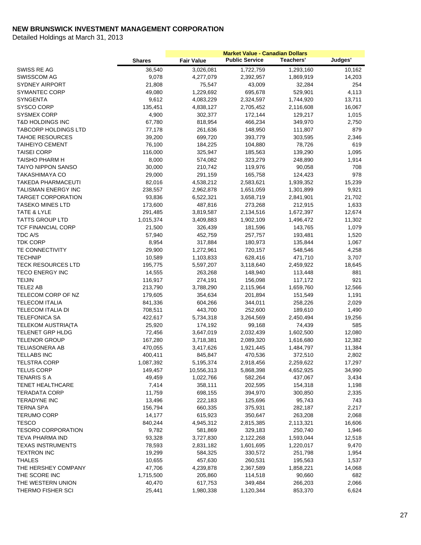|                             |               | <b>Market Value - Canadian Dollars</b> |                       |           |         |  |
|-----------------------------|---------------|----------------------------------------|-----------------------|-----------|---------|--|
|                             | <b>Shares</b> | <b>Fair Value</b>                      | <b>Public Service</b> | Teachers' | Judges' |  |
| SWISS RE AG                 | 36,540        | 3,026,081                              | 1,722,759             | 1,293,160 | 10,162  |  |
| <b>SWISSCOM AG</b>          | 9,078         | 4,277,079                              | 2,392,957             | 1,869,919 | 14,203  |  |
| <b>SYDNEY AIRPORT</b>       | 21,808        | 75,547                                 | 43,009                | 32,284    | 254     |  |
| <b>SYMANTEC CORP</b>        | 49,080        | 1,229,692                              | 695,678               | 529,901   | 4,113   |  |
| <b>SYNGENTA</b>             | 9,612         | 4,083,229                              | 2,324,597             | 1,744,920 | 13,711  |  |
| SYSCO CORP                  | 135,451       | 4,838,127                              | 2,705,452             | 2,116,608 | 16,067  |  |
| <b>SYSMEX CORP</b>          | 4,900         | 302,377                                | 172,144               | 129,217   | 1,015   |  |
| T&D HOLDINGS INC            | 67,780        | 818,954                                | 466,234               | 349,970   | 2,750   |  |
| <b>TABCORP HOLDINGS LTD</b> | 77,178        | 261,636                                | 148,950               | 111,807   | 879     |  |
| <b>TAHOE RESOURCES</b>      | 39,200        | 699,720                                | 393,779               | 303,595   | 2,346   |  |
| <b>TAIHEIYO CEMENT</b>      | 76,100        | 184,225                                | 104,880               | 78,726    | 619     |  |
| <b>TAISEI CORP</b>          | 116,000       | 325,947                                | 185,563               | 139,290   | 1,095   |  |
| TAISHO PHARM H              | 8,000         | 574,082                                | 323,279               | 248,890   | 1,914   |  |
| <b>TAIYO NIPPON SANSO</b>   | 30,000        | 210,742                                | 119,976               | 90,058    | 708     |  |
| <b>TAKASHIMAYA CO</b>       | 29,000        | 291,159                                | 165,758               | 124,423   | 978     |  |
| TAKEDA PHARMACEUTI          | 82,016        | 4,538,212                              | 2,583,621             | 1,939,352 | 15,239  |  |
| TALISMAN ENERGY INC         | 238,557       | 2,962,878                              | 1,651,059             | 1,301,899 | 9,921   |  |
| <b>TARGET CORPORATION</b>   | 93,836        | 6,522,321                              | 3,658,719             | 2,841,901 | 21,702  |  |
| <b>TASEKO MINES LTD</b>     | 173,600       | 487,816                                | 273,268               | 212,915   | 1,633   |  |
| TATE & LYLE                 | 291,485       | 3,819,587                              | 2,134,516             | 1,672,397 | 12,674  |  |
| <b>TATTS GROUP LTD</b>      | 1,015,374     | 3,409,883                              | 1,902,109             | 1,496,472 | 11,302  |  |
| <b>TCF FINANCIAL CORP</b>   | 21,500        | 326,439                                | 181,596               | 143,765   | 1,079   |  |
| TDC A/S                     | 57,940        | 452,759                                | 257,757               | 193,481   | 1,520   |  |
| <b>TDK CORP</b>             | 8,954         | 317,884                                | 180,973               | 135,844   | 1,067   |  |
| <b>TE CONNECTIVITY</b>      | 29,900        | 1,272,961                              | 720,157               | 548,546   | 4,258   |  |
| <b>TECHNIP</b>              | 10,589        | 1,103,833                              | 628,416               | 471,710   | 3,707   |  |
| <b>TECK RESOURCES LTD</b>   | 195,775       | 5,597,207                              | 3,118,640             | 2,459,922 | 18,645  |  |
| <b>TECO ENERGY INC</b>      | 14,555        | 263,268                                | 148,940               | 113,448   | 881     |  |
| <b>TEIJIN</b>               | 116,917       | 274,191                                | 156,098               | 117,172   | 921     |  |
| TELE2 AB                    | 213,790       | 3,788,290                              | 2,115,964             | 1,659,760 | 12,566  |  |
| TELECOM CORP OF NZ          | 179,605       | 354,634                                | 201,894               | 151,549   | 1,191   |  |
| <b>TELECOM ITALIA</b>       | 841,336       | 604,266                                | 344,011               | 258,226   | 2,029   |  |
| TELECOM ITALIA DI           | 708,511       | 443,700                                | 252,600               | 189,610   | 1,490   |  |
| <b>TELEFONICA SA</b>        | 422,617       | 5,734,318                              | 3,264,569             | 2,450,494 | 19,256  |  |
| <b>TELEKOM AUSTRIA(TA</b>   | 25,920        | 174,192                                | 99,168                | 74,439    | 585     |  |
| TELENET GRP HLDG            | 72,456        | 3,647,019                              | 2,032,439             | 1,602,500 | 12,080  |  |
| <b>TELENOR GROUP</b>        | 167,280       | 3,718,381                              | 2,089,320             | 1,616,680 | 12,382  |  |
| <b>TELIASONERA AB</b>       | 470,055       | 3,417,626                              | 1,921,445             | 1,484,797 | 11,384  |  |
| <b>TELLABS INC</b>          | 400,411       | 845,847                                | 470,536               | 372,510   | 2,802   |  |
| TELSTRA CORP                | 1,087,392     | 5,195,374                              | 2,918,456             | 2,259,622 | 17,297  |  |
| <b>TELUS CORP</b>           | 149,457       | 10,556,313                             | 5,868,398             | 4,652,925 | 34,990  |  |
| <b>TENARIS S A</b>          | 49,459        | 1,022,766                              | 582,264               | 437,067   | 3,434   |  |
| <b>TENET HEALTHCARE</b>     | 7,414         | 358,111                                | 202,595               | 154,318   | 1,198   |  |
| <b>TERADATA CORP</b>        | 11,759        | 698,155                                | 394,970               | 300,850   | 2,335   |  |
| <b>TERADYNE INC</b>         | 13,496        | 222,183                                | 125,696               | 95,743    | 743     |  |
| <b>TERNA SPA</b>            | 156,794       | 660,335                                | 375,931               | 282,187   | 2,217   |  |
| <b>TERUMO CORP</b>          | 14,177        | 615,923                                | 350,647               | 263,208   | 2,068   |  |
| <b>TESCO</b>                | 840,244       | 4,945,312                              | 2,815,385             | 2,113,321 | 16,606  |  |
| <b>TESORO CORPORATION</b>   | 9,782         | 581,869                                | 329,183               | 250,740   | 1,946   |  |
| <b>TEVA PHARMA IND</b>      | 93,328        | 3,727,830                              | 2,122,268             | 1,593,044 | 12,518  |  |
| <b>TEXAS INSTRUMENTS</b>    | 78,593        | 2,831,182                              | 1,601,695             | 1,220,017 | 9,470   |  |
| <b>TEXTRON INC</b>          | 19,299        | 584,325                                | 330,572               | 251,798   | 1,954   |  |
| <b>THALES</b>               | 10,655        | 457,630                                | 260,531               | 195,563   | 1,537   |  |
| THE HERSHEY COMPANY         | 47,706        | 4,239,878                              | 2,367,589             | 1,858,221 | 14,068  |  |
| THE SCORE INC               | 1,715,500     | 205,860                                | 114,518               | 90,660    | 682     |  |
| THE WESTERN UNION           | 40,470        | 617,753                                | 349,484               | 266,203   | 2,066   |  |
| THERMO FISHER SCI           | 25,441        | 1,980,338                              | 1,120,344             | 853,370   | 6,624   |  |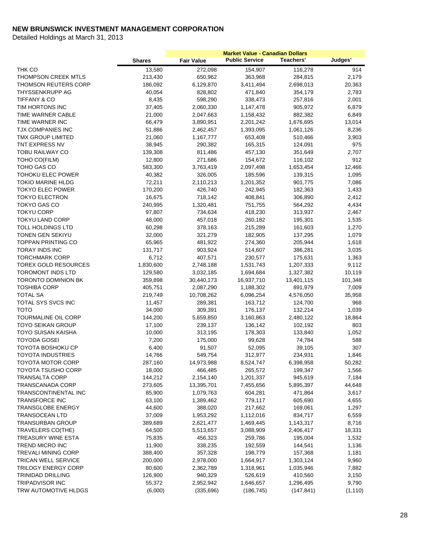|                             | <b>Shares</b> | <b>Fair Value</b> | <b>Public Service</b> | Teachers'  | Judges'  |
|-----------------------------|---------------|-------------------|-----------------------|------------|----------|
| THK CO                      | 13,580        | 272,098           | 154,907               | 116,278    | 914      |
| <b>THOMPSON CREEK MTLS</b>  | 213,430       | 650,962           | 363,968               | 284,815    | 2,179    |
| <b>THOMSON REUTERS CORP</b> | 186,092       | 6,129,870         | 3,411,494             | 2,698,013  | 20,363   |
| THYSSENKRUPP AG             | 40,054        | 828,802           | 471,840               | 354,179    | 2,783    |
| <b>TIFFANY &amp; CO</b>     | 8,435         | 598,290           | 338,473               | 257,816    | 2,001    |
| TIM HORTONS INC             | 37,405        | 2,060,330         | 1,147,478             | 905,972    | 6,879    |
| TIME WARNER CABLE           | 21,000        | 2,047,663         | 1,158,432             | 882,382    | 6,849    |
| TIME WARNER INC             | 66,479        | 3,890,951         | 2,201,242             | 1,676,695  | 13,014   |
| TJX COMPANIES INC           | 51,886        | 2,462,457         | 1,393,095             | 1,061,126  | 8,236    |
| TMX GROUP LIMITED           | 21,060        | 1,167,777         | 653,408               | 510,466    | 3,903    |
| TNT EXPRESS NV              | 38,945        | 290,382           | 165,315               | 124,091    | 975      |
| <b>TOBU RAILWAY CO</b>      | 139,308       | 811,486           | 457,130               | 351,649    | 2,707    |
| TOHO CO(FILM)               | 12,800        | 271,686           | 154,672               | 116,102    | 912      |
| TOHO GAS CO                 | 583,300       | 3,763,419         | 2,097,498             | 1,653,454  | 12,466   |
| TOHOKU ELEC POWER           | 40,382        | 326,005           | 185,596               | 139,315    | 1,095    |
| <b>TOKIO MARINE HLDG</b>    | 72,211        | 2,110,213         | 1,201,352             | 901,775    | 7,086    |
| TOKYO ELEC POWER            | 170,200       | 426,740           | 242,945               | 182,363    | 1,433    |
| <b>TOKYO ELECTRON</b>       | 16,675        | 718,142           | 408,841               | 306,890    | 2,412    |
| TOKYO GAS CO                | 240,995       | 1,320,481         | 751,755               | 564,292    | 4,434    |
| <b>TOKYU CORP</b>           | 97,807        | 734,634           | 418,230               | 313,937    | 2,467    |
| <b>TOKYU LAND CORP</b>      | 48,000        | 457,018           | 260,182               | 195,301    | 1,535    |
| TOLL HOLDINGS LTD           | 60,298        | 378,163           | 215,289               | 161,603    | 1,270    |
| <b>TONEN GEN SEKIYU</b>     | 32,000        | 321,279           | 182,905               | 137,295    | 1,079    |
| TOPPAN PRINTING CO          | 65,965        | 481,922           | 274,360               | 205,944    | 1,618    |
| TORAY INDS INC              | 131,717       | 903,924           | 514,607               | 386,281    | 3,035    |
| <b>TORCHMARK CORP</b>       | 6,712         | 407,571           | 230,577               | 175,631    | 1,363    |
| TOREX GOLD RESOURCES        | 1,830,600     | 2,748,188         | 1,531,743             | 1,207,333  | 9,112    |
| <b>TOROMONT INDS LTD</b>    | 129,580       | 3,032,185         | 1,694,684             | 1,327,382  | 10,119   |
| TORONTO DOMINION BK         | 359,898       | 30,440,173        | 16,937,710            | 13,401,115 | 101,348  |
| <b>TOSHIBA CORP</b>         | 405,751       | 2,087,290         | 1,188,302             | 891,979    | 7,009    |
| TOTAL SA                    | 219,749       | 10,708,262        | 6,096,254             | 4,576,050  | 35,958   |
| TOTAL SYS SVCS INC          | 11,457        | 289,381           | 163,712               | 124,700    | 968      |
| <b>TOTO</b>                 | 34,000        | 309,391           | 176,137               | 132,214    | 1,039    |
| TOURMALINE OIL CORP         | 144,200       | 5,659,850         | 3,160,863             | 2,480,122  | 18,864   |
| <b>TOYO SEIKAN GROUP</b>    | 17,100        | 239,137           | 136,142               | 102,192    | 803      |
| <b>TOYO SUISAN KAISHA</b>   | 10,000        | 313,195           | 178,303               | 133,840    | 1,052    |
| TOYODA GOSEI                | 7,200         | 175,000           | 99,628                | 74,784     | 588      |
| TOYOTA BOSHOKU CP           | 6,400         | 91,507            | 52,095                | 39,105     | 307      |
| <b>TOYOTA INDUSTRIES</b>    | 14,766        | 549,754           | 312,977               | 234,931    | 1,846    |
| <b>TOYOTA MOTOR CORP</b>    | 287,160       | 14,973,988        | 8,524,747             | 6,398,958  | 50,282   |
| <b>TOYOTA TSUSHO CORP</b>   | 18,000        | 466,485           | 265,572               | 199,347    | 1,566    |
| <b>TRANSALTA CORP</b>       | 144,212       | 2,154,140         | 1,201,337             | 945,619    | 7,184    |
| TRANSCANADA CORP            |               |                   |                       |            |          |
|                             | 273,605       | 13,395,701        | 7,455,656             | 5,895,397  | 44,648   |
| TRANSCONTINENTAL INC        | 85,900        | 1,079,763         | 604,281               | 471,864    | 3,617    |
| <b>TRANSFORCE INC</b>       | 63,100        | 1,389,462         | 779,117               | 605,690    | 4,655    |
| <b>TRANSGLOBE ENERGY</b>    | 44,600        | 388,020           | 217,662               | 169,061    | 1,297    |
| <b>TRANSOCEAN LTD</b>       | 37,009        | 1,953,292         | 1,112,016             | 834,717    | 6,559    |
| <b>TRANSURBAN GROUP</b>     | 389,689       | 2,621,477         | 1,469,445             | 1,143,317  | 8,716    |
| <b>TRAVELERS CO(THE)</b>    | 64,500        | 5,513,657         | 3,088,909             | 2,406,417  | 18,331   |
| <b>TREASURY WINE ESTA</b>   | 75,835        | 456,323           | 259,786               | 195,004    | 1,532    |
| TREND MICRO INC             | 11,900        | 338,235           | 192,559               | 144,541    | 1,136    |
| TREVALI MINING CORP         | 388,400       | 357,328           | 198,779               | 157,368    | 1,181    |
| <b>TRICAN WELL SERVICE</b>  | 200,000       | 2,978,000         | 1,664,917             | 1,303,124  | 9,960    |
| TRILOGY ENERGY CORP         | 80,600        | 2,362,789         | 1,318,961             | 1,035,946  | 7,882    |
| TRINIDAD DRILLING           | 126,900       | 940,329           | 526,619               | 410,560    | 3,150    |
| TRIPADVISOR INC             | 55,372        | 2,952,942         | 1,646,657             | 1,296,495  | 9,790    |
| TRW AUTOMOTIVE HLDGS        | (6,000)       | (335, 696)        | (186, 745)            | (147, 841) | (1, 110) |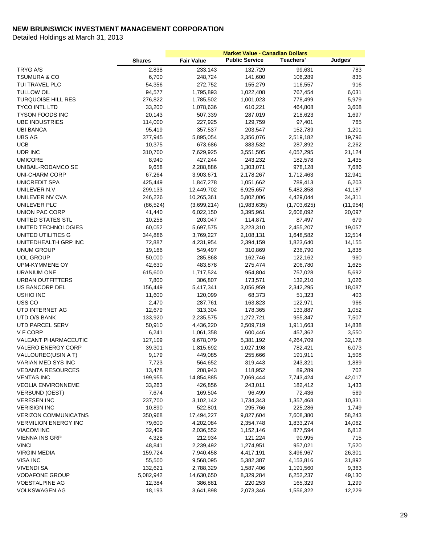|                             |               | <b>Market Value - Canadian Dollars</b> |                       |             |           |
|-----------------------------|---------------|----------------------------------------|-----------------------|-------------|-----------|
|                             | <b>Shares</b> | <b>Fair Value</b>                      | <b>Public Service</b> | Teachers'   | Judges'   |
| TRYG A/S                    | 2,838         | 233,143                                | 132,729               | 99,631      | 783       |
| <b>TSUMURA &amp; CO</b>     | 6,700         | 248,724                                | 141,600               | 106,289     | 835       |
| TUI TRAVEL PLC              | 54,356        | 272,752                                | 155,279               | 116,557     | 916       |
| <b>TULLOW OIL</b>           | 94,577        | 1,795,893                              | 1,022,408             | 767,454     | 6,031     |
| <b>TURQUOISE HILL RES</b>   | 276,822       | 1,785,502                              | 1,001,023             | 778,499     | 5,979     |
| <b>TYCO INTL LTD</b>        | 33,200        | 1,078,636                              | 610,221               | 464,808     | 3,608     |
| <b>TYSON FOODS INC</b>      | 20,143        | 507,339                                | 287,019               | 218,623     | 1,697     |
| <b>UBE INDUSTRIES</b>       | 114,000       | 227,925                                | 129,759               | 97,401      | 765       |
| <b>UBI BANCA</b>            | 95,419        | 357,537                                | 203,547               | 152,789     | 1,201     |
| <b>UBS AG</b>               | 377,945       | 5,895,054                              | 3,356,076             | 2,519,182   | 19,796    |
| <b>UCB</b>                  | 10,375        | 673,686                                | 383,532               | 287,892     | 2,262     |
| UDR INC                     | 310,700       | 7,629,925                              | 3,551,505             | 4,057,295   | 21,124    |
| <b>UMICORE</b>              | 8,940         | 427,244                                | 243,232               | 182,578     | 1,435     |
| UNIBAIL-RODAMCO SE          | 9,658         | 2,288,886                              | 1,303,071             | 978,128     | 7,686     |
| <b>UNI-CHARM CORP</b>       | 67,264        | 3,903,671                              | 2,178,267             | 1,712,463   | 12,941    |
| UNICREDIT SPA               | 425,449       | 1,847,278                              | 1,051,662             | 789,413     | 6,203     |
| UNILEVER N.V                | 299,133       | 12,449,702                             | 6,925,657             | 5,482,858   | 41,187    |
| UNILEVER NV CVA             | 246,226       | 10,265,361                             | 5,802,006             | 4,429,044   | 34,311    |
| UNILEVER PLC                | (86, 524)     | (3,699,214)                            | (1,983,635)           | (1,703,625) | (11, 954) |
| UNION PAC CORP              | 41,440        | 6,022,150                              | 3,395,961             | 2,606,092   | 20,097    |
| UNITED STATES STL           | 10,258        | 203,047                                | 114,871               | 87,497      | 679       |
| UNITED TECHNOLOGIES         | 60,052        | 5,697,575                              | 3,223,310             | 2,455,207   | 19,057    |
| UNITED UTILITIES G          | 344,886       | 3,769,227                              | 2,108,131             | 1,648,582   | 12,514    |
| UNITEDHEALTH GRP INC        | 72,887        | 4,231,954                              | 2,394,159             | 1,823,640   | 14,155    |
| <b>UNUM GROUP</b>           | 19,166        | 549,497                                | 310,869               | 236,790     | 1,838     |
| <b>UOL GROUP</b>            | 50,000        | 285,868                                | 162,746               | 122,162     | 960       |
| UPM-KYMMENE OY              | 42,630        | 483,878                                | 275,474               | 206,780     | 1,625     |
| <b>URANIUM ONE</b>          | 615,600       | 1,717,524                              | 954,804               | 757,028     | 5,692     |
| URBAN OUTFITTERS            | 7,800         | 306,807                                | 173,571               | 132,210     | 1,026     |
| US BANCORP DEL              | 156,449       | 5,417,341                              | 3,056,959             | 2,342,295   | 18,087    |
| <b>USHIO INC</b>            | 11,600        | 120,099                                | 68,373                | 51,323      | 403       |
| USS CO                      | 2,470         | 287,761                                | 163,823               | 122,971     | 966       |
| UTD INTERNET AG             | 12,679        | 313,304                                | 178,365               | 133,887     | 1,052     |
| UTD O/S BANK                | 133,920       | 2,235,575                              | 1,272,721             | 955,347     | 7,507     |
| UTD PARCEL SERV             | 50,910        | 4,436,220                              | 2,509,719             | 1,911,663   | 14,838    |
| V F CORP                    | 6,241         | 1,061,358                              | 600,446               | 457,362     | 3,550     |
| <b>VALEANT PHARMACEUTIC</b> | 127,109       | 9,678,079                              | 5,381,192             | 4,264,709   | 32,178    |
| <b>VALERO ENERGY CORP</b>   | 39,301        | 1,815,692                              | 1,027,198             | 782,421     | 6,073     |
| VALLOUREC(USIN A T)         | 9,179         | 449,085                                | 255,666               | 191,911     | 1,508     |
| VARIAN MED SYS INC          | 7,723         | 564,652                                | 319,443               | 243,321     | 1,889     |
| <b>VEDANTA RESOURCES</b>    | 13,478        | 208,943                                | 118,952               | 89,289      | 702       |
| <b>VENTAS INC</b>           | 199,955       | 14,854,885                             | 7,069,444             | 7,743,424   | 42,017    |
| <b>VEOLIA ENVIRONNEME</b>   | 33,263        | 426,856                                | 243,011               | 182,412     | 1,433     |
| <b>VERBUND (OEST)</b>       | 7,674         | 169,504                                | 96,499                | 72,436      | 569       |
| <b>VERESEN INC</b>          | 237,700       | 3,102,142                              | 1,734,343             | 1,357,468   | 10,331    |
| <b>VERISIGN INC</b>         | 10,890        | 522,801                                | 295,766               | 225,286     | 1,749     |
| <b>VERIZON COMMUNICATNS</b> | 350,968       | 17,494,227                             | 9,827,604             | 7,608,380   | 58,243    |
| <b>VERMILION ENERGY INC</b> | 79,600        | 4,202,084                              | 2,354,748             | 1,833,274   | 14,062    |
| <b>VIACOM INC</b>           | 32,409        | 2,036,552                              | 1,152,146             | 877,594     | 6,812     |
| VIENNA INS GRP              | 4,328         | 212,934                                | 121,224               | 90,995      | 715       |
| <b>VINCI</b>                | 48,841        | 2,239,492                              | 1,274,951             | 957,021     | 7,520     |
| <b>VIRGIN MEDIA</b>         | 159,724       | 7,940,458                              | 4,417,191             | 3,496,967   | 26,301    |
| VISA INC                    | 55,500        | 9,568,095                              | 5,382,387             | 4,153,816   | 31,892    |
| VIVENDI SA                  | 132,621       | 2,788,329                              | 1,587,406             | 1,191,560   | 9,363     |
| <b>VODAFONE GROUP</b>       | 5,082,942     | 14,630,650                             | 8,329,284             | 6,252,237   | 49,130    |
| <b>VOESTALPINE AG</b>       | 12,384        | 386,881                                | 220,253               | 165,329     | 1,299     |
| <b>VOLKSWAGEN AG</b>        | 18,193        | 3,641,898                              | 2,073,346             | 1,556,322   | 12,229    |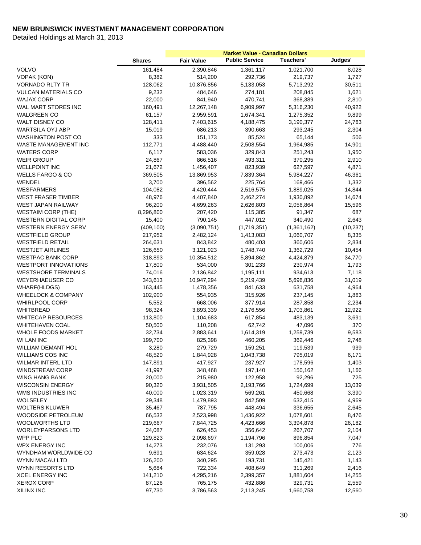|                               |               | <b>Market Value - Canadian Dollars</b> |                       |             |           |
|-------------------------------|---------------|----------------------------------------|-----------------------|-------------|-----------|
|                               | <b>Shares</b> | <b>Fair Value</b>                      | <b>Public Service</b> | Teachers'   | Judges'   |
| <b>VOLVO</b>                  | 161,484       | 2,390,846                              | 1,361,117             | 1,021,700   | 8,028     |
| <b>VOPAK (KON)</b>            | 8,382         | 514,200                                | 292,736               | 219,737     | 1,727     |
| <b>VORNADO RLTY TR</b>        | 128,062       | 10,876,856                             | 5,133,053             | 5,713,292   | 30,511    |
| <b>VULCAN MATERIALS CO</b>    | 9,232         | 484,646                                | 274,181               | 208,845     | 1,621     |
| <b>WAJAX CORP</b>             | 22,000        | 841,940                                | 470,741               | 368,389     | 2,810     |
| WAL MART STORES INC           | 160,491       | 12,267,148                             | 6,909,997             | 5,316,230   | 40,922    |
| <b>WALGREEN CO</b>            | 61,157        | 2,959,591                              | 1,674,341             | 1,275,352   | 9,899     |
| <b>WALT DISNEY CO</b>         | 128,411       | 7,403,615                              | 4,188,475             | 3,190,377   | 24,763    |
| WARTSILA OYJ ABP              | 15,019        | 686,213                                | 390,663               | 293,245     | 2,304     |
| <b>WASHINGTON POST CO</b>     | 333           | 151,173                                | 85,524                | 65,144      | 506       |
| <b>WASTE MANAGEMENT INC</b>   | 112,771       | 4,488,440                              | 2,508,554             | 1,964,985   | 14,901    |
| <b>WATERS CORP</b>            | 6,117         | 583,036                                | 329,843               | 251,243     | 1,950     |
| <b>WEIR GROUP</b>             | 24,867        | 866,516                                | 493,311               | 370,295     | 2,910     |
| <b>WELLPOINT INC</b>          | 21,672        | 1,456,407                              | 823,939               | 627,597     | 4,871     |
| <b>WELLS FARGO &amp; CO</b>   | 369,505       | 13,869,953                             | 7,839,364             | 5,984,227   | 46,361    |
| WENDEL                        | 3,700         | 396,562                                | 225,764               | 169,466     | 1,332     |
| <b>WESFARMERS</b>             | 104,082       | 4,420,444                              | 2,516,575             | 1,889,025   | 14,844    |
| <b>WEST FRASER TIMBER</b>     | 48,976        | 4,407,840                              | 2,462,274             | 1,930,892   | 14,674    |
| <b>WEST JAPAN RAILWAY</b>     | 96,200        | 4,699,263                              | 2,626,803             | 2,056,864   | 15,596    |
| <b>WESTAIM CORP (THE)</b>     | 8,296,800     | 207,420                                | 115,385               | 91,347      | 687       |
| <b>WESTERN DIGITAL CORP</b>   | 15,400        | 790,145                                | 447,012               | 340,490     | 2,643     |
| <b>WESTERN ENERGY SERV</b>    | (409, 100)    | (3,090,751)                            | (1,719,351)           | (1,361,162) | (10, 237) |
| <b>WESTFIELD GROUP</b>        | 217,952       | 2,482,124                              | 1,413,083             | 1,060,707   | 8,335     |
| <b>WESTFIELD RETAIL</b>       | 264,631       | 843,842                                | 480,403               | 360,606     | 2,834     |
| <b>WESTJET AIRLINES</b>       | 126,650       | 3,121,923                              | 1,748,740             | 1,362,729   | 10,454    |
| <b>WESTPAC BANK CORP</b>      | 318,893       | 10,354,512                             | 5,894,862             | 4,424,879   | 34,770    |
| <b>WESTPORT INNOVATIONS</b>   | 17,800        | 534,000                                | 301,233               | 230,974     | 1,793     |
| <b>WESTSHORE TERMINALS</b>    | 74,016        | 2,136,842                              | 1,195,111             | 934,613     | 7,118     |
| <b>WEYERHAEUSER CO</b>        | 343,613       | 10,947,294                             | 5,219,439             | 5,696,836   | 31,019    |
| WHARF(HLDGS)                  | 163,445       | 1,478,356                              | 841,633               | 631,758     | 4,964     |
| <b>WHEELOCK &amp; COMPANY</b> | 102,900       | 554,935                                | 315,926               | 237,145     | 1,863     |
| <b>WHIRLPOOL CORP</b>         | 5,552         | 668,006                                | 377,914               | 287,858     | 2,234     |
| WHITBREAD                     | 98,324        | 3,893,339                              | 2,176,556             | 1,703,861   | 12,922    |
| <b>WHITECAP RESOURCES</b>     | 113,800       | 1,104,683                              | 617,854               | 483,139     | 3,691     |
| <b>WHITEHAVEN COAL</b>        | 50,500        | 110,208                                | 62,742                | 47,096      | 370       |
| <b>WHOLE FOODS MARKET</b>     | 32,734        | 2,883,641                              | 1,614,319             | 1,259,739   | 9,583     |
| WI LAN INC                    | 199,700       | 825,398                                | 460,205               | 362,446     | 2,748     |
| <b>WILLIAM DEMANT HOL</b>     | 3,280         | 279,729                                | 159,251               | 119,539     | 939       |
| <b>WILLIAMS COS INC</b>       | 48,520        | 1,844,928                              | 1,043,738             | 795,019     | 6,171     |
| WILMAR INTERL LTD             | 147,891       | 417,927                                | 237,927               | 178,596     | 1,403     |
| <b>WINDSTREAM CORP</b>        | 41,997        | 348,468                                | 197,140               | 150,162     | 1,166     |
| WING HANG BANK                | 20,000        | 215,980                                | 122,958               | 92,296      | 725       |
| <b>WISCONSIN ENERGY</b>       | 90,320        | 3,931,505                              | 2,193,766             | 1,724,699   | 13,039    |
| WMS INDUSTRIES INC            | 40,000        | 1,023,319                              | 569,261               | 450,668     | 3,390     |
| WOLSELEY                      | 29,348        | 1,479,893                              | 842,509               | 632,415     | 4,969     |
| <b>WOLTERS KLUWER</b>         | 35,467        | 787,795                                | 448,494               | 336,655     | 2,645     |
| WOODSIDE PETROLEUM            | 66,532        | 2,523,998                              | 1,436,922             | 1,078,601   | 8,476     |
| <b>WOOLWORTHS LTD</b>         | 219,667       | 7,844,725                              | 4,423,666             | 3,394,878   | 26,182    |
| <b>WORLEYPARSONS LTD</b>      | 24,087        | 626,453                                | 356,642               | 267,707     | 2,104     |
| WPP PLC                       | 129,823       | 2,098,697                              | 1,194,796             | 896,854     | 7,047     |
| <b>WPX ENERGY INC</b>         | 14,273        | 232,076                                | 131,293               | 100,006     | 776       |
| WYNDHAM WORLDWIDE CO          | 9,691         | 634,624                                | 359,028               | 273,473     | 2,123     |
| WYNN MACAU LTD                | 126,200       | 340,295                                | 193,731               | 145,421     | 1,143     |
| WYNN RESORTS LTD              | 5,684         | 722,334                                | 408,649               | 311,269     | 2,416     |
| <b>XCEL ENERGY INC</b>        | 141,210       | 4,295,216                              | 2,399,357             | 1,881,604   | 14,255    |
| <b>XEROX CORP</b>             | 87,126        | 765,175                                | 432,886               | 329,731     | 2,559     |
| <b>XILINX INC</b>             | 97,730        | 3,786,563                              | 2,113,245             | 1,660,758   | 12,560    |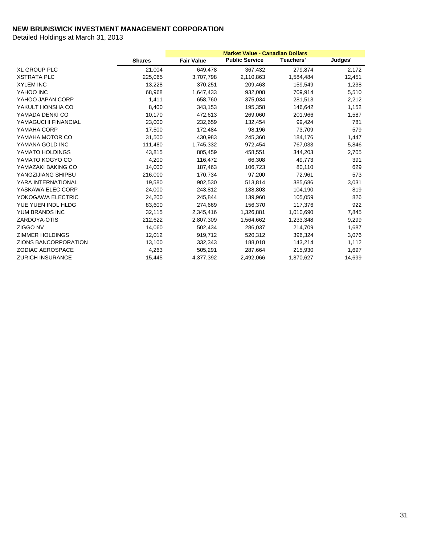|                         |               | <b>Market Value - Canadian Dollars</b> |                       |           |         |
|-------------------------|---------------|----------------------------------------|-----------------------|-----------|---------|
|                         | <b>Shares</b> | <b>Fair Value</b>                      | <b>Public Service</b> | Teachers' | Judges' |
| <b>XL GROUP PLC</b>     | 21,004        | 649,478                                | 367,432               | 279,874   | 2,172   |
| <b>XSTRATA PLC</b>      | 225,065       | 3,707,798                              | 2,110,863             | 1,584,484 | 12,451  |
| <b>XYLEM INC</b>        | 13,228        | 370,251                                | 209,463               | 159,549   | 1,238   |
| YAHOO INC               | 68,968        | 1,647,433                              | 932,008               | 709,914   | 5,510   |
| YAHOO JAPAN CORP        | 1,411         | 658,760                                | 375,034               | 281,513   | 2,212   |
| YAKULT HONSHA CO        | 8,400         | 343,153                                | 195,358               | 146,642   | 1,152   |
| YAMADA DENKI CO         | 10,170        | 472,613                                | 269,060               | 201,966   | 1,587   |
| YAMAGUCHI FINANCIAL     | 23,000        | 232,659                                | 132,454               | 99,424    | 781     |
| YAMAHA CORP             | 17,500        | 172,484                                | 98,196                | 73,709    | 579     |
| YAMAHA MOTOR CO         | 31,500        | 430,983                                | 245,360               | 184,176   | 1,447   |
| YAMANA GOLD INC         | 111,480       | 1,745,332                              | 972,454               | 767,033   | 5,846   |
| YAMATO HOLDINGS         | 43,815        | 805,459                                | 458,551               | 344,203   | 2,705   |
| YAMATO KOGYO CO         | 4,200         | 116,472                                | 66,308                | 49,773    | 391     |
| YAMAZAKI BAKING CO      | 14,000        | 187,463                                | 106,723               | 80,110    | 629     |
| YANGZIJIANG SHIPBU      | 216,000       | 170,734                                | 97,200                | 72,961    | 573     |
| YARA INTERNATIONAL      | 19,580        | 902,530                                | 513,814               | 385,686   | 3,031   |
| YASKAWA ELEC CORP       | 24,000        | 243,812                                | 138,803               | 104,190   | 819     |
| YOKOGAWA ELECTRIC       | 24,200        | 245,844                                | 139,960               | 105,059   | 826     |
| YUE YUEN INDL HLDG      | 83,600        | 274,669                                | 156,370               | 117,376   | 922     |
| YUM BRANDS INC          | 32,115        | 2,345,416                              | 1,326,881             | 1,010,690 | 7,845   |
| ZARDOYA-OTIS            | 212,622       | 2,807,309                              | 1,564,662             | 1,233,348 | 9,299   |
| ZIGGO NV                | 14,060        | 502,434                                | 286,037               | 214,709   | 1,687   |
| <b>ZIMMER HOLDINGS</b>  | 12,012        | 919,712                                | 520,312               | 396,324   | 3,076   |
| ZIONS BANCORPORATION    | 13,100        | 332,343                                | 188,018               | 143,214   | 1,112   |
| <b>ZODIAC AEROSPACE</b> | 4,263         | 505,291                                | 287,664               | 215,930   | 1,697   |
| <b>ZURICH INSURANCE</b> | 15,445        | 4,377,392                              | 2,492,066             | 1,870,627 | 14,699  |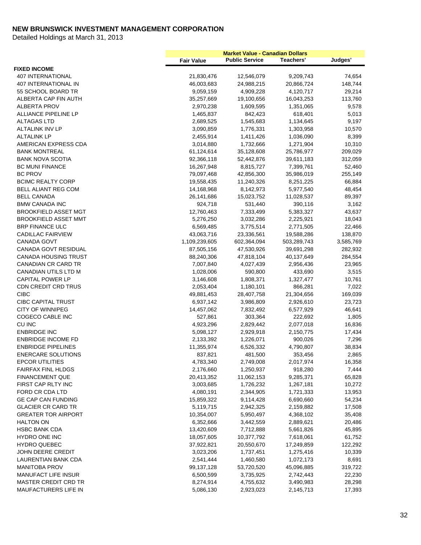|                             | <b>Market Value - Canadian Dollars</b> |                       |             |           |
|-----------------------------|----------------------------------------|-----------------------|-------------|-----------|
|                             | <b>Fair Value</b>                      | <b>Public Service</b> | Teachers'   | Judges'   |
| <b>FIXED INCOME</b>         |                                        |                       |             |           |
| <b>407 INTERNATIONAL</b>    | 21,830,476                             | 12,546,079            | 9,209,743   | 74,654    |
| <b>407 INTERNATIONAL IN</b> | 46,003,683                             | 24,988,215            | 20,866,724  | 148,744   |
| 55 SCHOOL BOARD TR          | 9,059,159                              | 4,909,228             | 4,120,717   | 29,214    |
| ALBERTA CAP FIN AUTH        | 35,257,669                             | 19,100,656            | 16,043,253  | 113,760   |
| <b>ALBERTA PROV</b>         | 2,970,238                              | 1,609,595             | 1,351,065   | 9,578     |
| ALLIANCE PIPELINE LP        | 1,465,837                              | 842,423               | 618,401     | 5,013     |
| <b>ALTAGAS LTD</b>          | 2,689,525                              | 1,545,683             | 1,134,645   | 9,197     |
| <b>ALTALINK INV LP</b>      | 3,090,859                              | 1,776,331             | 1,303,958   | 10,570    |
| <b>ALTALINK LP</b>          | 2,455,914                              | 1,411,426             | 1,036,090   | 8,399     |
| AMERICAN EXPRESS CDA        | 3,014,880                              | 1,732,666             | 1,271,904   | 10,310    |
| <b>BANK MONTREAL</b>        | 61,124,614                             | 35,128,608            | 25,786,977  | 209,029   |
| <b>BANK NOVA SCOTIA</b>     | 92,366,118                             | 52,442,876            | 39,611,183  | 312,059   |
| <b>BC MUNI FINANCE</b>      | 16,267,948                             | 8,815,727             | 7,399,761   | 52,460    |
| <b>BC PROV</b>              | 79,097,468                             | 42,856,300            | 35,986,019  | 255,149   |
| <b>BCIMC REALTY CORP</b>    | 19,558,435                             | 11,240,326            | 8,251,225   | 66,884    |
| BELL ALIANT REG COM         | 14,168,968                             | 8,142,973             | 5,977,540   | 48,454    |
| <b>BELL CANADA</b>          | 26,141,686                             | 15,023,752            | 11,028,537  | 89,397    |
| <b>BMW CANADA INC</b>       | 924,718                                | 531,440               | 390,116     | 3,162     |
| <b>BROOKFIELD ASSET MGT</b> | 12,760,463                             | 7,333,499             | 5,383,327   | 43,637    |
| <b>BROOKFIELD ASSET MMT</b> | 5,276,250                              | 3,032,286             | 2,225,921   | 18,043    |
| <b>BRP FINANCE ULC</b>      | 6,569,485                              | 3,775,514             | 2,771,505   | 22,466    |
| <b>CADILLAC FAIRVIEW</b>    | 43,063,716                             | 23,336,561            | 19,588,286  | 138,870   |
| <b>CANADA GOVT</b>          | 1,109,239,605                          | 602,364,094           | 503,289,743 | 3,585,769 |
| CANADA GOVT RESIDUAL        | 87,505,156                             | 47,530,926            | 39,691,298  | 282,932   |
| <b>CANADA HOUSING TRUST</b> | 88,240,306                             | 47,818,104            | 40,137,649  | 284,554   |
| <b>CANADIAN CR CARD TR</b>  | 7,007,840                              | 4,027,439             | 2,956,436   | 23,965    |
| CANADIAN UTILS LTD M        | 1,028,006                              | 590,800               | 433,690     | 3,515     |
| <b>CAPITAL POWER LP</b>     | 3,146,608                              | 1,808,371             | 1,327,477   | 10,761    |
| <b>CDN CREDIT CRD TRUS</b>  | 2,053,404                              | 1,180,101             | 866,281     | 7,022     |
| <b>CIBC</b>                 | 49,881,453                             | 28,407,758            | 21,304,656  | 169,039   |
| <b>CIBC CAPITAL TRUST</b>   | 6,937,142                              | 3,986,809             | 2,926,610   | 23,723    |
| <b>CITY OF WINNIPEG</b>     | 14,457,062                             | 7,832,492             | 6,577,929   | 46,641    |
| COGECO CABLE INC            | 527,861                                | 303,364               | 222,692     | 1,805     |
| CU INC                      | 4,923,296                              | 2,829,442             | 2,077,018   | 16,836    |
| <b>ENBRIDGE INC</b>         | 5,098,127                              | 2,929,918             | 2,150,775   | 17,434    |
| <b>ENBRIDGE INCOME FD</b>   | 2,133,392                              | 1,226,071             | 900,026     | 7,296     |
| <b>ENBRIDGE PIPELINES</b>   | 11,355,974                             | 6,526,332             | 4,790,807   | 38,834    |
| <b>ENERCARE SOLUTIONS</b>   | 837,821                                | 481,500               | 353,456     | 2,865     |
| <b>EPCOR UTILITIES</b>      | 4,783,340                              | 2,749,008             | 2,017,974   | 16,358    |
| <b>FAIRFAX FINL HLDGS</b>   | 2,176,660                              | 1,250,937             | 918,280     | 7,444     |
| <b>FINANCEMENT QUE</b>      | 20,413,352                             | 11,062,153            | 9,285,371   | 65,828    |
| FIRST CAP RLTY INC          | 3,003,685                              | 1,726,232             | 1,267,181   | 10,272    |
| FORD CR CDA LTD             | 4,080,191                              | 2,344,905             | 1,721,333   | 13,953    |
| <b>GE CAP CAN FUNDING</b>   | 15,859,322                             | 9,114,428             | 6,690,660   | 54,234    |
| <b>GLACIER CR CARD TR</b>   | 5,119,715                              | 2,942,325             | 2,159,882   | 17,508    |
| <b>GREATER TOR AIRPORT</b>  | 10,354,007                             | 5,950,497             | 4,368,102   | 35,408    |
| <b>HALTON ON</b>            | 6,352,666                              | 3,442,559             | 2,889,621   | 20,486    |
| <b>HSBC BANK CDA</b>        | 13,420,609                             | 7,712,888             | 5,661,826   | 45,895    |
| HYDRO ONE INC               | 18,057,605                             | 10,377,792            | 7,618,061   | 61,752    |
| HYDRO QUEBEC                | 37,922,821                             | 20,550,670            | 17,249,859  | 122,292   |
| JOHN DEERE CREDIT           | 3,023,206                              | 1,737,451             | 1,275,416   | 10,339    |
| LAURENTIAN BANK CDA         | 2,541,444                              | 1,460,580             | 1,072,173   | 8,691     |
| <b>MANITOBA PROV</b>        | 99,137,128                             | 53,720,520            | 45,096,885  | 319,722   |
| <b>MANUFACT LIFE INSUR</b>  | 6,500,599                              | 3,735,925             | 2,742,443   | 22,230    |
| <b>MASTER CREDIT CRD TR</b> | 8,274,914                              | 4,755,632             | 3,490,983   | 28,298    |
| MAUFACTURERS LIFE IN        | 5,086,130                              | 2,923,023             | 2,145,713   | 17,393    |
|                             |                                        |                       |             |           |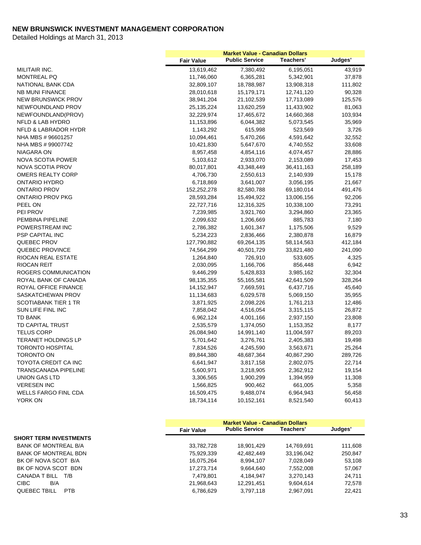|                             | <b>Market Value - Canadian Dollars</b> |                       |            |         |
|-----------------------------|----------------------------------------|-----------------------|------------|---------|
|                             | <b>Fair Value</b>                      | <b>Public Service</b> | Teachers'  | Judges' |
| MILITAIR INC.               | 13,619,462                             | 7,380,492             | 6,195,051  | 43,919  |
| MONTREAL PQ                 | 11,746,060                             | 6,365,281             | 5,342,901  | 37,878  |
| NATIONAL BANK CDA           | 32,809,107                             | 18,788,987            | 13,908,318 | 111,802 |
| <b>NB MUNI FINANCE</b>      | 28,010,618                             | 15,179,171            | 12,741,120 | 90,328  |
| <b>NEW BRUNSWICK PROV</b>   | 38,941,204                             | 21,102,539            | 17,713,089 | 125,576 |
| NEWFOUNDLAND PROV           | 25,135,224                             | 13,620,259            | 11,433,902 | 81,063  |
| NEWFOUNDLAND(PROV)          | 32,229,974                             | 17,465,672            | 14,660,368 | 103,934 |
| <b>NFLD &amp; LAB HYDRO</b> | 11,153,896                             | 6,044,382             | 5,073,545  | 35,969  |
| NFLD & LABRADOR HYDR        | 1,143,292                              | 615,998               | 523,569    | 3,726   |
| NHA MBS #96601257           | 10,094,461                             | 5,470,266             | 4,591,642  | 32,552  |
| NHA MBS # 99007742          | 10,421,830                             | 5,647,670             | 4,740,552  | 33,608  |
| <b>NIAGARA ON</b>           | 8,957,458                              | 4,854,116             | 4,074,457  | 28,886  |
| NOVA SCOTIA POWER           | 5,103,612                              | 2,933,070             | 2,153,089  | 17,453  |
| <b>NOVA SCOTIA PROV</b>     | 80,017,801                             | 43,348,449            | 36,411,163 | 258,189 |
| <b>OMERS REALTY CORP</b>    | 4,706,730                              | 2,550,613             | 2,140,939  | 15,178  |
| ONTARIO HYDRO               | 6,718,869                              | 3,641,007             | 3,056,195  | 21,667  |
| <b>ONTARIO PROV</b>         | 152,252,278                            | 82,580,788            | 69,180,014 | 491,476 |
| <b>ONTARIO PROV PKG</b>     | 28,593,284                             | 15,494,922            | 13,006,156 | 92,206  |
| PEEL ON                     | 22,727,716                             | 12,316,325            | 10,338,100 | 73,291  |
| PEI PROV                    | 7,239,985                              | 3,921,760             | 3,294,860  | 23,365  |
| PEMBINA PIPELINE            | 2,099,632                              | 1,206,669             | 885,783    | 7,180   |
| POWERSTREAM INC             | 2,786,382                              | 1,601,347             | 1,175,506  | 9,529   |
| PSP CAPITAL INC             | 5,234,223                              | 2,836,466             | 2,380,878  | 16,879  |
| QUEBEC PROV                 | 127,790,882                            | 69,264,135            | 58,114,563 | 412,184 |
| QUEBEC PROVINCE             | 74,564,299                             | 40,501,729            | 33,821,480 | 241,090 |
| RIOCAN REAL ESTATE          | 1,264,840                              | 726,910               | 533,605    | 4,325   |
| <b>RIOCAN REIT</b>          | 2,030,095                              | 1,166,706             | 856,448    | 6,942   |
| ROGERS COMMUNICATION        | 9,446,299                              | 5,428,833             | 3,985,162  | 32,304  |
| ROYAL BANK OF CANADA        | 98,135,355                             | 55,165,581            | 42,641,509 | 328,264 |
| ROYAL OFFICE FINANCE        | 14,152,947                             | 7,669,591             | 6,437,716  | 45,640  |
| SASKATCHEWAN PROV           | 11,134,683                             | 6,029,578             | 5,069,150  | 35,955  |
| <b>SCOTIABANK TIER 1 TR</b> | 3,871,925                              | 2,098,226             | 1,761,213  | 12,486  |
| SUN LIFE FINL INC           | 7,858,042                              | 4,516,054             | 3,315,115  | 26,872  |
| <b>TD BANK</b>              | 6,962,124                              | 4,001,166             | 2,937,150  | 23,808  |
| TD CAPITAL TRUST            | 2,535,579                              | 1,374,050             | 1,153,352  | 8,177   |
| <b>TELUS CORP</b>           | 26,084,940                             | 14,991,140            | 11,004,597 | 89,203  |
| <b>TERANET HOLDINGS LP</b>  | 5,701,642                              | 3,276,761             | 2,405,383  | 19,498  |
| <b>TORONTO HOSPITAL</b>     | 7,834,526                              | 4,245,590             | 3,563,671  | 25,264  |
| <b>TORONTO ON</b>           | 89,844,380                             | 48,687,364            | 40,867,290 | 289,726 |
| TOYOTA CREDIT CA INC        | 6,641,947                              | 3,817,158             | 2,802,075  | 22,714  |
| <b>TRANSCANADA PIPELINE</b> | 5,600,971                              | 3,218,905             | 2,362,912  | 19,154  |
| <b>UNION GAS LTD</b>        | 3,306,565                              | 1,900,299             | 1,394,959  | 11,308  |
| <b>VERESEN INC</b>          | 1,566,825                              | 900,462               | 661,005    | 5,358   |
| <b>WELLS FARGO FINL CDA</b> | 16,509,475                             | 9,488,074             | 6,964,943  | 56,458  |
| YORK ON                     | 18,734,114                             | 10,152,161            | 8,521,540  | 60,413  |
|                             |                                        |                       |            |         |

|                               | <b>Market Value - Canadian Dollars</b> |                       |            |         |
|-------------------------------|----------------------------------------|-----------------------|------------|---------|
|                               | <b>Fair Value</b>                      | <b>Public Service</b> | Teachers'  | Judges' |
| <b>SHORT TERM INVESTMENTS</b> |                                        |                       |            |         |
| <b>BANK OF MONTREAL B/A</b>   | 33,782,728                             | 18,901,429            | 14,769,691 | 111,608 |
| BANK OF MONTREAL BDN          | 75,929,339                             | 42,482,449            | 33,196,042 | 250,847 |
| BK OF NOVA SCOT B/A           | 16,075,264                             | 8.994.107             | 7.028.049  | 53,108  |
| BK OF NOVA SCOT BDN           | 17,273,714                             | 9.664.640             | 7.552.008  | 57,067  |
| CANADA T BILL T/B             | 7,479,801                              | 4,184,947             | 3,270,143  | 24.711  |
| <b>CIBC</b><br>B/A            | 21,968,643                             | 12.291.451            | 9.604.614  | 72,578  |
| <b>QUEBEC TBILL</b><br>PTB    | 6,786,629                              | 3,797,118             | 2,967,091  | 22.421  |